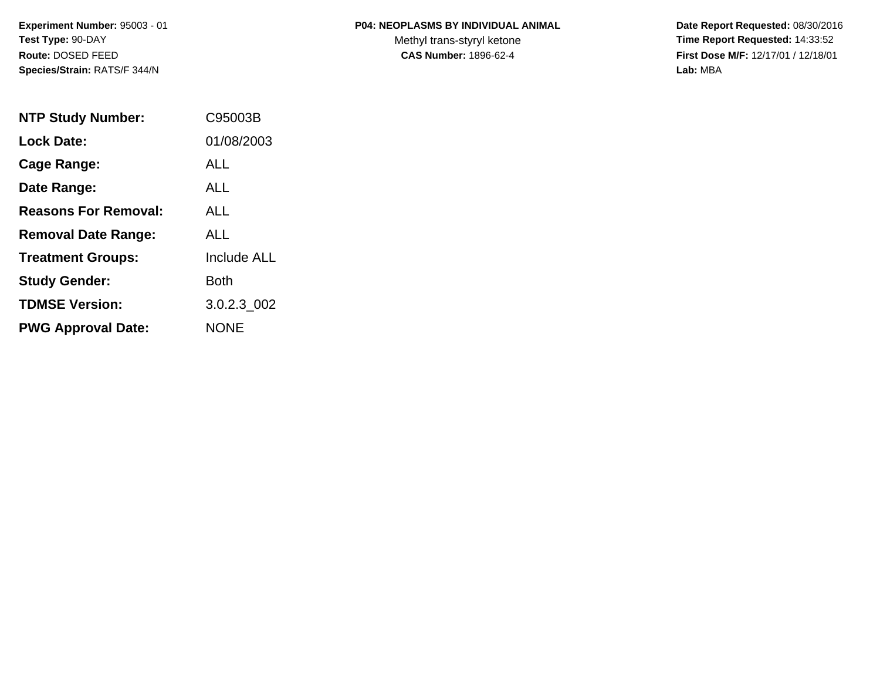#### **P04: NEOPLASMS BY INDIVIDUAL ANIMAL**

Methyl trans-styryl ketone<br>CAS Number: 1896-62-4

 **Date Report Requested:** 08/30/2016 **Time Report Requested:** 14:33:52 **First Dose M/F:** 12/17/01 / 12/18/01<br>Lab: MBA **Lab:** MBA

| <b>NTP Study Number:</b>    | C95003B            |
|-----------------------------|--------------------|
| <b>Lock Date:</b>           | 01/08/2003         |
| Cage Range:                 | ALL                |
| Date Range:                 | <b>ALL</b>         |
| <b>Reasons For Removal:</b> | ALL.               |
| <b>Removal Date Range:</b>  | ALL                |
| <b>Treatment Groups:</b>    | <b>Include ALL</b> |
| <b>Study Gender:</b>        | Both               |
| <b>TDMSE Version:</b>       | 3.0.2.3 002        |
| <b>PWG Approval Date:</b>   | <b>NONE</b>        |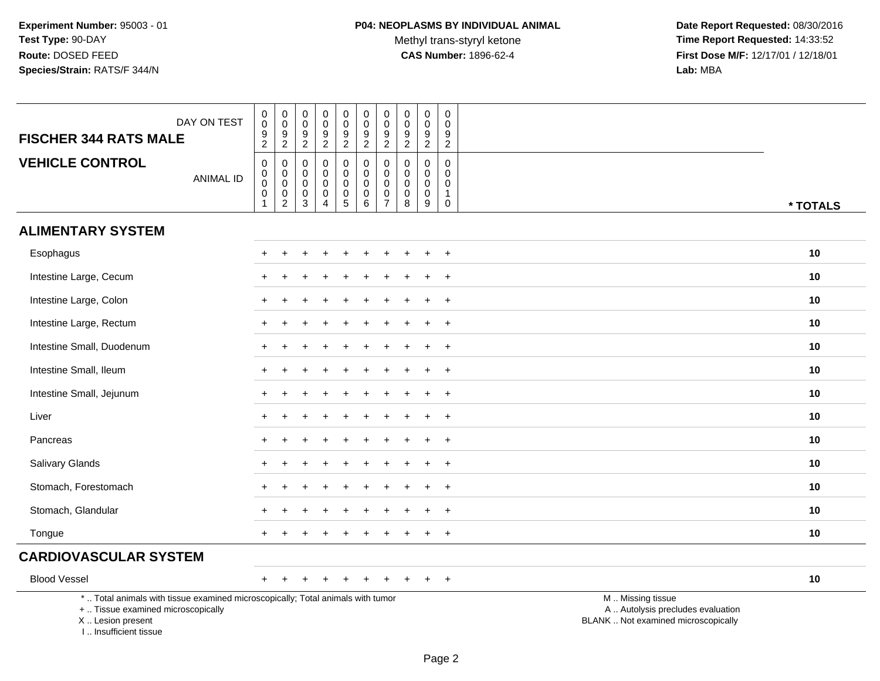Methyl trans-styryl ketone<br>CAS Number: 1896-62-4

 **Date Report Requested:** 08/30/2016 **Time Report Requested:** 14:33:52 **First Dose M/F:** 12/17/01 / 12/18/01<br>Lab: MBA **Lab:** MBA

| DAY ON TEST<br><b>FISCHER 344 RATS MALE</b>                                                                                                                         | 0<br>$\begin{array}{c} 0 \\ 9 \\ 2 \end{array}$                             | 0<br>$\mathbf 0$<br>$\frac{9}{2}$                                      | 0<br>$\mathsf 0$<br>9<br>$\overline{2}$   | 0<br>$\pmb{0}$<br>$\frac{9}{2}$                                        | 0<br>$\mathbf 0$<br>$\frac{9}{2}$                                        | 0<br>$\mathsf 0$<br>$\frac{9}{2}$         | $\boldsymbol{0}$<br>$\pmb{0}$<br>$\frac{9}{2}$                     | 0<br>$\mathbf 0$<br>9<br>$\overline{2}$             | 0<br>$\boldsymbol{0}$<br>9<br>$\overline{2}$                 | 0<br>$\mathbf 0$<br>9<br>$\overline{2}$                   |                                                                                               |
|---------------------------------------------------------------------------------------------------------------------------------------------------------------------|-----------------------------------------------------------------------------|------------------------------------------------------------------------|-------------------------------------------|------------------------------------------------------------------------|--------------------------------------------------------------------------|-------------------------------------------|--------------------------------------------------------------------|-----------------------------------------------------|--------------------------------------------------------------|-----------------------------------------------------------|-----------------------------------------------------------------------------------------------|
| <b>VEHICLE CONTROL</b><br><b>ANIMAL ID</b>                                                                                                                          | $\mathbf 0$<br>$\boldsymbol{0}$<br>$\mathbf 0$<br>$\mathsf{O}\xspace$<br>-1 | $\mathbf 0$<br>$\mathbf 0$<br>$\mathbf 0$<br>$\mathbf 0$<br>$\sqrt{2}$ | $\mathbf 0$<br>0<br>$\mathbf 0$<br>0<br>3 | $\mathbf 0$<br>$\mathbf 0$<br>$\pmb{0}$<br>$\pmb{0}$<br>$\overline{4}$ | 0<br>$\boldsymbol{0}$<br>$\mathsf 0$<br>$\begin{matrix}0\\5\end{matrix}$ | 0<br>$\mathbf 0$<br>$\mathbf 0$<br>0<br>6 | $\pmb{0}$<br>$\pmb{0}$<br>$\pmb{0}$<br>$\pmb{0}$<br>$\overline{7}$ | 0<br>$\mathbf 0$<br>$\mathbf 0$<br>$\mathbf 0$<br>8 | $\mathbf 0$<br>$\Omega$<br>$\mathbf 0$<br>$\mathbf 0$<br>$9$ | $\pmb{0}$<br>$\Omega$<br>$\mathbf 0$<br>$\mathbf{1}$<br>0 | * TOTALS                                                                                      |
| <b>ALIMENTARY SYSTEM</b>                                                                                                                                            |                                                                             |                                                                        |                                           |                                                                        |                                                                          |                                           |                                                                    |                                                     |                                                              |                                                           |                                                                                               |
| Esophagus                                                                                                                                                           |                                                                             |                                                                        |                                           |                                                                        |                                                                          |                                           |                                                                    |                                                     |                                                              | $\ddot{}$                                                 | 10                                                                                            |
| Intestine Large, Cecum                                                                                                                                              |                                                                             |                                                                        |                                           |                                                                        |                                                                          |                                           |                                                                    |                                                     |                                                              | $\ddot{}$                                                 | 10                                                                                            |
| Intestine Large, Colon                                                                                                                                              |                                                                             |                                                                        |                                           |                                                                        |                                                                          |                                           |                                                                    |                                                     |                                                              | $\div$                                                    | 10                                                                                            |
| Intestine Large, Rectum                                                                                                                                             | +                                                                           |                                                                        |                                           |                                                                        |                                                                          |                                           |                                                                    |                                                     |                                                              | $\ddot{}$                                                 | 10                                                                                            |
| Intestine Small, Duodenum                                                                                                                                           |                                                                             |                                                                        |                                           |                                                                        |                                                                          |                                           |                                                                    |                                                     |                                                              | $\ddot{}$                                                 | 10                                                                                            |
| Intestine Small, Ileum                                                                                                                                              |                                                                             |                                                                        |                                           |                                                                        |                                                                          |                                           |                                                                    |                                                     |                                                              | $\ddot{}$                                                 | 10                                                                                            |
| Intestine Small, Jejunum                                                                                                                                            |                                                                             |                                                                        |                                           |                                                                        |                                                                          |                                           |                                                                    |                                                     |                                                              | $\ddot{}$                                                 | 10                                                                                            |
| Liver                                                                                                                                                               |                                                                             |                                                                        |                                           |                                                                        |                                                                          |                                           |                                                                    |                                                     |                                                              | $+$                                                       | 10                                                                                            |
| Pancreas                                                                                                                                                            | $+$                                                                         |                                                                        |                                           |                                                                        |                                                                          |                                           |                                                                    |                                                     | ÷                                                            | $\ddot{}$                                                 | 10                                                                                            |
| Salivary Glands                                                                                                                                                     |                                                                             |                                                                        |                                           |                                                                        |                                                                          |                                           |                                                                    |                                                     |                                                              | $\overline{ }$                                            | 10                                                                                            |
| Stomach, Forestomach                                                                                                                                                |                                                                             |                                                                        |                                           |                                                                        |                                                                          |                                           |                                                                    |                                                     |                                                              | $\ddot{}$                                                 | 10                                                                                            |
| Stomach, Glandular                                                                                                                                                  |                                                                             |                                                                        |                                           |                                                                        |                                                                          |                                           |                                                                    |                                                     |                                                              | $\ddot{}$                                                 | 10                                                                                            |
| Tongue                                                                                                                                                              |                                                                             |                                                                        |                                           |                                                                        |                                                                          |                                           |                                                                    |                                                     |                                                              | $+$                                                       | 10                                                                                            |
| <b>CARDIOVASCULAR SYSTEM</b>                                                                                                                                        |                                                                             |                                                                        |                                           |                                                                        |                                                                          |                                           |                                                                    |                                                     |                                                              |                                                           |                                                                                               |
| <b>Blood Vessel</b>                                                                                                                                                 | $\pm$                                                                       |                                                                        |                                           |                                                                        |                                                                          |                                           |                                                                    |                                                     |                                                              | $^{+}$                                                    | 10                                                                                            |
| *  Total animals with tissue examined microscopically; Total animals with tumor<br>+  Tissue examined microscopically<br>X  Lesion present<br>I Insufficient tissue |                                                                             |                                                                        |                                           |                                                                        |                                                                          |                                           |                                                                    |                                                     |                                                              |                                                           | M  Missing tissue<br>A  Autolysis precludes evaluation<br>BLANK  Not examined microscopically |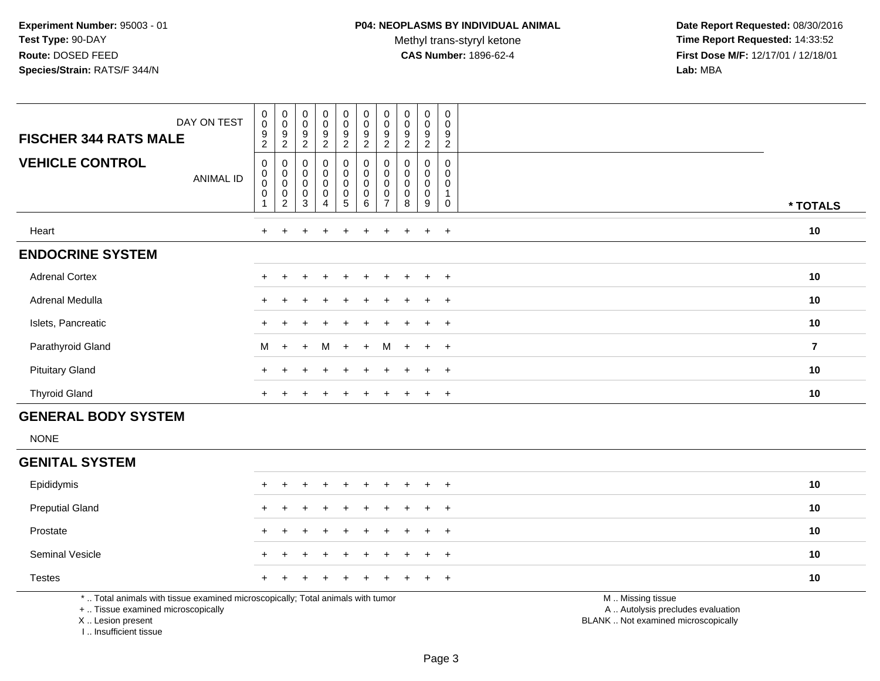Methyl trans-styryl ketone<br>CAS Number: 1896-62-4

 **Date Report Requested:** 08/30/2016 **Time Report Requested:** 14:33:52 **First Dose M/F:** 12/17/01 / 12/18/01<br>**Lab:** MBA **Lab:** MBA

| DAY ON TEST<br><b>FISCHER 344 RATS MALE</b> | $\mathbf 0$<br>$\pmb{0}$<br>9<br>2         | $\begin{smallmatrix}0\\0\end{smallmatrix}$<br>$\boldsymbol{9}$<br>$\overline{c}$ | $\begin{smallmatrix}0\0\0\end{smallmatrix}$<br>9<br>$\overline{c}$ | $_{\rm 0}^{\rm 0}$<br>9<br>$\overline{a}$                          | $_{\rm 0}^{\rm 0}$<br>$\boldsymbol{9}$<br>$\sqrt{2}$           | $\begin{smallmatrix} 0\\0 \end{smallmatrix}$<br>$\boldsymbol{9}$<br>$\overline{2}$ | $\boldsymbol{0}$<br>$\mathbf 0$<br>9<br>2 | $\bf{0}$<br>0<br>9<br>$\overline{c}$ | $\begin{smallmatrix}0\\0\end{smallmatrix}$<br>9<br>$\overline{c}$                         | $\pmb{0}$<br>$\pmb{0}$<br>9<br>$\overline{c}$ |                |
|---------------------------------------------|--------------------------------------------|----------------------------------------------------------------------------------|--------------------------------------------------------------------|--------------------------------------------------------------------|----------------------------------------------------------------|------------------------------------------------------------------------------------|-------------------------------------------|--------------------------------------|-------------------------------------------------------------------------------------------|-----------------------------------------------|----------------|
| <b>VEHICLE CONTROL</b><br>ANIMAL ID         | 0<br>$\pmb{0}$<br>$\mathbf 0$<br>$\pmb{0}$ | $_{\rm 0}^{\rm 0}$<br>$\frac{0}{2}$                                              | $\pmb{0}$<br>$_{\rm 0}^{\rm 0}$<br>$_{3}^{\rm 0}$                  | 0<br>0<br>$\bar{0}$<br>$\begin{smallmatrix}0\0\4\end{smallmatrix}$ | $\begin{smallmatrix}0\\0\\0\end{smallmatrix}$<br>$\frac{0}{5}$ | 0<br>$\pmb{0}$<br>$\pmb{0}$<br>$\pmb{0}$<br>6                                      | 0<br>$\mathbf 0$<br>0<br>$\overline{ }$   | 0<br>0<br>0<br>0<br>8                | $\pmb{0}$<br>$\begin{smallmatrix}0\0\0\end{smallmatrix}$<br>$\pmb{0}$<br>$\boldsymbol{9}$ | 0<br>$\mathbf 0$<br>$\mathbf 0$<br>0          | * TOTALS       |
| Heart                                       | $\ddot{}$                                  |                                                                                  | $\pm$                                                              | $^+$                                                               | $\pm$                                                          | $\pm$                                                                              | $\pm$                                     |                                      | $+$                                                                                       | $+$                                           | 10             |
| <b>ENDOCRINE SYSTEM</b>                     |                                            |                                                                                  |                                                                    |                                                                    |                                                                |                                                                                    |                                           |                                      |                                                                                           |                                               |                |
| <b>Adrenal Cortex</b>                       | ÷                                          |                                                                                  |                                                                    | $\div$                                                             |                                                                |                                                                                    |                                           |                                      | $+$                                                                                       | $+$                                           | 10             |
| Adrenal Medulla                             | ٠                                          |                                                                                  | $\ddot{}$                                                          | $\pm$                                                              | $+$                                                            | $\pm$                                                                              | $+$                                       | $\ddot{}$                            | $+$                                                                                       | $+$                                           | 10             |
| Islets, Pancreatic                          | ٠                                          |                                                                                  |                                                                    | ÷                                                                  |                                                                | $\div$                                                                             | $\div$                                    |                                      | $+$                                                                                       | $+$                                           | 10             |
| Parathyroid Gland                           | M                                          | $+$                                                                              | $+$                                                                | M                                                                  | $+$                                                            | $+$                                                                                | M                                         | $+$                                  | $+$                                                                                       | $+$                                           | $\overline{7}$ |
| <b>Pituitary Gland</b>                      | +                                          |                                                                                  | ÷                                                                  | $+$                                                                | $\pm$                                                          |                                                                                    | $\pm$                                     |                                      | $+$                                                                                       | $+$                                           | 10             |
| <b>Thyroid Gland</b>                        | $\ddot{}$                                  |                                                                                  |                                                                    |                                                                    |                                                                |                                                                                    |                                           |                                      | $+$                                                                                       | $^{+}$                                        | 10             |

# **GENERAL BODY SYSTEM**

NONE

#### **GENITAL SYSTEM**

| Epididymis             |  | + + + + + + + + + + |  |  |  | 10 |
|------------------------|--|---------------------|--|--|--|----|
| <b>Preputial Gland</b> |  | + + + + + + + + + + |  |  |  | 10 |
| Prostate               |  | + + + + + + + + + + |  |  |  | 10 |
| <b>Seminal Vesicle</b> |  | + + + + + + + + + + |  |  |  | 10 |
| <b>Testes</b>          |  | + + + + + + + + + + |  |  |  | 10 |
|                        |  |                     |  |  |  |    |

\* .. Total animals with tissue examined microscopically; Total animals with tumor

+ .. Tissue examined microscopically

X .. Lesion present

I .. Insufficient tissue

M .. Missing tissue

y the contract of the contract of the contract of the contract of the contract of the contract of the contract of  $A$ . Autolysis precludes evaluation

Lesion present BLANK .. Not examined microscopically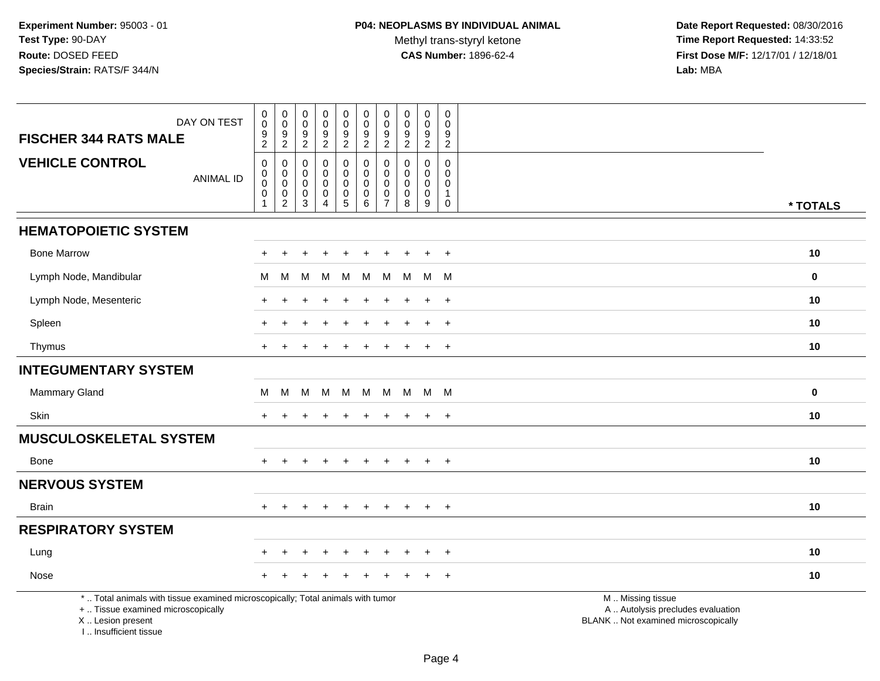**Date Report Requested:** 08/30/2016 **Time Report Requested:** 14:33:52 **First Dose M/F:** 12/17/01 / 12/18/01<br>Lab: MBA **Lab:** MBA

| DAY ON TEST<br><b>FISCHER 344 RATS MALE</b>                                                                                                                         | $\pmb{0}$<br>$\mathsf{O}\xspace$<br>$\frac{9}{2}$                                      | $\,0\,$<br>$\mathbf 0$<br>$\boldsymbol{9}$<br>$\overline{2}$               | $\pmb{0}$<br>$\mathbf 0$<br>$\boldsymbol{9}$<br>$\sqrt{2}$             | $\pmb{0}$<br>$\pmb{0}$<br>9<br>$\overline{2}$                | $\boldsymbol{0}$<br>$\mathbf 0$<br>$\overline{9}$<br>$\overline{2}$          | $\pmb{0}$<br>$\mathbf 0$<br>$\frac{9}{2}$                                       | $\pmb{0}$<br>$\pmb{0}$<br>$\boldsymbol{9}$<br>$\overline{2}$         | $\pmb{0}$<br>$\mathbf 0$<br>$\boldsymbol{9}$<br>$\overline{2}$ | $\mathbf 0$<br>$\mathbf 0$<br>9<br>$\overline{2}$                            | $\pmb{0}$<br>$\mathbf 0$<br>9<br>$\boldsymbol{2}$                    |                                                                                               |             |
|---------------------------------------------------------------------------------------------------------------------------------------------------------------------|----------------------------------------------------------------------------------------|----------------------------------------------------------------------------|------------------------------------------------------------------------|--------------------------------------------------------------|------------------------------------------------------------------------------|---------------------------------------------------------------------------------|----------------------------------------------------------------------|----------------------------------------------------------------|------------------------------------------------------------------------------|----------------------------------------------------------------------|-----------------------------------------------------------------------------------------------|-------------|
| <b>VEHICLE CONTROL</b><br><b>ANIMAL ID</b>                                                                                                                          | $\mathsf{O}\xspace$<br>$\pmb{0}$<br>$\ddot{\mathbf{0}}$<br>$\mathbf 0$<br>$\mathbf{1}$ | $\mathsf 0$<br>$\mathbf 0$<br>$\mathbf 0$<br>$\mathbf 0$<br>$\overline{2}$ | $\mathbf 0$<br>$\mathbf 0$<br>$\mathbf 0$<br>$\mathbf 0$<br>$\sqrt{3}$ | $\pmb{0}$<br>$\mathbf 0$<br>$\pmb{0}$<br>0<br>$\overline{4}$ | $\mathsf{O}$<br>$\mathsf{O}$<br>$\mathbf 0$<br>$\mathbf 0$<br>$\overline{5}$ | $\pmb{0}$<br>$\pmb{0}$<br>$\mathsf{O}\xspace$<br>$\mathbf 0$<br>$6\overline{6}$ | $\pmb{0}$<br>$\mathbf 0$<br>$\pmb{0}$<br>$\pmb{0}$<br>$\overline{7}$ | $\mathbf 0$<br>$\mathbf 0$<br>$\mathbf 0$<br>0<br>8            | $\mathbf 0$<br>$\mathbf 0$<br>$\mathbf 0$<br>$\mathbf 0$<br>$\boldsymbol{9}$ | $\mathbf 0$<br>$\mathbf 0$<br>$\pmb{0}$<br>$\mathbf{1}$<br>$\pmb{0}$ |                                                                                               | * TOTALS    |
| <b>HEMATOPOIETIC SYSTEM</b>                                                                                                                                         |                                                                                        |                                                                            |                                                                        |                                                              |                                                                              |                                                                                 |                                                                      |                                                                |                                                                              |                                                                      |                                                                                               |             |
| <b>Bone Marrow</b>                                                                                                                                                  |                                                                                        |                                                                            |                                                                        |                                                              |                                                                              |                                                                                 |                                                                      |                                                                | ÷.                                                                           | $\overline{+}$                                                       |                                                                                               | 10          |
| Lymph Node, Mandibular                                                                                                                                              | М                                                                                      | м                                                                          | М                                                                      | M                                                            | М                                                                            | M                                                                               | M                                                                    | м                                                              |                                                                              | M M                                                                  |                                                                                               | $\mathbf 0$ |
| Lymph Node, Mesenteric                                                                                                                                              | ∔                                                                                      |                                                                            |                                                                        |                                                              |                                                                              |                                                                                 |                                                                      |                                                                | ÷.                                                                           | $+$                                                                  |                                                                                               | 10          |
| Spleen                                                                                                                                                              |                                                                                        |                                                                            |                                                                        |                                                              |                                                                              |                                                                                 |                                                                      |                                                                | $\ddot{}$                                                                    | $+$                                                                  |                                                                                               | 10          |
| Thymus                                                                                                                                                              |                                                                                        |                                                                            |                                                                        |                                                              |                                                                              |                                                                                 |                                                                      |                                                                |                                                                              | $+$                                                                  |                                                                                               | 10          |
| <b>INTEGUMENTARY SYSTEM</b>                                                                                                                                         |                                                                                        |                                                                            |                                                                        |                                                              |                                                                              |                                                                                 |                                                                      |                                                                |                                                                              |                                                                      |                                                                                               |             |
| <b>Mammary Gland</b>                                                                                                                                                | М                                                                                      | М                                                                          | M                                                                      | M                                                            | M                                                                            | M                                                                               | M                                                                    | M                                                              | M M                                                                          |                                                                      |                                                                                               | $\mathbf 0$ |
| Skin                                                                                                                                                                | $+$                                                                                    | $\div$                                                                     |                                                                        |                                                              |                                                                              | $\ddot{}$                                                                       | $\div$                                                               | ÷.                                                             | $\ddot{}$                                                                    | $+$                                                                  |                                                                                               | 10          |
| <b>MUSCULOSKELETAL SYSTEM</b>                                                                                                                                       |                                                                                        |                                                                            |                                                                        |                                                              |                                                                              |                                                                                 |                                                                      |                                                                |                                                                              |                                                                      |                                                                                               |             |
| Bone                                                                                                                                                                | $+$                                                                                    |                                                                            |                                                                        |                                                              |                                                                              |                                                                                 | ÷.                                                                   |                                                                | $\pm$                                                                        | $+$                                                                  |                                                                                               | 10          |
| <b>NERVOUS SYSTEM</b>                                                                                                                                               |                                                                                        |                                                                            |                                                                        |                                                              |                                                                              |                                                                                 |                                                                      |                                                                |                                                                              |                                                                      |                                                                                               |             |
| <b>Brain</b>                                                                                                                                                        | $+$                                                                                    | $+$                                                                        | $+$                                                                    | $\pm$                                                        | $+$                                                                          | $+$                                                                             | $+$                                                                  | $+$                                                            |                                                                              | $+$ $+$                                                              |                                                                                               | 10          |
| <b>RESPIRATORY SYSTEM</b>                                                                                                                                           |                                                                                        |                                                                            |                                                                        |                                                              |                                                                              |                                                                                 |                                                                      |                                                                |                                                                              |                                                                      |                                                                                               |             |
| Lung                                                                                                                                                                |                                                                                        |                                                                            |                                                                        |                                                              |                                                                              |                                                                                 |                                                                      |                                                                |                                                                              | $\ddot{}$                                                            |                                                                                               | 10          |
| Nose                                                                                                                                                                |                                                                                        |                                                                            |                                                                        |                                                              |                                                                              |                                                                                 |                                                                      |                                                                |                                                                              | $\ddot{}$                                                            |                                                                                               | 10          |
| *  Total animals with tissue examined microscopically; Total animals with tumor<br>+  Tissue examined microscopically<br>X  Lesion present<br>I Insufficient tissue |                                                                                        |                                                                            |                                                                        |                                                              |                                                                              |                                                                                 |                                                                      |                                                                |                                                                              |                                                                      | M  Missing tissue<br>A  Autolysis precludes evaluation<br>BLANK  Not examined microscopically |             |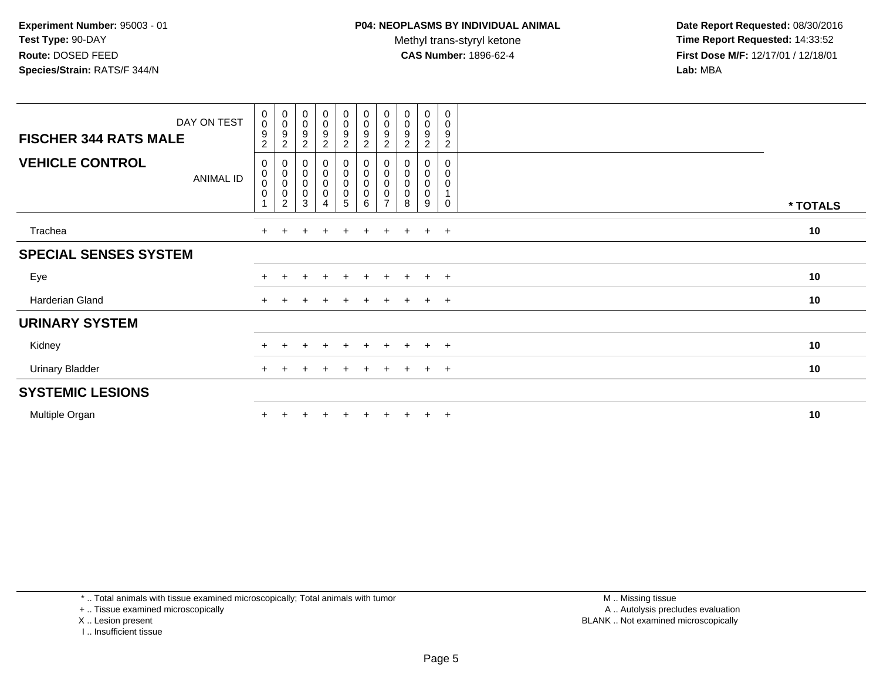Methyl trans-styryl ketone<br>CAS Number: 1896-62-4

 **Date Report Requested:** 08/30/2016 **Time Report Requested:** 14:33:52 **First Dose M/F:** 12/17/01 / 12/18/01<br>**Lab:** MBA **Lab:** MBA

| DAY ON TEST<br><b>FISCHER 344 RATS MALE</b> | 0<br>$\mathbf 0$<br>$\boldsymbol{9}$                                | $_{\rm 0}^{\rm 0}$<br>9                                                        | $_{\rm 0}^{\rm 0}$<br>$\boldsymbol{9}$                 | $_{\rm 0}^{\rm 0}$<br>$\overline{9}$                                                               | $\begin{smallmatrix} 0\\0 \end{smallmatrix}$<br>$\boldsymbol{9}$              | $\begin{smallmatrix} 0\\0 \end{smallmatrix}$<br>$\boldsymbol{9}$            | $_{\rm 0}^{\rm 0}$<br>9                                                 | $\begin{smallmatrix}0\\0\end{smallmatrix}$<br>9 | $\begin{smallmatrix}0\0\0\9\end{smallmatrix}$                                | 0<br>$\pmb{0}$<br>9                          |          |
|---------------------------------------------|---------------------------------------------------------------------|--------------------------------------------------------------------------------|--------------------------------------------------------|----------------------------------------------------------------------------------------------------|-------------------------------------------------------------------------------|-----------------------------------------------------------------------------|-------------------------------------------------------------------------|-------------------------------------------------|------------------------------------------------------------------------------|----------------------------------------------|----------|
| <b>VEHICLE CONTROL</b><br><b>ANIMAL ID</b>  | $\overline{c}$<br>$\pmb{0}$<br>$_{\rm 0}^{\rm 0}$<br>$\pmb{0}$<br>1 | $\boldsymbol{2}$<br>0<br>$\pmb{0}$<br>$\pmb{0}$<br>$\pmb{0}$<br>$\overline{c}$ | $\sqrt{2}$<br>$\pmb{0}$<br>$\pmb{0}$<br>$\pmb{0}$<br>3 | $\overline{c}$<br>$\begin{smallmatrix}0\\0\end{smallmatrix}$<br>0<br>$\mathbf 0$<br>$\overline{4}$ | $\overline{2}$<br>0<br>$\pmb{0}$<br>$\pmb{0}$<br>$\pmb{0}$<br>$5\phantom{.0}$ | $\sqrt{2}$<br>$\begin{matrix} 0 \\ 0 \\ 0 \end{matrix}$<br>$\mathbf 0$<br>6 | $\overline{\mathbf{c}}$<br>0<br>$\mathbf 0$<br>0<br>0<br>$\overline{7}$ | $\boldsymbol{2}$<br>8                           | $\overline{2}$<br>0<br>$\begin{smallmatrix}0\0\0\end{smallmatrix}$<br>0<br>9 | $\overline{c}$<br>0<br>0<br>0<br>$\mathbf 0$ | * TOTALS |
| Trachea                                     | $+$                                                                 |                                                                                |                                                        | $\pm$                                                                                              | $\overline{+}$                                                                | $\ddot{}$                                                                   | $\ddot{}$                                                               |                                                 | $+$                                                                          | $+$                                          | 10       |
| <b>SPECIAL SENSES SYSTEM</b>                |                                                                     |                                                                                |                                                        |                                                                                                    |                                                                               |                                                                             |                                                                         |                                                 |                                                                              |                                              |          |
| Eye                                         |                                                                     |                                                                                |                                                        | $\ddot{}$                                                                                          | $\ddot{}$                                                                     | $\ddot{}$                                                                   | $\ddot{}$                                                               | $+$                                             | $+$ $+$                                                                      |                                              | 10       |
| Harderian Gland                             | $+$                                                                 |                                                                                |                                                        |                                                                                                    |                                                                               | $\ddot{}$                                                                   | ÷                                                                       |                                                 | $+$                                                                          | $+$                                          | 10       |
| <b>URINARY SYSTEM</b>                       |                                                                     |                                                                                |                                                        |                                                                                                    |                                                                               |                                                                             |                                                                         |                                                 |                                                                              |                                              |          |
| Kidney                                      |                                                                     |                                                                                |                                                        | $\ddot{}$                                                                                          | $\pm$                                                                         | $+$                                                                         | $\pm$                                                                   | $+$                                             | $+$ $+$                                                                      |                                              | 10       |
| <b>Urinary Bladder</b>                      | $+$                                                                 |                                                                                |                                                        |                                                                                                    | ÷                                                                             | $\div$                                                                      |                                                                         |                                                 | $+$                                                                          | $+$                                          | 10       |
| <b>SYSTEMIC LESIONS</b>                     |                                                                     |                                                                                |                                                        |                                                                                                    |                                                                               |                                                                             |                                                                         |                                                 |                                                                              |                                              |          |
| Multiple Organ                              |                                                                     |                                                                                |                                                        |                                                                                                    |                                                                               |                                                                             |                                                                         |                                                 | $\pm$                                                                        | $^{+}$                                       | 10       |

\* .. Total animals with tissue examined microscopically; Total animals with tumor

+ .. Tissue examined microscopically

X .. Lesion present

I .. Insufficient tissue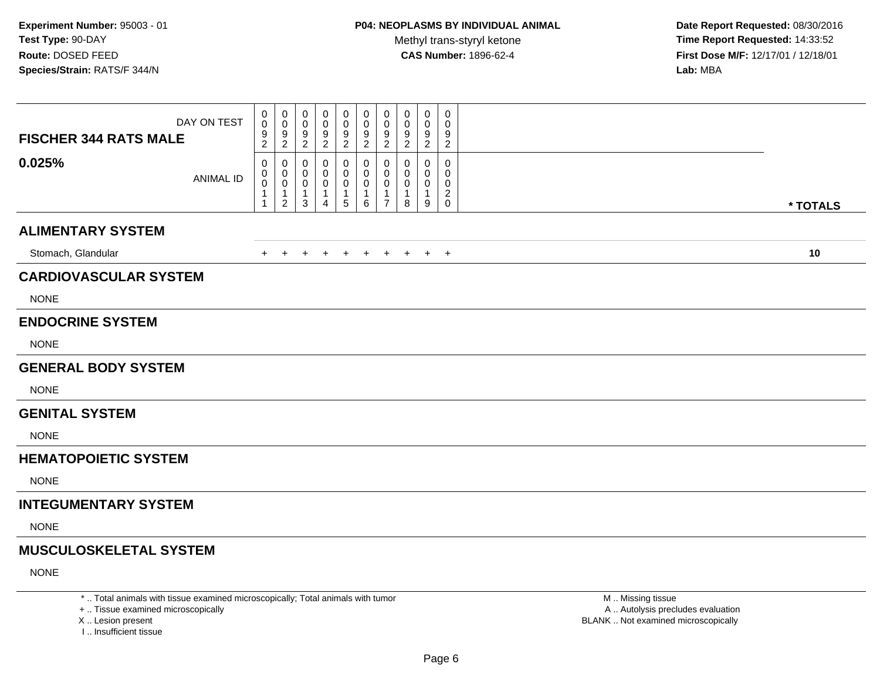**Date Report Requested:** 08/30/2016 **Time Report Requested:** 14:33:52 **First Dose M/F:** 12/17/01 / 12/18/01<br>**Lab:** MBA **Lab:** MBA

| DAY ON TEST<br><b>FISCHER 344 RATS MALE</b> | 0<br>$\mathsf{O}\xspace$<br>$\frac{9}{2}$                                    | 0<br>$\mathsf{O}\xspace$<br>$\frac{9}{2}$      | $\Omega$<br>0<br>$\frac{9}{2}$             | 0<br>0<br>9<br>$\boldsymbol{2}$ | 0<br>0<br>9<br>$\overline{\mathbf{c}}$ | 0<br>0<br>$\frac{9}{2}$       | 0<br>$\mathbf 0$<br>9<br>$\overline{2}$                 | 0<br>0<br>$\frac{9}{2}$          | 0<br>0<br>$\frac{9}{2}$          | $\mathbf 0$<br>$\mathbf 0$<br>$\frac{9}{2}$     |          |
|---------------------------------------------|------------------------------------------------------------------------------|------------------------------------------------|--------------------------------------------|---------------------------------|----------------------------------------|-------------------------------|---------------------------------------------------------|----------------------------------|----------------------------------|-------------------------------------------------|----------|
| 0.025%<br><b>ANIMAL ID</b>                  | $\mathbf 0$<br>$\mathbf 0$<br>$\overline{0}$<br>$\mathbf{1}$<br>$\mathbf{1}$ | 0<br>0<br>$\ddot{\mathbf{0}}$<br>$\frac{1}{2}$ | 0<br>0<br>$\mathbf 0$<br>$\mathbf{1}$<br>3 | 0<br>0<br>0<br>1<br>4           | 0<br>0<br>0<br>$\mathbf 1$<br>5        | 0<br>0<br>$\pmb{0}$<br>1<br>6 | 0<br>$\mathbf 0$<br>0<br>$\mathbf{1}$<br>$\overline{7}$ | 0<br>0<br>0<br>$\mathbf{1}$<br>8 | 0<br>0<br>0<br>$\mathbf{1}$<br>9 | $\mathbf 0$<br>0<br>$\mathbf 0$<br>$^2_{\rm 0}$ | * TOTALS |
| <b>ALIMENTARY SYSTEM</b>                    |                                                                              |                                                |                                            |                                 |                                        |                               |                                                         |                                  |                                  |                                                 |          |
| Stomach, Glandular                          | $+$                                                                          | $+$                                            | $+$                                        | $+$                             | $\ddot{}$                              | $+$                           | $+$                                                     | $+$                              |                                  | $+$ $+$                                         | 10       |
| <b>CARDIOVASCULAR SYSTEM</b>                |                                                                              |                                                |                                            |                                 |                                        |                               |                                                         |                                  |                                  |                                                 |          |
| <b>NONE</b>                                 |                                                                              |                                                |                                            |                                 |                                        |                               |                                                         |                                  |                                  |                                                 |          |
| <b>ENDOCRINE SYSTEM</b>                     |                                                                              |                                                |                                            |                                 |                                        |                               |                                                         |                                  |                                  |                                                 |          |
| <b>NONE</b>                                 |                                                                              |                                                |                                            |                                 |                                        |                               |                                                         |                                  |                                  |                                                 |          |
| <b>GENERAL BODY SYSTEM</b>                  |                                                                              |                                                |                                            |                                 |                                        |                               |                                                         |                                  |                                  |                                                 |          |
| <b>NONE</b>                                 |                                                                              |                                                |                                            |                                 |                                        |                               |                                                         |                                  |                                  |                                                 |          |
| <b>GENITAL SYSTEM</b>                       |                                                                              |                                                |                                            |                                 |                                        |                               |                                                         |                                  |                                  |                                                 |          |
| <b>NONE</b>                                 |                                                                              |                                                |                                            |                                 |                                        |                               |                                                         |                                  |                                  |                                                 |          |
| <b>HEMATOPOIETIC SYSTEM</b>                 |                                                                              |                                                |                                            |                                 |                                        |                               |                                                         |                                  |                                  |                                                 |          |
| <b>NONE</b>                                 |                                                                              |                                                |                                            |                                 |                                        |                               |                                                         |                                  |                                  |                                                 |          |
| <b>INTEGUMENTARY SYSTEM</b>                 |                                                                              |                                                |                                            |                                 |                                        |                               |                                                         |                                  |                                  |                                                 |          |
| <b>NONE</b>                                 |                                                                              |                                                |                                            |                                 |                                        |                               |                                                         |                                  |                                  |                                                 |          |
| <b>MUSCULOSKELETAL SYSTEM</b>               |                                                                              |                                                |                                            |                                 |                                        |                               |                                                         |                                  |                                  |                                                 |          |
| <b>NONE</b>                                 |                                                                              |                                                |                                            |                                 |                                        |                               |                                                         |                                  |                                  |                                                 |          |

\* .. Total animals with tissue examined microscopically; Total animals with tumor

+ .. Tissue examined microscopically

X .. Lesion present

I .. Insufficient tissue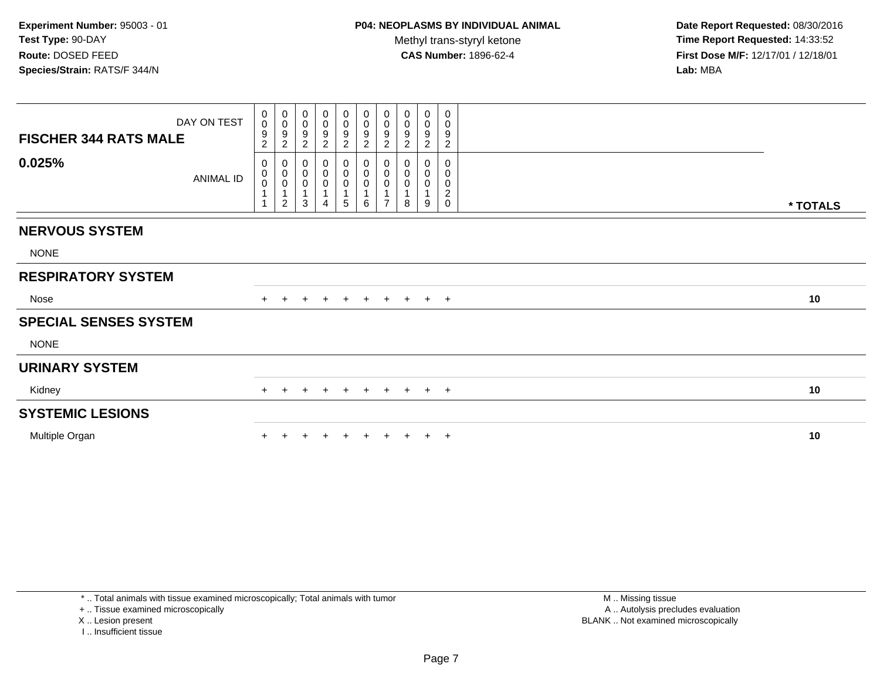**Date Report Requested:** 08/30/2016 **Time Report Requested:** 14:33:52 **First Dose M/F:** 12/17/01 / 12/18/01<br>**Lab:** MBA **Lab:** MBA

| DAY ON TEST<br><b>FISCHER 344 RATS MALE</b> | $\mathbf 0$<br>$\ddot{\mathbf{0}}$<br>9<br>$\overline{c}$ | $_{\rm 0}^{\rm 0}$<br>$\boldsymbol{9}$<br>$\overline{c}$                                | $_{\rm 0}^{\rm 0}$<br>$\frac{9}{2}$                             | 0<br>0<br>9<br>$\overline{2}$ | $\begin{array}{c} 0 \\ 0 \\ 9 \\ 2 \end{array}$                | $_0^0$<br>$\boldsymbol{9}$<br>$\overline{c}$ | $\begin{smallmatrix} 0\\0 \end{smallmatrix}$<br>$\boldsymbol{9}$<br>$\sqrt{2}$ | 0<br>$\boldsymbol{0}$<br>9<br>$\overline{c}$ | 0<br>$\mathsf 0$<br>$\boldsymbol{9}$<br>$\overline{2}$ | 0<br>0<br>$\boldsymbol{9}$<br>$\overline{c}$           |          |
|---------------------------------------------|-----------------------------------------------------------|-----------------------------------------------------------------------------------------|-----------------------------------------------------------------|-------------------------------|----------------------------------------------------------------|----------------------------------------------|--------------------------------------------------------------------------------|----------------------------------------------|--------------------------------------------------------|--------------------------------------------------------|----------|
| 0.025%<br>ANIMAL ID                         | 0<br>$\pmb{0}$<br>$\pmb{0}$                               | $\pmb{0}$<br>$\begin{matrix} 0 \\ 0 \end{matrix}$<br>$\overline{1}$<br>$\boldsymbol{2}$ | $\pmb{0}$<br>$\overline{0}$<br>0<br>$\mathbf 1$<br>$\mathbf{3}$ | 0<br>0<br>0<br>4              | $\pmb{0}$<br>$\overline{0}$<br>0<br>$\mathbf{1}$<br>$\sqrt{5}$ | 0<br>$\pmb{0}$<br>0<br>6                     | $\begin{smallmatrix}0\\0\\0\end{smallmatrix}$<br>1<br>$\overline{7}$           | 0<br>$\pmb{0}$<br>$\pmb{0}$<br>8             | 0<br>0<br>$\mathbf 0$<br>9                             | $\mathbf 0$<br>0<br>$\pmb{0}$<br>$\boldsymbol{2}$<br>0 | * TOTALS |
|                                             |                                                           |                                                                                         |                                                                 |                               |                                                                |                                              |                                                                                |                                              |                                                        |                                                        |          |
| <b>NERVOUS SYSTEM</b>                       |                                                           |                                                                                         |                                                                 |                               |                                                                |                                              |                                                                                |                                              |                                                        |                                                        |          |
| <b>NONE</b>                                 |                                                           |                                                                                         |                                                                 |                               |                                                                |                                              |                                                                                |                                              |                                                        |                                                        |          |
| <b>RESPIRATORY SYSTEM</b>                   |                                                           |                                                                                         |                                                                 |                               |                                                                |                                              |                                                                                |                                              |                                                        |                                                        |          |
| Nose                                        |                                                           | $+$                                                                                     | $+$                                                             | $+$                           | $+$                                                            |                                              |                                                                                | + + + + +                                    |                                                        |                                                        | 10       |
| <b>SPECIAL SENSES SYSTEM</b>                |                                                           |                                                                                         |                                                                 |                               |                                                                |                                              |                                                                                |                                              |                                                        |                                                        |          |
| <b>NONE</b>                                 |                                                           |                                                                                         |                                                                 |                               |                                                                |                                              |                                                                                |                                              |                                                        |                                                        |          |
| <b>URINARY SYSTEM</b>                       |                                                           |                                                                                         |                                                                 |                               |                                                                |                                              |                                                                                |                                              |                                                        |                                                        |          |
| Kidney                                      | $+$                                                       | $+$                                                                                     | $+$                                                             | $+$                           | $+$                                                            |                                              |                                                                                | + + + + +                                    |                                                        |                                                        | 10       |
| <b>SYSTEMIC LESIONS</b>                     |                                                           |                                                                                         |                                                                 |                               |                                                                |                                              |                                                                                |                                              |                                                        |                                                        |          |
| Multiple Organ                              |                                                           |                                                                                         |                                                                 |                               |                                                                |                                              |                                                                                |                                              |                                                        | $\pm$                                                  | 10       |
|                                             |                                                           |                                                                                         |                                                                 |                               |                                                                |                                              |                                                                                |                                              |                                                        |                                                        |          |

\* .. Total animals with tissue examined microscopically; Total animals with tumor

+ .. Tissue examined microscopically

X .. Lesion present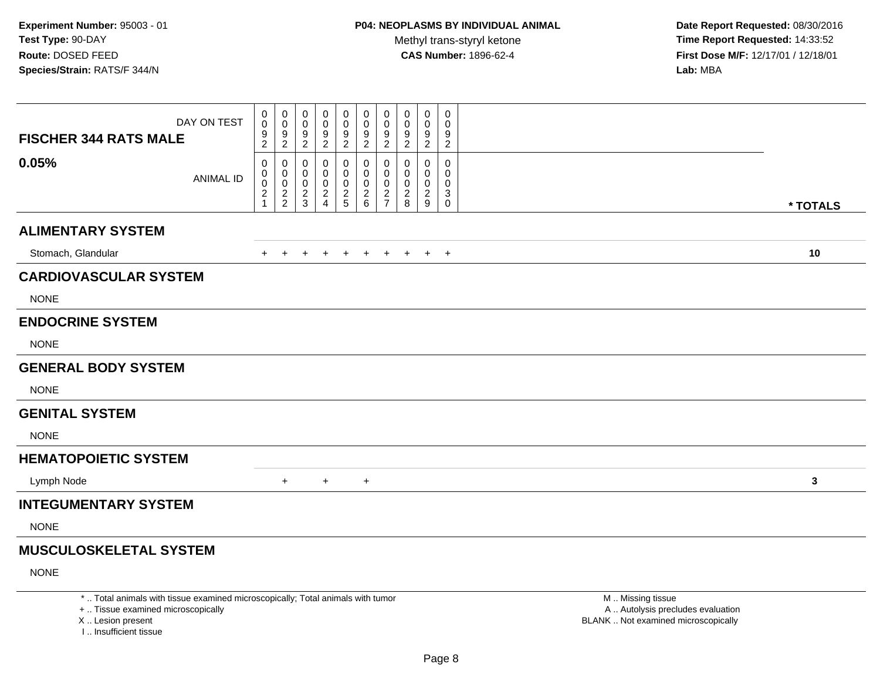**Date Report Requested:** 08/30/2016 **Time Report Requested:** 14:33:52 **First Dose M/F:** 12/17/01 / 12/18/01<br>**Lab:** MBA **Lab:** MBA

| DAY ON TEST<br><b>FISCHER 344 RATS MALE</b> | 0<br>$\pmb{0}$<br>$\frac{9}{2}$      | 0<br>$\mathbf 0$<br>$\frac{9}{2}$      | 0<br>$\mathbf 0$<br>$\frac{9}{2}$                | 0<br>0<br>$\frac{9}{2}$                         | 0<br>$\mathbf 0$<br>$\frac{9}{2}$ | 0<br>0<br>$\frac{9}{2}$              | 0<br>$\mathbf 0$<br>$\frac{9}{2}$              | 0<br>$\mathbf 0$<br>$\frac{9}{2}$           | 0<br>0<br>$\frac{9}{2}$      | $\pmb{0}$<br>$\mathbf 0$<br>$\frac{9}{2}$                       |              |
|---------------------------------------------|--------------------------------------|----------------------------------------|--------------------------------------------------|-------------------------------------------------|-----------------------------------|--------------------------------------|------------------------------------------------|---------------------------------------------|------------------------------|-----------------------------------------------------------------|--------------|
| 0.05%<br><b>ANIMAL ID</b>                   | 0<br>$\pmb{0}$<br>$\frac{0}{2}$<br>1 | 0<br>0<br>$\mathbf 0$<br>$\frac{2}{2}$ | 0<br>$\mathbf 0$<br>$\mathbf 0$<br>$\frac{2}{3}$ | 0<br>0<br>0<br>$\overline{c}$<br>$\overline{4}$ | 0<br>0<br>0<br>$\frac{2}{5}$      | 0<br>0<br>$\pmb{0}$<br>$\frac{2}{6}$ | 0<br>$\pmb{0}$<br>$\mathbf 0$<br>$\frac{2}{7}$ | 0<br>0<br>0<br>$\overline{\mathbf{c}}$<br>8 | 0<br>0<br>0<br>$\frac{2}{9}$ | $\pmb{0}$<br>0<br>0<br>$\ensuremath{\mathsf{3}}$<br>$\mathbf 0$ | * TOTALS     |
| <b>ALIMENTARY SYSTEM</b>                    |                                      |                                        |                                                  |                                                 |                                   |                                      |                                                |                                             |                              |                                                                 |              |
| Stomach, Glandular                          | $\ddot{}$                            | $+$                                    | $+$                                              | $\pm$                                           | $\ddot{}$                         | $+$                                  | $+$                                            | $+$                                         | $+$                          | $+$                                                             | 10           |
| <b>CARDIOVASCULAR SYSTEM</b>                |                                      |                                        |                                                  |                                                 |                                   |                                      |                                                |                                             |                              |                                                                 |              |
| <b>NONE</b>                                 |                                      |                                        |                                                  |                                                 |                                   |                                      |                                                |                                             |                              |                                                                 |              |
| <b>ENDOCRINE SYSTEM</b>                     |                                      |                                        |                                                  |                                                 |                                   |                                      |                                                |                                             |                              |                                                                 |              |
| <b>NONE</b>                                 |                                      |                                        |                                                  |                                                 |                                   |                                      |                                                |                                             |                              |                                                                 |              |
| <b>GENERAL BODY SYSTEM</b>                  |                                      |                                        |                                                  |                                                 |                                   |                                      |                                                |                                             |                              |                                                                 |              |
| <b>NONE</b>                                 |                                      |                                        |                                                  |                                                 |                                   |                                      |                                                |                                             |                              |                                                                 |              |
| <b>GENITAL SYSTEM</b>                       |                                      |                                        |                                                  |                                                 |                                   |                                      |                                                |                                             |                              |                                                                 |              |
| <b>NONE</b>                                 |                                      |                                        |                                                  |                                                 |                                   |                                      |                                                |                                             |                              |                                                                 |              |
| <b>HEMATOPOIETIC SYSTEM</b>                 |                                      |                                        |                                                  |                                                 |                                   |                                      |                                                |                                             |                              |                                                                 |              |
| Lymph Node                                  |                                      | $+$                                    |                                                  | $+$                                             |                                   | $\ddot{}$                            |                                                |                                             |                              |                                                                 | $\mathbf{3}$ |
| <b>INTEGUMENTARY SYSTEM</b>                 |                                      |                                        |                                                  |                                                 |                                   |                                      |                                                |                                             |                              |                                                                 |              |
| <b>NONE</b>                                 |                                      |                                        |                                                  |                                                 |                                   |                                      |                                                |                                             |                              |                                                                 |              |
| <b>MUSCULOSKELETAL SYSTEM</b>               |                                      |                                        |                                                  |                                                 |                                   |                                      |                                                |                                             |                              |                                                                 |              |
| <b>NONE</b>                                 |                                      |                                        |                                                  |                                                 |                                   |                                      |                                                |                                             |                              |                                                                 |              |

\* .. Total animals with tissue examined microscopically; Total animals with tumor

+ .. Tissue examined microscopically

X .. Lesion present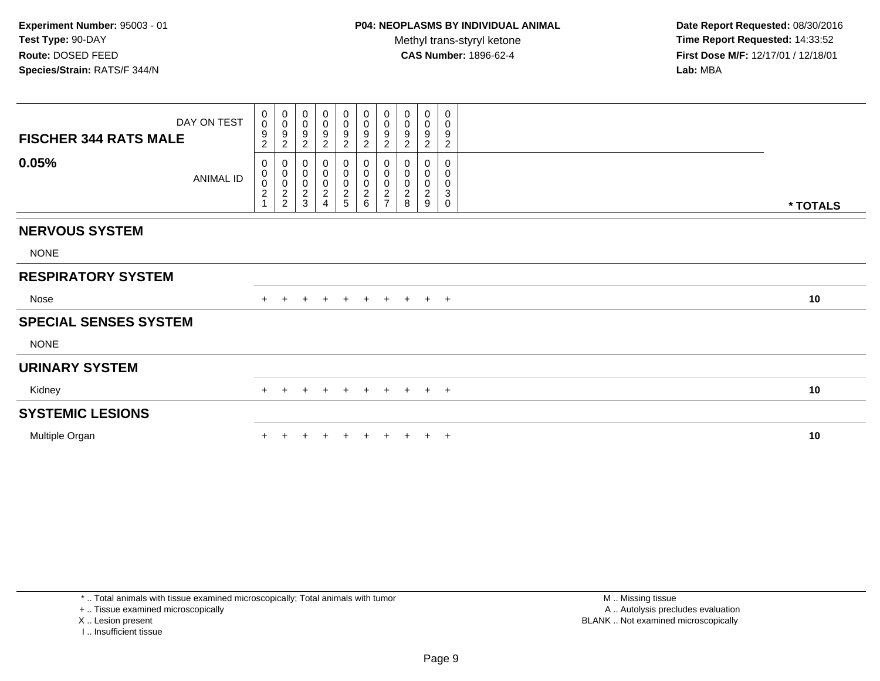**Date Report Requested:** 08/30/2016 **Time Report Requested:** 14:33:52 **First Dose M/F:** 12/17/01 / 12/18/01<br>**Lab:** MBA **Lab:** MBA

| $\pmb{0}$<br>0<br>0<br>0<br>0<br>0<br>0<br>0<br>0<br>0<br>DAY ON TEST<br>$\mathbf 0$<br>$\mathbf 0$<br>$\frac{0}{9}$<br>$\pmb{0}$<br>$\pmb{0}$<br>$_{9}^{\rm 0}$<br>$\mathbf 0$<br>0<br>0<br>0<br>$\overline{9}$<br>$\boldsymbol{9}$<br>$\boldsymbol{9}$<br>9<br>9<br>9<br>9<br>9<br><b>FISCHER 344 RATS MALE</b><br>$\overline{c}$<br>$\overline{c}$<br>$\sqrt{2}$<br>$\boldsymbol{2}$<br>$\overline{2}$<br>$\boldsymbol{2}$<br>$\overline{2}$<br>$\boldsymbol{2}$<br>$\overline{c}$<br>$\overline{c}$<br>0.05%<br>$\pmb{0}$<br>$\begin{smallmatrix} 0\\0 \end{smallmatrix}$<br>$\pmb{0}$<br>0<br>0<br>0<br>2<br>5<br>$\mathbf 0$<br>0<br>0<br>0<br>0<br>0<br>$\pmb{0}$<br>0<br>$\pmb{0}$<br>0<br>0<br>$\pmb{0}$<br>0<br>0<br>ANIMAL ID<br>$\begin{array}{c} 0 \\ 2 \\ 2 \end{array}$<br>$\pmb{0}$<br>$\frac{0}{2}$<br>$\frac{0}{2}$ 6<br>$\pmb{0}$<br>$\mathbf 0$<br>0<br>$\mathbf 0$<br>0<br>$\overline{2}$<br>$\boldsymbol{2}$<br>$\overline{c}$<br>$\overline{c}$<br>3<br>$\overline{\mathbf{c}}$<br>$\overline{7}$<br>$\overline{4}$<br>8<br>9<br>$\mathbf 0$<br>* TOTALS<br><b>NERVOUS SYSTEM</b><br><b>NONE</b><br><b>RESPIRATORY SYSTEM</b><br>Nose<br>10<br>+ + + +<br>$+$<br>$+$<br>$+$<br>$+$<br>$+$<br>$+$<br><b>SPECIAL SENSES SYSTEM</b><br><b>NONE</b><br><b>URINARY SYSTEM</b><br>10<br>Kidney<br>$+$<br>$+$<br>$+$<br>$+$ $+$<br>$+$<br>$\pm$<br>$\pm$<br><b>SYSTEMIC LESIONS</b><br>10<br>Multiple Organ<br>$^{+}$ |  |  |  |  |  |  |
|---------------------------------------------------------------------------------------------------------------------------------------------------------------------------------------------------------------------------------------------------------------------------------------------------------------------------------------------------------------------------------------------------------------------------------------------------------------------------------------------------------------------------------------------------------------------------------------------------------------------------------------------------------------------------------------------------------------------------------------------------------------------------------------------------------------------------------------------------------------------------------------------------------------------------------------------------------------------------------------------------------------------------------------------------------------------------------------------------------------------------------------------------------------------------------------------------------------------------------------------------------------------------------------------------------------------------------------------------------------------------------------------------------------------------------------|--|--|--|--|--|--|
|                                                                                                                                                                                                                                                                                                                                                                                                                                                                                                                                                                                                                                                                                                                                                                                                                                                                                                                                                                                                                                                                                                                                                                                                                                                                                                                                                                                                                                       |  |  |  |  |  |  |
|                                                                                                                                                                                                                                                                                                                                                                                                                                                                                                                                                                                                                                                                                                                                                                                                                                                                                                                                                                                                                                                                                                                                                                                                                                                                                                                                                                                                                                       |  |  |  |  |  |  |
|                                                                                                                                                                                                                                                                                                                                                                                                                                                                                                                                                                                                                                                                                                                                                                                                                                                                                                                                                                                                                                                                                                                                                                                                                                                                                                                                                                                                                                       |  |  |  |  |  |  |
|                                                                                                                                                                                                                                                                                                                                                                                                                                                                                                                                                                                                                                                                                                                                                                                                                                                                                                                                                                                                                                                                                                                                                                                                                                                                                                                                                                                                                                       |  |  |  |  |  |  |
|                                                                                                                                                                                                                                                                                                                                                                                                                                                                                                                                                                                                                                                                                                                                                                                                                                                                                                                                                                                                                                                                                                                                                                                                                                                                                                                                                                                                                                       |  |  |  |  |  |  |
|                                                                                                                                                                                                                                                                                                                                                                                                                                                                                                                                                                                                                                                                                                                                                                                                                                                                                                                                                                                                                                                                                                                                                                                                                                                                                                                                                                                                                                       |  |  |  |  |  |  |
|                                                                                                                                                                                                                                                                                                                                                                                                                                                                                                                                                                                                                                                                                                                                                                                                                                                                                                                                                                                                                                                                                                                                                                                                                                                                                                                                                                                                                                       |  |  |  |  |  |  |
|                                                                                                                                                                                                                                                                                                                                                                                                                                                                                                                                                                                                                                                                                                                                                                                                                                                                                                                                                                                                                                                                                                                                                                                                                                                                                                                                                                                                                                       |  |  |  |  |  |  |
|                                                                                                                                                                                                                                                                                                                                                                                                                                                                                                                                                                                                                                                                                                                                                                                                                                                                                                                                                                                                                                                                                                                                                                                                                                                                                                                                                                                                                                       |  |  |  |  |  |  |
|                                                                                                                                                                                                                                                                                                                                                                                                                                                                                                                                                                                                                                                                                                                                                                                                                                                                                                                                                                                                                                                                                                                                                                                                                                                                                                                                                                                                                                       |  |  |  |  |  |  |
|                                                                                                                                                                                                                                                                                                                                                                                                                                                                                                                                                                                                                                                                                                                                                                                                                                                                                                                                                                                                                                                                                                                                                                                                                                                                                                                                                                                                                                       |  |  |  |  |  |  |
|                                                                                                                                                                                                                                                                                                                                                                                                                                                                                                                                                                                                                                                                                                                                                                                                                                                                                                                                                                                                                                                                                                                                                                                                                                                                                                                                                                                                                                       |  |  |  |  |  |  |

+ .. Tissue examined microscopically

X .. Lesion present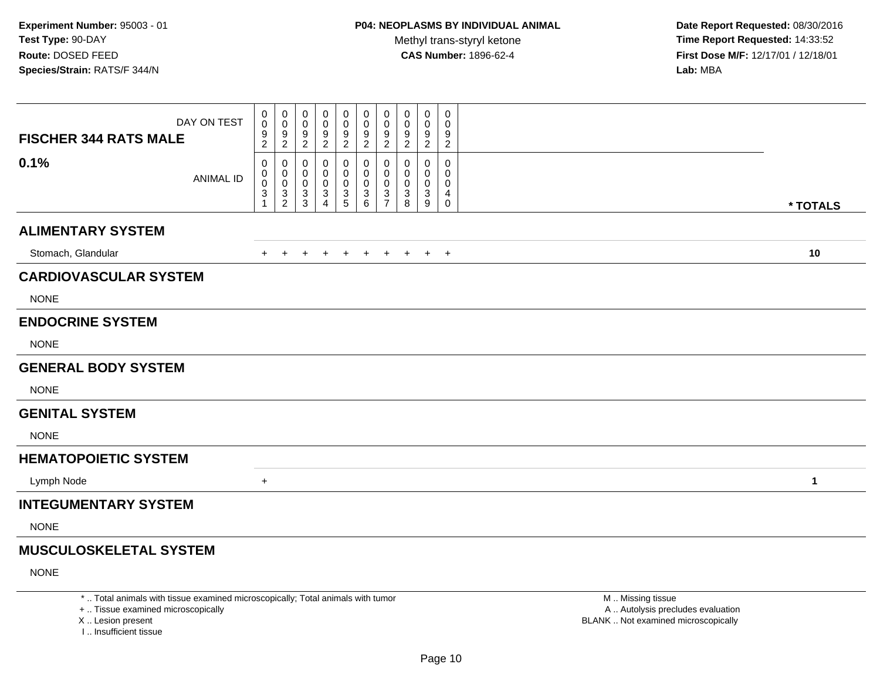**Date Report Requested:** 08/30/2016 **Time Report Requested:** 14:33:52 **First Dose M/F:** 12/17/01 / 12/18/01<br>**Lab:** MBA **Lab:** MBA

| <b>FISCHER 344 RATS MALE</b>  | DAY ON TEST      | 0<br>0<br>$\frac{9}{2}$          | 0<br>$\mathbf 0$<br>$\frac{9}{2}$    | 0<br>0<br>$\frac{9}{2}$                 | 0<br>0<br>$\frac{9}{2}$ | 0<br>0<br>$\frac{9}{2}$      | 0<br>0<br>9<br>$\overline{c}$ | 0<br>$\mathbf 0$<br>$\frac{9}{2}$                      | 0<br>0<br>9<br>$\overline{c}$ | 0<br>0<br>$\frac{9}{2}$              | 0<br>0<br>9<br>$\overline{2}$ |          |  |
|-------------------------------|------------------|----------------------------------|--------------------------------------|-----------------------------------------|-------------------------|------------------------------|-------------------------------|--------------------------------------------------------|-------------------------------|--------------------------------------|-------------------------------|----------|--|
| 0.1%                          | <b>ANIMAL ID</b> | 0<br>0<br>0<br>$\mathbf{3}$<br>1 | 0<br>0<br>$\pmb{0}$<br>$\frac{3}{2}$ | 0<br>0<br>0<br>$\sqrt{3}$<br>$\sqrt{3}$ | 0<br>0<br>0<br>3<br>4   | 0<br>0<br>0<br>$\frac{3}{5}$ | 0<br>0<br>0<br>3<br>6         | 0<br>$\mathbf 0$<br>$\mathbf 0$<br>3<br>$\overline{7}$ | 0<br>0<br>0<br>3<br>8         | 0<br>0<br>0<br>3<br>$\boldsymbol{9}$ | 0<br>0<br>0<br>4<br>0         | * TOTALS |  |
| <b>ALIMENTARY SYSTEM</b>      |                  |                                  |                                      |                                         |                         |                              |                               |                                                        |                               |                                      |                               |          |  |
| Stomach, Glandular            |                  | $+$                              | $+$                                  | $+$                                     | $+$                     | $+$                          | $+$                           | $+$                                                    | $+$                           |                                      | $+$ $+$                       | 10       |  |
| <b>CARDIOVASCULAR SYSTEM</b>  |                  |                                  |                                      |                                         |                         |                              |                               |                                                        |                               |                                      |                               |          |  |
| <b>NONE</b>                   |                  |                                  |                                      |                                         |                         |                              |                               |                                                        |                               |                                      |                               |          |  |
| <b>ENDOCRINE SYSTEM</b>       |                  |                                  |                                      |                                         |                         |                              |                               |                                                        |                               |                                      |                               |          |  |
| <b>NONE</b>                   |                  |                                  |                                      |                                         |                         |                              |                               |                                                        |                               |                                      |                               |          |  |
| <b>GENERAL BODY SYSTEM</b>    |                  |                                  |                                      |                                         |                         |                              |                               |                                                        |                               |                                      |                               |          |  |
| <b>NONE</b>                   |                  |                                  |                                      |                                         |                         |                              |                               |                                                        |                               |                                      |                               |          |  |
| <b>GENITAL SYSTEM</b>         |                  |                                  |                                      |                                         |                         |                              |                               |                                                        |                               |                                      |                               |          |  |
| <b>NONE</b>                   |                  |                                  |                                      |                                         |                         |                              |                               |                                                        |                               |                                      |                               |          |  |
| <b>HEMATOPOIETIC SYSTEM</b>   |                  |                                  |                                      |                                         |                         |                              |                               |                                                        |                               |                                      |                               |          |  |
| Lymph Node                    |                  | $+$                              |                                      |                                         |                         |                              |                               |                                                        |                               |                                      |                               | 1        |  |
| <b>INTEGUMENTARY SYSTEM</b>   |                  |                                  |                                      |                                         |                         |                              |                               |                                                        |                               |                                      |                               |          |  |
| <b>NONE</b>                   |                  |                                  |                                      |                                         |                         |                              |                               |                                                        |                               |                                      |                               |          |  |
| <b>MUSCULOSKELETAL SYSTEM</b> |                  |                                  |                                      |                                         |                         |                              |                               |                                                        |                               |                                      |                               |          |  |

NONE

\* .. Total animals with tissue examined microscopically; Total animals with tumor

+ .. Tissue examined microscopically

X .. Lesion present

I .. Insufficient tissue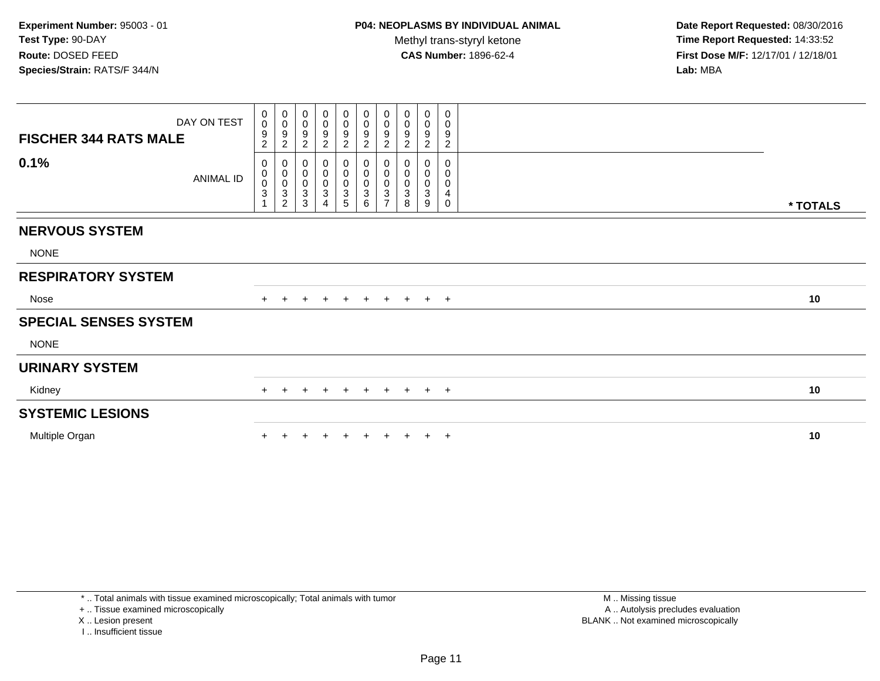**Date Report Requested:** 08/30/2016 **Time Report Requested:** 14:33:52 **First Dose M/F:** 12/17/01 / 12/18/01<br>**Lab:** MBA **Lab:** MBA

| DAY ON TEST<br><b>FISCHER 344 RATS MALE</b> | $\mathbf 0$<br>$\ddot{\mathbf{0}}$<br>9<br>$\overline{c}$ | $_{\rm 0}^{\rm 0}$<br>$\boldsymbol{9}$<br>$\overline{c}$                                     | $_{\rm 0}^{\rm 0}$<br>$\frac{9}{2}$                                         | 0<br>0<br>9<br>$\overline{c}$                                        | $\begin{array}{c} 0 \\ 0 \\ 9 \\ 2 \end{array}$                        | $_0^0$<br>$\boldsymbol{9}$<br>$\overline{c}$ | $\begin{smallmatrix} 0\\0 \end{smallmatrix}$<br>$\boldsymbol{9}$<br>$\sqrt{2}$ | 0<br>$\boldsymbol{0}$<br>9<br>$\overline{c}$            | 0<br>0<br>$\boldsymbol{9}$<br>$\overline{c}$ | 0<br>0<br>$\boldsymbol{9}$<br>$\overline{c}$ |          |
|---------------------------------------------|-----------------------------------------------------------|----------------------------------------------------------------------------------------------|-----------------------------------------------------------------------------|----------------------------------------------------------------------|------------------------------------------------------------------------|----------------------------------------------|--------------------------------------------------------------------------------|---------------------------------------------------------|----------------------------------------------|----------------------------------------------|----------|
| 0.1%<br>ANIMAL ID                           | 0<br>$\pmb{0}$<br>$\pmb{0}$<br>$\ensuremath{\mathsf{3}}$  | $\pmb{0}$<br>$\begin{matrix} 0 \\ 0 \end{matrix}$<br>$\ensuremath{\mathsf{3}}$<br>$\sqrt{2}$ | $\pmb{0}$<br>$\overline{0}$<br>0<br>$\ensuremath{\mathsf{3}}$<br>$\sqrt{3}$ | 0<br>$\mathsf 0$<br>0<br>$\ensuremath{\mathsf{3}}$<br>$\overline{4}$ | $\pmb{0}$<br>$\begin{bmatrix} 0 \\ 0 \\ 3 \end{bmatrix}$<br>$\sqrt{5}$ | 0<br>$\pmb{0}$<br>0<br>$\overline{3}$<br>6   | $\begin{smallmatrix}0\\0\\0\end{smallmatrix}$<br>$\sqrt{3}$<br>$\overline{7}$  | 0<br>$\pmb{0}$<br>$\boldsymbol{0}$<br>$\mathbf{3}$<br>8 | 0<br>0<br>$\mathbf 0$<br>3<br>9              | $\mathbf 0$<br>0<br>0<br>4<br>0              | * TOTALS |
| <b>NERVOUS SYSTEM</b>                       |                                                           |                                                                                              |                                                                             |                                                                      |                                                                        |                                              |                                                                                |                                                         |                                              |                                              |          |
| <b>NONE</b>                                 |                                                           |                                                                                              |                                                                             |                                                                      |                                                                        |                                              |                                                                                |                                                         |                                              |                                              |          |
|                                             |                                                           |                                                                                              |                                                                             |                                                                      |                                                                        |                                              |                                                                                |                                                         |                                              |                                              |          |
| <b>RESPIRATORY SYSTEM</b>                   |                                                           |                                                                                              |                                                                             |                                                                      |                                                                        |                                              |                                                                                |                                                         |                                              |                                              |          |
| Nose                                        |                                                           | $+$                                                                                          | $+$                                                                         | $+$                                                                  | $+$                                                                    |                                              |                                                                                | + + + + +                                               |                                              |                                              | 10       |
| <b>SPECIAL SENSES SYSTEM</b>                |                                                           |                                                                                              |                                                                             |                                                                      |                                                                        |                                              |                                                                                |                                                         |                                              |                                              |          |
| <b>NONE</b>                                 |                                                           |                                                                                              |                                                                             |                                                                      |                                                                        |                                              |                                                                                |                                                         |                                              |                                              |          |
| <b>URINARY SYSTEM</b>                       |                                                           |                                                                                              |                                                                             |                                                                      |                                                                        |                                              |                                                                                |                                                         |                                              |                                              |          |
| Kidney                                      | $+$                                                       | $\pm$                                                                                        | $+$                                                                         | $+$                                                                  | $+$                                                                    |                                              |                                                                                | + + + + +                                               |                                              |                                              | 10       |
| <b>SYSTEMIC LESIONS</b>                     |                                                           |                                                                                              |                                                                             |                                                                      |                                                                        |                                              |                                                                                |                                                         |                                              |                                              |          |
| Multiple Organ                              |                                                           |                                                                                              |                                                                             |                                                                      |                                                                        |                                              |                                                                                |                                                         |                                              | $\pm$                                        | 10       |
|                                             |                                                           |                                                                                              |                                                                             |                                                                      |                                                                        |                                              |                                                                                |                                                         |                                              |                                              |          |

\* .. Total animals with tissue examined microscopically; Total animals with tumor

+ .. Tissue examined microscopically

X .. Lesion present

I .. Insufficient tissue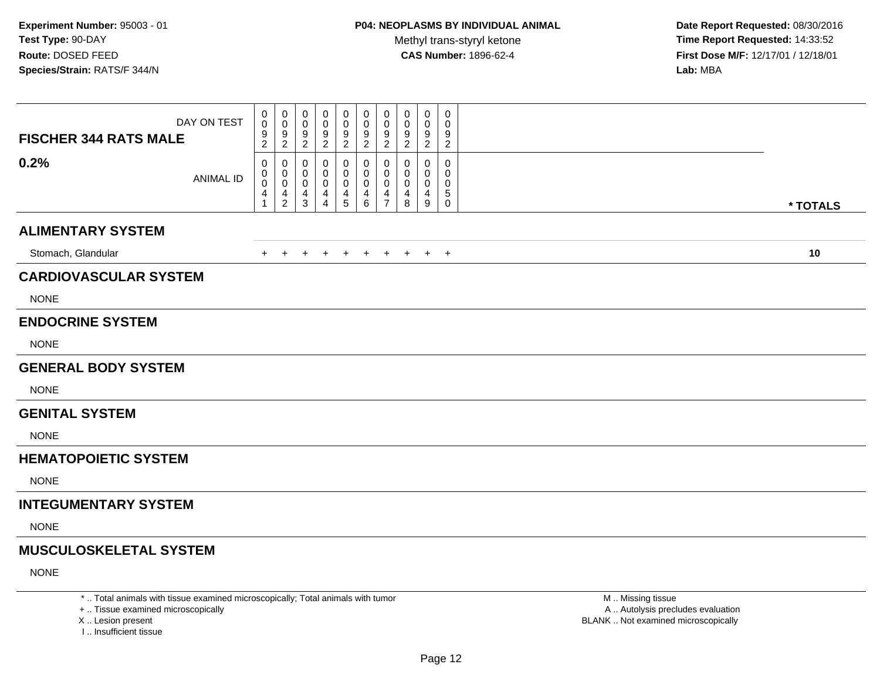**Date Report Requested:** 08/30/2016 **Time Report Requested:** 14:33:52 **First Dose M/F:** 12/17/01 / 12/18/01<br>**Lab:** MBA **Lab:** MBA

| DAY ON TEST<br><b>FISCHER 344 RATS MALE</b> | 0<br>0<br>$\frac{9}{2}$                         | 0<br>$\mathbf 0$<br>$\frac{9}{2}$                    | 0<br>0<br>$\frac{9}{2}$                    | 0<br>0<br>$\frac{9}{2}$            | 0<br>$\mathbf 0$<br>9<br>$\overline{2}$              | 0<br>$\mathbf 0$<br>$\frac{9}{2}$ | 0<br>$\mathbf 0$<br>9<br>$\overline{c}$   | 0<br>0<br>9<br>$\overline{c}$ | 0<br>0<br>9<br>$\overline{2}$ | $\mathbf 0$<br>$\Omega$<br>9<br>$\overline{2}$   |          |
|---------------------------------------------|-------------------------------------------------|------------------------------------------------------|--------------------------------------------|------------------------------------|------------------------------------------------------|-----------------------------------|-------------------------------------------|-------------------------------|-------------------------------|--------------------------------------------------|----------|
| 0.2%<br><b>ANIMAL ID</b>                    | 0<br>0<br>$\boldsymbol{0}$<br>4<br>$\mathbf{1}$ | 0<br>0<br>$\mathsf{O}\xspace$<br>4<br>$\overline{2}$ | 0<br>0<br>$\mathbf 0$<br>4<br>$\mathbf{3}$ | 0<br>0<br>0<br>4<br>$\overline{4}$ | $\mathbf 0$<br>0<br>$\pmb{0}$<br>4<br>$\overline{5}$ | 0<br>0<br>$\pmb{0}$<br>4<br>6     | 0<br>$\Omega$<br>0<br>4<br>$\overline{7}$ | 0<br>0<br>0<br>4<br>8         | 0<br>0<br>0<br>4<br>9         | $\mathbf 0$<br>$\Omega$<br>0<br>5<br>$\mathbf 0$ | * TOTALS |
| <b>ALIMENTARY SYSTEM</b>                    |                                                 |                                                      |                                            |                                    |                                                      |                                   |                                           |                               |                               |                                                  |          |
| Stomach, Glandular                          |                                                 | $+$ $+$                                              | $+$                                        | $+$                                |                                                      | $+$ $+$                           | $+$                                       | $+$                           |                               | $+$ $+$                                          | 10       |
| <b>CARDIOVASCULAR SYSTEM</b>                |                                                 |                                                      |                                            |                                    |                                                      |                                   |                                           |                               |                               |                                                  |          |
| <b>NONE</b>                                 |                                                 |                                                      |                                            |                                    |                                                      |                                   |                                           |                               |                               |                                                  |          |
| <b>ENDOCRINE SYSTEM</b>                     |                                                 |                                                      |                                            |                                    |                                                      |                                   |                                           |                               |                               |                                                  |          |
| <b>NONE</b>                                 |                                                 |                                                      |                                            |                                    |                                                      |                                   |                                           |                               |                               |                                                  |          |
| <b>GENERAL BODY SYSTEM</b>                  |                                                 |                                                      |                                            |                                    |                                                      |                                   |                                           |                               |                               |                                                  |          |
| <b>NONE</b>                                 |                                                 |                                                      |                                            |                                    |                                                      |                                   |                                           |                               |                               |                                                  |          |
| <b>GENITAL SYSTEM</b>                       |                                                 |                                                      |                                            |                                    |                                                      |                                   |                                           |                               |                               |                                                  |          |
| <b>NONE</b>                                 |                                                 |                                                      |                                            |                                    |                                                      |                                   |                                           |                               |                               |                                                  |          |
| <b>HEMATOPOIETIC SYSTEM</b>                 |                                                 |                                                      |                                            |                                    |                                                      |                                   |                                           |                               |                               |                                                  |          |
| <b>NONE</b>                                 |                                                 |                                                      |                                            |                                    |                                                      |                                   |                                           |                               |                               |                                                  |          |
| <b>INTEGUMENTARY SYSTEM</b>                 |                                                 |                                                      |                                            |                                    |                                                      |                                   |                                           |                               |                               |                                                  |          |
| <b>NONE</b>                                 |                                                 |                                                      |                                            |                                    |                                                      |                                   |                                           |                               |                               |                                                  |          |
| <b>MUSCULOSKELETAL SYSTEM</b>               |                                                 |                                                      |                                            |                                    |                                                      |                                   |                                           |                               |                               |                                                  |          |
| <b>NONE</b>                                 |                                                 |                                                      |                                            |                                    |                                                      |                                   |                                           |                               |                               |                                                  |          |
|                                             |                                                 |                                                      |                                            |                                    |                                                      |                                   |                                           |                               |                               |                                                  |          |

\* .. Total animals with tissue examined microscopically; Total animals with tumor

+ .. Tissue examined microscopically

X .. Lesion present

I .. Insufficient tissue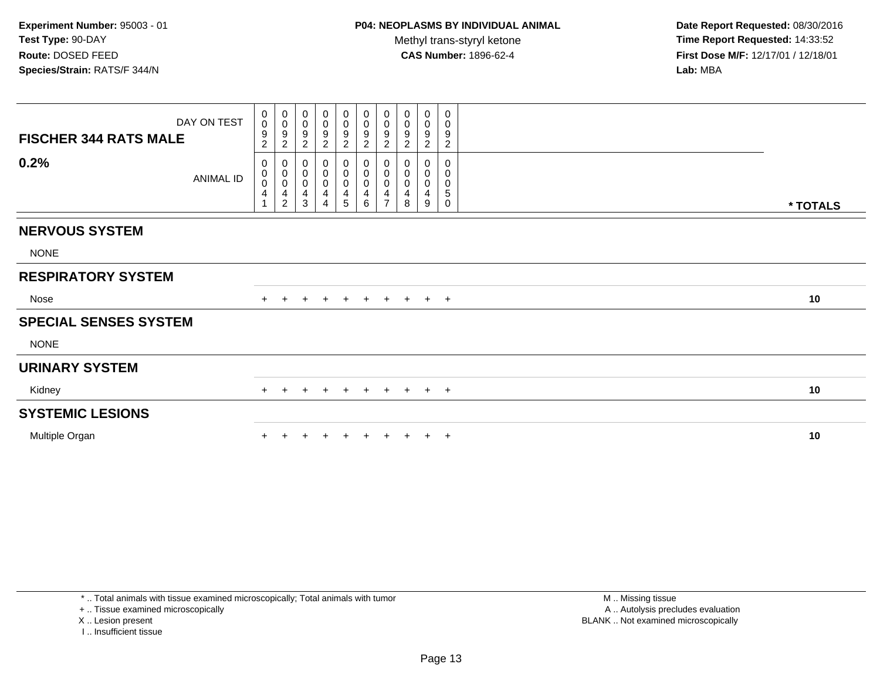**Date Report Requested:** 08/30/2016 **Time Report Requested:** 14:33:52 **First Dose M/F:** 12/17/01 / 12/18/01<br>**Lab:** MBA **Lab:** MBA

| DAY ON TEST<br><b>FISCHER 344 RATS MALE</b> | $\mathbf{0}$<br>$\mathbf 0$<br>9<br>$\overline{c}$ | $\begin{array}{c} 0 \\ 0 \\ 9 \\ 2 \end{array}$                                                 | 0<br>$\pmb{0}$<br>$\boldsymbol{9}$<br>$\overline{2}$              | $\mathbf 0$<br>$\mathbf 0$<br>$\frac{9}{2}$                             | $\mathbf 0$<br>0<br>$\boldsymbol{9}$<br>$\overline{2}$ | $\mathbf 0$<br>$\pmb{0}$<br>$\overline{9}$<br>$\boldsymbol{2}$ | 0<br>$\boldsymbol{0}$<br>$\boldsymbol{9}$<br>$\overline{c}$ | 0<br>$\pmb{0}$<br>$\boldsymbol{9}$<br>$\overline{2}$ | 0<br>$\pmb{0}$<br>9<br>$\overline{2}$ | 0<br>$\,0\,$<br>$\boldsymbol{9}$<br>$\overline{c}$        |          |
|---------------------------------------------|----------------------------------------------------|-------------------------------------------------------------------------------------------------|-------------------------------------------------------------------|-------------------------------------------------------------------------|--------------------------------------------------------|----------------------------------------------------------------|-------------------------------------------------------------|------------------------------------------------------|---------------------------------------|-----------------------------------------------------------|----------|
| 0.2%<br>ANIMAL ID                           | 0<br>$_0^0$<br>4                                   | $\begin{smallmatrix} 0\\0\\0\\0 \end{smallmatrix}$<br>$\overline{\mathbf{4}}$<br>$\overline{2}$ | $_{\rm 0}^{\rm 0}$<br>$\pmb{0}$<br>$\overline{4}$<br>$\mathbf{3}$ | $\pmb{0}$<br>$\pmb{0}$<br>$\pmb{0}$<br>$\overline{4}$<br>$\overline{4}$ | $_{\rm 0}^{\rm 0}$<br>$\mathbf 0$<br>4<br>5            | $_{\rm 0}^{\rm 0}$<br>$\pmb{0}$<br>4<br>6                      | 0<br>$\pmb{0}$<br>$\pmb{0}$<br>4<br>$\overline{7}$          | 0<br>$\pmb{0}$<br>$\pmb{0}$<br>4<br>8                | 0<br>$\pmb{0}$<br>$\pmb{0}$<br>4<br>9 | $\mathbf 0$<br>$\pmb{0}$<br>$\pmb{0}$<br>$\mathbf 5$<br>0 | * TOTALS |
| <b>NERVOUS SYSTEM</b>                       |                                                    |                                                                                                 |                                                                   |                                                                         |                                                        |                                                                |                                                             |                                                      |                                       |                                                           |          |
| <b>NONE</b>                                 |                                                    |                                                                                                 |                                                                   |                                                                         |                                                        |                                                                |                                                             |                                                      |                                       |                                                           |          |
| <b>RESPIRATORY SYSTEM</b>                   |                                                    |                                                                                                 |                                                                   |                                                                         |                                                        |                                                                |                                                             |                                                      |                                       |                                                           |          |
| Nose                                        |                                                    | $\pm$                                                                                           | $+$                                                               | $+$                                                                     | $+$                                                    |                                                                |                                                             | + + + + +                                            |                                       |                                                           | 10       |
| <b>SPECIAL SENSES SYSTEM</b>                |                                                    |                                                                                                 |                                                                   |                                                                         |                                                        |                                                                |                                                             |                                                      |                                       |                                                           |          |
| <b>NONE</b>                                 |                                                    |                                                                                                 |                                                                   |                                                                         |                                                        |                                                                |                                                             |                                                      |                                       |                                                           |          |
| <b>URINARY SYSTEM</b>                       |                                                    |                                                                                                 |                                                                   |                                                                         |                                                        |                                                                |                                                             |                                                      |                                       |                                                           |          |
| Kidney                                      | $+$                                                | $+$                                                                                             | $\ddot{}$                                                         | $+$                                                                     | $+$                                                    | $+$                                                            |                                                             | + + + +                                              |                                       |                                                           | 10       |
| <b>SYSTEMIC LESIONS</b>                     |                                                    |                                                                                                 |                                                                   |                                                                         |                                                        |                                                                |                                                             |                                                      |                                       |                                                           |          |
| Multiple Organ                              |                                                    |                                                                                                 |                                                                   |                                                                         |                                                        |                                                                |                                                             |                                                      |                                       | $\overline{ }$                                            | 10       |

\* .. Total animals with tissue examined microscopically; Total animals with tumor

+ .. Tissue examined microscopically

X .. Lesion present

I .. Insufficient tissue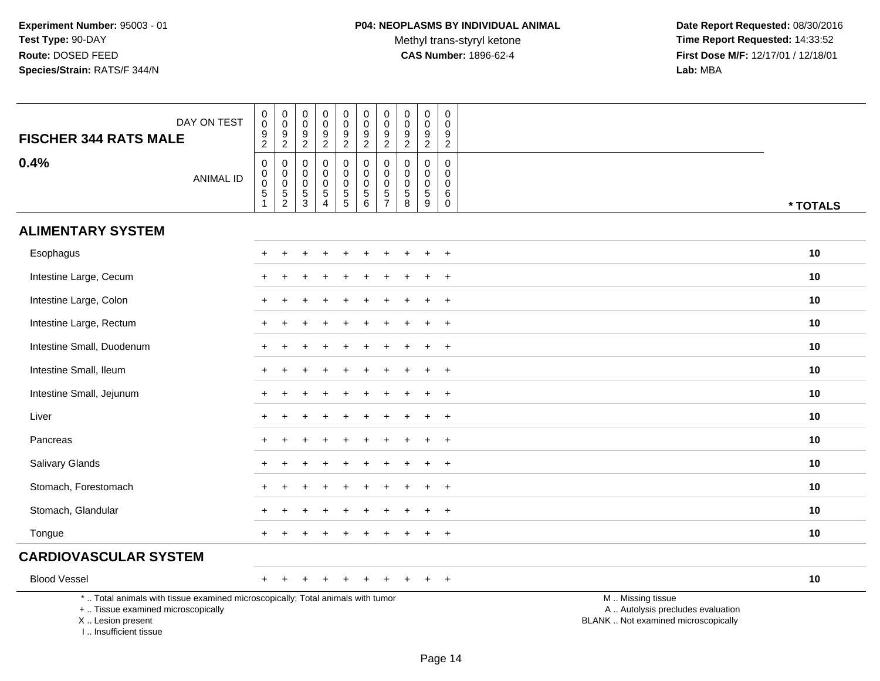Methyl trans-styryl ketone<br>CAS Number: 1896-62-4

 **Date Report Requested:** 08/30/2016 **Time Report Requested:** 14:33:52 **First Dose M/F:** 12/17/01 / 12/18/01<br>Lab: MBA **Lab:** MBA

| DAY ON TEST<br><b>FISCHER 344 RATS MALE</b>                                                                                                                           | $\pmb{0}$<br>$\pmb{0}$<br>$\frac{9}{2}$                          | $\begin{smallmatrix}0\\0\end{smallmatrix}$<br>$\frac{9}{2}$ | 0<br>$\mathsf 0$<br>9<br>$\boldsymbol{2}$           | 0<br>$\mathbf 0$<br>$\frac{9}{2}$                                                 | $\pmb{0}$<br>$\mathsf{O}\xspace$<br>$\frac{9}{2}$ | $\boldsymbol{0}$<br>$\mathsf{O}\xspace$<br>$\frac{9}{2}$                    | $\pmb{0}$<br>$\pmb{0}$<br>$\frac{9}{2}$                          | $\pmb{0}$<br>$\mathbf 0$<br>$\frac{9}{2}$                                | $\pmb{0}$<br>$\pmb{0}$<br>$\boldsymbol{9}$<br>$\overline{2}$ | $\pmb{0}$<br>$\boldsymbol{0}$<br>$\boldsymbol{9}$<br>$\overline{c}$ |                                                                                               |
|-----------------------------------------------------------------------------------------------------------------------------------------------------------------------|------------------------------------------------------------------|-------------------------------------------------------------|-----------------------------------------------------|-----------------------------------------------------------------------------------|---------------------------------------------------|-----------------------------------------------------------------------------|------------------------------------------------------------------|--------------------------------------------------------------------------|--------------------------------------------------------------|---------------------------------------------------------------------|-----------------------------------------------------------------------------------------------|
| 0.4%<br><b>ANIMAL ID</b>                                                                                                                                              | $\mathsf{O}\xspace$<br>$\begin{matrix} 0 \\ 0 \\ 5 \end{matrix}$ | $\pmb{0}$<br>$\begin{matrix} 0 \\ 0 \\ 5 \\ 2 \end{matrix}$ | 0<br>0<br>$\mathsf 0$<br>$\sqrt{5}$<br>$\mathbf{3}$ | $\mathbf 0$<br>$\mathbf 0$<br>$\mathbf 0$<br>$\sqrt{5}$<br>$\boldsymbol{\Lambda}$ | 0<br>$\mathbf 0$<br>$\pmb{0}$<br>$\frac{5}{5}$    | 0<br>$\ddot{\mathbf{0}}$<br>$\mathsf{O}\xspace$<br>$5\,$<br>$6\overline{6}$ | $\mathbf 0$<br>$\ddot{\mathbf{0}}$<br>$\pmb{0}$<br>$\frac{5}{7}$ | $\mathbf 0$<br>0<br>$\mathbf 0$<br>$\begin{array}{c} 5 \\ 8 \end{array}$ | $\mathbf 0$<br>$\mathbf 0$<br>$\mathbf 0$<br>$\sqrt{5}$<br>9 | $\mathbf 0$<br>0<br>$\mathbf 0$<br>6<br>$\,0\,$                     | * TOTALS                                                                                      |
| <b>ALIMENTARY SYSTEM</b>                                                                                                                                              |                                                                  |                                                             |                                                     |                                                                                   |                                                   |                                                                             |                                                                  |                                                                          |                                                              |                                                                     |                                                                                               |
| Esophagus                                                                                                                                                             | $+$                                                              |                                                             |                                                     |                                                                                   |                                                   |                                                                             |                                                                  |                                                                          |                                                              | $+$                                                                 | 10                                                                                            |
| Intestine Large, Cecum                                                                                                                                                |                                                                  |                                                             |                                                     |                                                                                   |                                                   |                                                                             |                                                                  |                                                                          |                                                              | $\overline{+}$                                                      | 10                                                                                            |
| Intestine Large, Colon                                                                                                                                                |                                                                  |                                                             |                                                     |                                                                                   |                                                   |                                                                             |                                                                  |                                                                          |                                                              | $\ddot{}$                                                           | 10                                                                                            |
| Intestine Large, Rectum                                                                                                                                               | $+$                                                              |                                                             |                                                     |                                                                                   |                                                   |                                                                             |                                                                  |                                                                          | ÷.                                                           | $+$                                                                 | 10                                                                                            |
| Intestine Small, Duodenum                                                                                                                                             | $\pm$                                                            |                                                             |                                                     |                                                                                   |                                                   |                                                                             |                                                                  |                                                                          |                                                              | $+$                                                                 | 10                                                                                            |
| Intestine Small, Ileum                                                                                                                                                |                                                                  |                                                             |                                                     |                                                                                   |                                                   |                                                                             |                                                                  |                                                                          |                                                              | $\overline{+}$                                                      | 10                                                                                            |
| Intestine Small, Jejunum                                                                                                                                              | $\pm$                                                            |                                                             |                                                     |                                                                                   |                                                   |                                                                             |                                                                  |                                                                          |                                                              | $\ddot{}$                                                           | 10                                                                                            |
| Liver                                                                                                                                                                 |                                                                  |                                                             |                                                     |                                                                                   |                                                   |                                                                             |                                                                  |                                                                          |                                                              | $+$                                                                 | 10                                                                                            |
| Pancreas                                                                                                                                                              |                                                                  |                                                             |                                                     |                                                                                   |                                                   |                                                                             |                                                                  |                                                                          |                                                              | $\overline{+}$                                                      | 10                                                                                            |
| Salivary Glands                                                                                                                                                       |                                                                  |                                                             |                                                     |                                                                                   |                                                   |                                                                             |                                                                  |                                                                          |                                                              | $\ddot{}$                                                           | 10                                                                                            |
| Stomach, Forestomach                                                                                                                                                  |                                                                  |                                                             |                                                     |                                                                                   |                                                   |                                                                             |                                                                  |                                                                          |                                                              | $\overline{+}$                                                      | 10                                                                                            |
| Stomach, Glandular                                                                                                                                                    |                                                                  |                                                             |                                                     |                                                                                   |                                                   |                                                                             |                                                                  |                                                                          |                                                              | $\ddot{}$                                                           | 10                                                                                            |
| Tongue                                                                                                                                                                |                                                                  |                                                             |                                                     |                                                                                   |                                                   |                                                                             |                                                                  |                                                                          |                                                              | $+$                                                                 | 10                                                                                            |
| <b>CARDIOVASCULAR SYSTEM</b>                                                                                                                                          |                                                                  |                                                             |                                                     |                                                                                   |                                                   |                                                                             |                                                                  |                                                                          |                                                              |                                                                     |                                                                                               |
| <b>Blood Vessel</b>                                                                                                                                                   | $+$                                                              |                                                             |                                                     |                                                                                   |                                                   |                                                                             |                                                                  |                                                                          |                                                              | $+$                                                                 | 10                                                                                            |
| *  Total animals with tissue examined microscopically; Total animals with tumor<br>+  Tissue examined microscopically<br>X  Lesion present<br>I., Insufficient tissue |                                                                  |                                                             |                                                     |                                                                                   |                                                   |                                                                             |                                                                  |                                                                          |                                                              |                                                                     | M  Missing tissue<br>A  Autolysis precludes evaluation<br>BLANK  Not examined microscopically |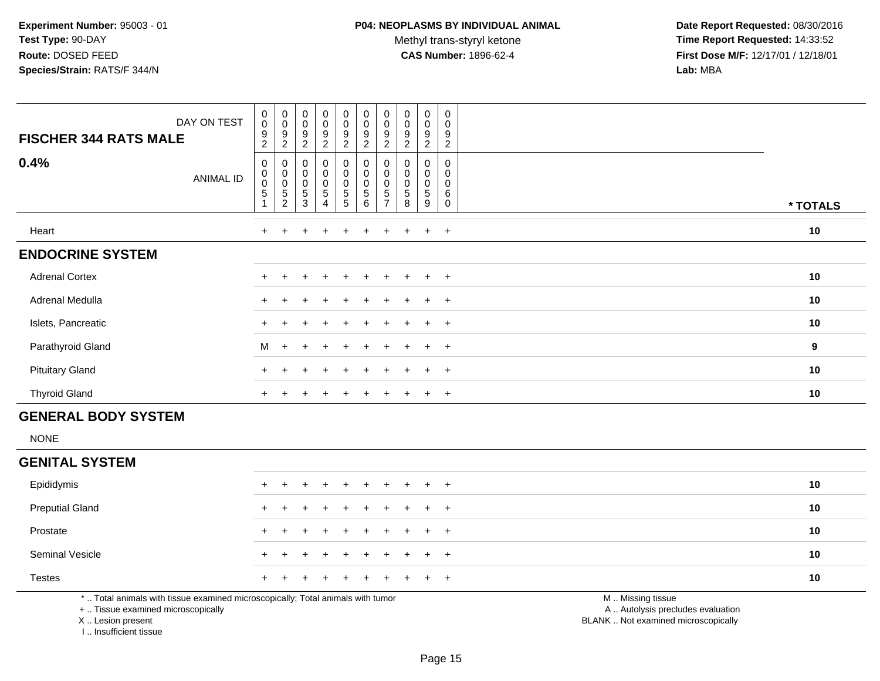Methyl trans-styryl ketone<br>CAS Number: 1896-62-4

 **Date Report Requested:** 08/30/2016 **Time Report Requested:** 14:33:52 **First Dose M/F:** 12/17/01 / 12/18/01<br>**Lab:** MBA **Lab:** MBA

| DAY ON TEST<br><b>FISCHER 344 RATS MALE</b> | $_{\rm 0}^{\rm 0}$<br>$\boldsymbol{9}$<br>$\overline{c}$ | $_{\rm 0}^{\rm 0}$<br>9<br>$\overline{c}$                               | $_{\rm 0}^{\rm 0}$<br>$\boldsymbol{9}$<br>$\overline{c}$ | $\begin{smallmatrix}0\0\end{smallmatrix}$<br>9<br>$\overline{c}$     | $_{\rm 0}^{\rm 0}$<br>$\boldsymbol{9}$<br>$\overline{2}$                            | $_{\rm 0}^{\rm 0}$<br>$\boldsymbol{9}$<br>$\overline{2}$ | 0<br>$\mathbf 0$<br>9<br>2            | $\pmb{0}$<br>$\pmb{0}$<br>$\boldsymbol{9}$<br>2 | $\mathbf 0$<br>0<br>9<br>$\overline{c}$ | $\pmb{0}$<br>$\pmb{0}$<br>$\boldsymbol{9}$<br>$\overline{c}$ |          |
|---------------------------------------------|----------------------------------------------------------|-------------------------------------------------------------------------|----------------------------------------------------------|----------------------------------------------------------------------|-------------------------------------------------------------------------------------|----------------------------------------------------------|---------------------------------------|-------------------------------------------------|-----------------------------------------|--------------------------------------------------------------|----------|
| 0.4%<br><b>ANIMAL ID</b>                    | 0<br>$_{\rm 0}^{\rm 0}$<br>$\sqrt{5}$                    | 0<br>$\begin{smallmatrix}0\0\0\end{smallmatrix}$<br>5<br>$\overline{c}$ | 0<br>$\pmb{0}$<br>$\pmb{0}$<br>5<br>3                    | $\begin{smallmatrix}0\0\0\0\end{smallmatrix}$<br>5<br>$\overline{4}$ | $_{\rm 0}^{\rm 0}$<br>$\begin{smallmatrix}0\0\5\end{smallmatrix}$<br>$\overline{5}$ | 0<br>$_{\rm 0}^{\rm 0}$<br>$\sqrt{5}$<br>$\,6\,$         | $\pmb{0}$<br>0<br>5<br>$\overline{ }$ | 0<br>0<br>0<br>5<br>8                           | 0<br>0<br>0<br>5<br>9                   | 0<br>0<br>0<br>6<br>0                                        | * TOTALS |
| Heart                                       | $+$                                                      |                                                                         |                                                          | $\div$                                                               | $\pm$                                                                               | $+$                                                      | $\pm$                                 | $+$                                             | $+$                                     | $+$                                                          | 10       |
| <b>ENDOCRINE SYSTEM</b>                     |                                                          |                                                                         |                                                          |                                                                      |                                                                                     |                                                          |                                       |                                                 |                                         |                                                              |          |
| <b>Adrenal Cortex</b>                       |                                                          |                                                                         |                                                          |                                                                      | +                                                                                   |                                                          |                                       |                                                 | $\pm$                                   | $+$                                                          | 10       |
| Adrenal Medulla                             |                                                          |                                                                         |                                                          |                                                                      | $\pm$                                                                               |                                                          |                                       |                                                 | $\ddot{}$                               | $+$                                                          | 10       |
| Islets, Pancreatic                          |                                                          |                                                                         |                                                          | $\div$                                                               | $\pm$                                                                               | $+$                                                      | $\pm$                                 | $+$                                             | $+$                                     | $+$                                                          | 10       |
| Parathyroid Gland                           | M                                                        | $+$                                                                     |                                                          |                                                                      | $+$                                                                                 |                                                          |                                       | ÷.                                              | $+$                                     | $+$                                                          | 9        |
| <b>Pituitary Gland</b>                      |                                                          |                                                                         |                                                          |                                                                      | $+$                                                                                 |                                                          |                                       | $\pm$                                           | $\ddot{}$                               | $+$                                                          | 10       |
| <b>Thyroid Gland</b>                        |                                                          |                                                                         |                                                          |                                                                      |                                                                                     |                                                          |                                       |                                                 | $\pm$                                   | $+$                                                          | 10       |

## **GENERAL BODY SYSTEM**

NONE

#### **GENITAL SYSTEM**

| Epididymis             |  | + + + + + + + + + + |  |  |  | 10 |
|------------------------|--|---------------------|--|--|--|----|
| <b>Preputial Gland</b> |  | + + + + + + + + + + |  |  |  | 10 |
| Prostate               |  | + + + + + + + + + + |  |  |  | 10 |
| <b>Seminal Vesicle</b> |  | + + + + + + + + + + |  |  |  | 10 |
| <b>Testes</b>          |  | + + + + + + + + + + |  |  |  | 10 |
|                        |  |                     |  |  |  |    |

\* .. Total animals with tissue examined microscopically; Total animals with tumor

+ .. Tissue examined microscopically

X .. Lesion present

I .. Insufficient tissue

M .. Missing tissue

y the contract of the contract of the contract of the contract of the contract of the contract of the contract of  $A$ . Autolysis precludes evaluation

Lesion present BLANK .. Not examined microscopically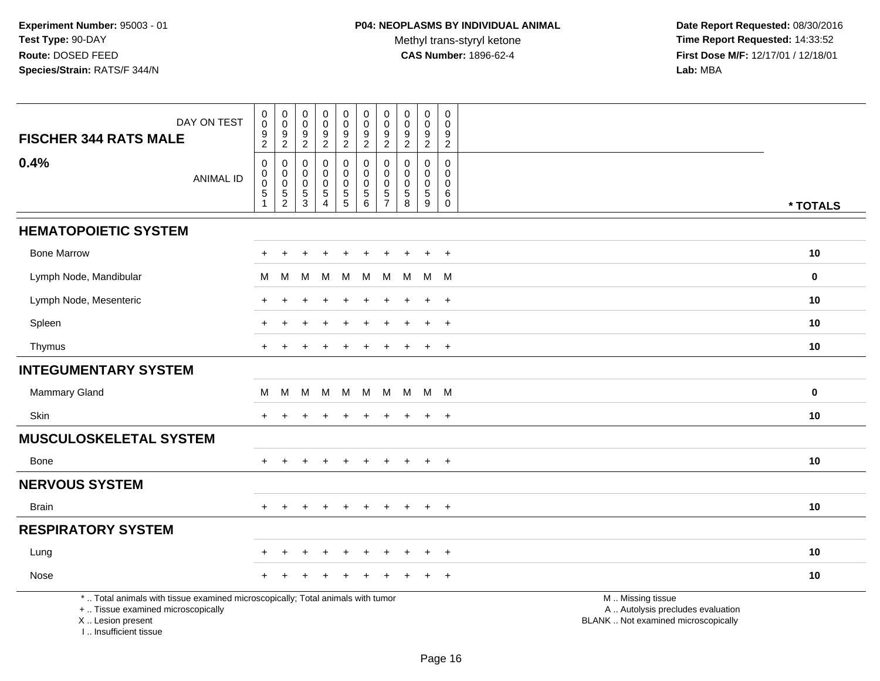Methyl trans-styryl ketone<br>CAS Number: 1896-62-4

 **Date Report Requested:** 08/30/2016 **Time Report Requested:** 14:33:52 **First Dose M/F:** 12/17/01 / 12/18/01<br>Lab: MBA **Lab:** MBA

| DAY ON TEST<br><b>FISCHER 344 RATS MALE</b>                                                                                                                        | $\pmb{0}$<br>$\bar{0}$<br>9 | $_{\rm 0}^{\rm 0}$<br>$\boldsymbol{9}$    | $\mathbf 0$<br>$\boldsymbol{0}$<br>$\frac{9}{2}$ | $\mathbf 0$<br>0<br>9     | $\pmb{0}$<br>$\ddot{\mathbf{0}}$<br>$\frac{9}{2}$ | $\mathbf 0$<br>$\ddot{\mathbf{0}}$<br>$\frac{9}{2}$ | $\mathbf 0$<br>$\ddot{\mathbf{0}}$<br>$\boldsymbol{9}$ | $\pmb{0}$<br>0<br>$\boldsymbol{9}$ | $\pmb{0}$<br>$\overline{0}$<br>$\frac{9}{2}$ | 0<br>$\mathbf 0$<br>9 |                                                                                               |             |
|--------------------------------------------------------------------------------------------------------------------------------------------------------------------|-----------------------------|-------------------------------------------|--------------------------------------------------|---------------------------|---------------------------------------------------|-----------------------------------------------------|--------------------------------------------------------|------------------------------------|----------------------------------------------|-----------------------|-----------------------------------------------------------------------------------------------|-------------|
|                                                                                                                                                                    | $\overline{c}$              | $\overline{c}$                            |                                                  | $\overline{2}$            |                                                   |                                                     | $\mathbf{2}$                                           | $\overline{2}$                     |                                              | $\sqrt{2}$            |                                                                                               |             |
| 0.4%<br><b>ANIMAL ID</b>                                                                                                                                           | $\pmb{0}$<br>$\overline{0}$ | $\mathbf 0$                               | $\mathbf 0$<br>$\mathbf 0$                       | $\mathbf 0$<br>0          | 0<br>0                                            | $\boldsymbol{0}$<br>$\pmb{0}$                       | $\Omega$<br>0                                          | $\mathbf 0$<br>$\mathbf 0$         | $\mathbf 0$<br>$\mathbf 0$                   | $\Omega$<br>0         |                                                                                               |             |
|                                                                                                                                                                    | $\overline{5}$              | $\begin{matrix} 0 \\ 0 \\ 5 \end{matrix}$ | $\boldsymbol{0}$<br>$\frac{5}{3}$                | $\mathbf 0$<br>$\sqrt{5}$ | $\pmb{0}$<br>$\overline{5}$                       | $\mathbf 0$<br>$\overline{5}$ 6                     | $\mathbf 0$<br>$\overline{5}$                          | 0<br>$\sqrt{5}$                    | $\pmb{0}$<br>$\overline{5}$                  | $\Omega$<br>$\,6\,$   |                                                                                               |             |
|                                                                                                                                                                    |                             | $\overline{c}$                            |                                                  | $\overline{4}$            |                                                   |                                                     | $\overline{7}$                                         | 8                                  | 9                                            | $\mathsf{O}$          |                                                                                               | * TOTALS    |
| <b>HEMATOPOIETIC SYSTEM</b>                                                                                                                                        |                             |                                           |                                                  |                           |                                                   |                                                     |                                                        |                                    |                                              |                       |                                                                                               |             |
| <b>Bone Marrow</b>                                                                                                                                                 |                             |                                           |                                                  |                           |                                                   |                                                     |                                                        |                                    |                                              | $+$                   |                                                                                               | 10          |
| Lymph Node, Mandibular                                                                                                                                             | м                           | M                                         | м                                                | M                         | M                                                 | M                                                   | M                                                      | M                                  | M                                            | M                     |                                                                                               | $\mathbf 0$ |
| Lymph Node, Mesenteric                                                                                                                                             | $\pm$                       | $\ddot{}$                                 |                                                  |                           |                                                   |                                                     | $\div$                                                 |                                    | $\ddot{}$                                    | $+$                   |                                                                                               | 10          |
| Spleen                                                                                                                                                             | $+$                         | $\ddot{}$                                 |                                                  |                           | $\ddot{}$                                         |                                                     | $\ddot{}$                                              | $\pm$                              | $+$                                          | $+$                   |                                                                                               | 10          |
| Thymus                                                                                                                                                             |                             |                                           |                                                  |                           |                                                   |                                                     |                                                        |                                    |                                              | $+$                   |                                                                                               | 10          |
| <b>INTEGUMENTARY SYSTEM</b>                                                                                                                                        |                             |                                           |                                                  |                           |                                                   |                                                     |                                                        |                                    |                                              |                       |                                                                                               |             |
| Mammary Gland                                                                                                                                                      | м                           | M                                         | M                                                |                           | M M M                                             |                                                     | M                                                      |                                    | M M M                                        |                       |                                                                                               | $\bf{0}$    |
| Skin                                                                                                                                                               | $+$                         | $\div$                                    |                                                  |                           | $\ddot{}$                                         |                                                     | $\pm$                                                  | $\pm$                              | $+$                                          | $+$                   |                                                                                               | 10          |
| <b>MUSCULOSKELETAL SYSTEM</b>                                                                                                                                      |                             |                                           |                                                  |                           |                                                   |                                                     |                                                        |                                    |                                              |                       |                                                                                               |             |
| Bone                                                                                                                                                               | $+$                         |                                           |                                                  |                           |                                                   |                                                     |                                                        |                                    |                                              | $\overline{+}$        |                                                                                               | 10          |
| <b>NERVOUS SYSTEM</b>                                                                                                                                              |                             |                                           |                                                  |                           |                                                   |                                                     |                                                        |                                    |                                              |                       |                                                                                               |             |
| <b>Brain</b>                                                                                                                                                       | $+$                         | $+$                                       | $+$                                              | $+$                       | $+$                                               | $+$                                                 | $+$                                                    | $+$                                | $+$                                          | $+$                   |                                                                                               | 10          |
| <b>RESPIRATORY SYSTEM</b>                                                                                                                                          |                             |                                           |                                                  |                           |                                                   |                                                     |                                                        |                                    |                                              |                       |                                                                                               |             |
| Lung                                                                                                                                                               |                             |                                           |                                                  |                           |                                                   |                                                     |                                                        |                                    |                                              | $\overline{ }$        |                                                                                               | 10          |
| Nose                                                                                                                                                               |                             |                                           |                                                  |                           |                                                   |                                                     |                                                        |                                    |                                              | $\ddot{}$             |                                                                                               | 10          |
| *  Total animals with tissue examined microscopically; Total animals with tumor<br>+  Tissue examined microscopically<br>X Lesion present<br>I Insufficient tissue |                             |                                           |                                                  |                           |                                                   |                                                     |                                                        |                                    |                                              |                       | M  Missing tissue<br>A  Autolysis precludes evaluation<br>BLANK  Not examined microscopically |             |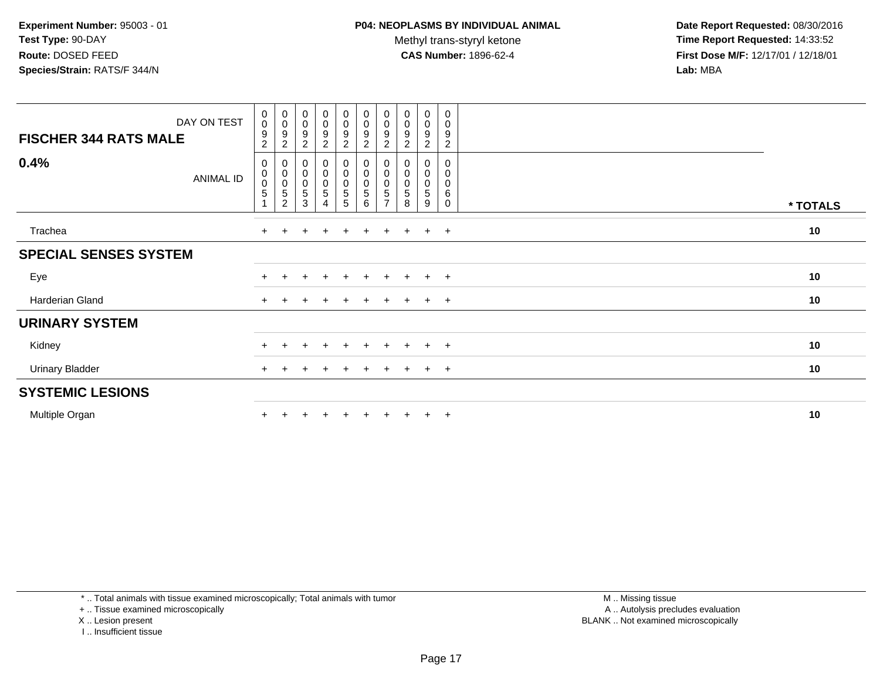Methyl trans-styryl ketone<br>CAS Number: 1896-62-4

 **Date Report Requested:** 08/30/2016 **Time Report Requested:** 14:33:52 **First Dose M/F:** 12/17/01 / 12/18/01<br>**Lab:** MBA **Lab:** MBA

| DAY ON TEST<br><b>FISCHER 344 RATS MALE</b> | $\begin{smallmatrix} 0\\0 \end{smallmatrix}$<br>$\boldsymbol{9}$<br>$\overline{c}$ | $_{\rm 0}^{\rm 0}$<br>9<br>$\overline{c}$ | $\begin{smallmatrix}0\\0\\9\end{smallmatrix}$<br>$\sqrt{2}$       | $_{\rm 0}^{\rm 0}$<br>$\boldsymbol{9}$<br>$\boldsymbol{2}$ | $\begin{smallmatrix}0\\0\end{smallmatrix}$<br>$\boldsymbol{9}$<br>$\overline{2}$ | $\begin{smallmatrix}0\0\0\end{smallmatrix}$<br>$\boldsymbol{9}$<br>$\overline{c}$ | $_{\rm 0}^{\rm 0}$<br>9<br>$\overline{c}$ | $_{\rm 0}^{\rm 0}$<br>$\boldsymbol{9}$<br>$\overline{2}$ | $\begin{smallmatrix} 0\\0 \end{smallmatrix}$<br>$9\,$<br>$\overline{2}$ | 0<br>$\boldsymbol{0}$<br>$9\,$<br>$\sqrt{2}$                  |          |
|---------------------------------------------|------------------------------------------------------------------------------------|-------------------------------------------|-------------------------------------------------------------------|------------------------------------------------------------|----------------------------------------------------------------------------------|-----------------------------------------------------------------------------------|-------------------------------------------|----------------------------------------------------------|-------------------------------------------------------------------------|---------------------------------------------------------------|----------|
| 0.4%<br><b>ANIMAL ID</b>                    | 0<br>$\pmb{0}$<br>$\pmb{0}$<br>$\sqrt{5}$<br>$\overline{A}$                        | 0<br>0<br>$\,$ 5 $\,$<br>$\overline{c}$   | $\begin{smallmatrix}0\\0\\0\end{smallmatrix}$<br>$\,$ 5 $\,$<br>3 | $_0^0$<br>0<br>5<br>4                                      | $_{\rm 0}^{\rm 0}$<br>$\pmb{0}$<br>$\mathbf 5$<br>5                              | $\pmb{0}$<br>$\pmb{0}$<br>5<br>6                                                  | $\pmb{0}$<br>0<br>5                       | $\pmb{0}$<br>$\mathbf 0$<br>5<br>8                       | 0<br>$\mathsf 0$<br>$\mathbf 0$<br>$\sqrt{5}$<br>9                      | $\mathbf 0$<br>$\mathbf 0$<br>$\mathbf 0$<br>6<br>$\mathbf 0$ | * TOTALS |
| Trachea                                     | $+$                                                                                | $\pm$                                     |                                                                   | $\overline{+}$                                             | $+$                                                                              | $\ddot{}$                                                                         | $+$                                       | $+$                                                      | $+$                                                                     | $+$                                                           | 10       |
| <b>SPECIAL SENSES SYSTEM</b>                |                                                                                    |                                           |                                                                   |                                                            |                                                                                  |                                                                                   |                                           |                                                          |                                                                         |                                                               |          |
| Eye                                         |                                                                                    |                                           |                                                                   | $+$                                                        | $+$                                                                              | $+$                                                                               | $+$                                       | $+$                                                      | $+$                                                                     | $+$                                                           | 10       |
| Harderian Gland                             | $+$                                                                                |                                           |                                                                   |                                                            |                                                                                  |                                                                                   |                                           | $\ddot{}$                                                | $+$                                                                     | $+$                                                           | 10       |
| <b>URINARY SYSTEM</b>                       |                                                                                    |                                           |                                                                   |                                                            |                                                                                  |                                                                                   |                                           |                                                          |                                                                         |                                                               |          |
| Kidney                                      | $+$                                                                                | ÷.                                        | $\pm$                                                             | $+$                                                        | $+$                                                                              | $+$                                                                               | $+$                                       | $+$                                                      | $+$                                                                     | $+$                                                           | 10       |
| <b>Urinary Bladder</b>                      | $\ddot{}$                                                                          | $\pm$                                     |                                                                   | $\pm$                                                      | $\pm$                                                                            |                                                                                   | $+$                                       | $+$                                                      | $+$                                                                     | $+$                                                           | 10       |
| <b>SYSTEMIC LESIONS</b>                     |                                                                                    |                                           |                                                                   |                                                            |                                                                                  |                                                                                   |                                           |                                                          |                                                                         |                                                               |          |
| Multiple Organ                              |                                                                                    |                                           |                                                                   |                                                            |                                                                                  |                                                                                   |                                           |                                                          | $\pm$                                                                   | $+$                                                           | 10       |

\* .. Total animals with tissue examined microscopically; Total animals with tumor

+ .. Tissue examined microscopically

X .. Lesion present

I .. Insufficient tissue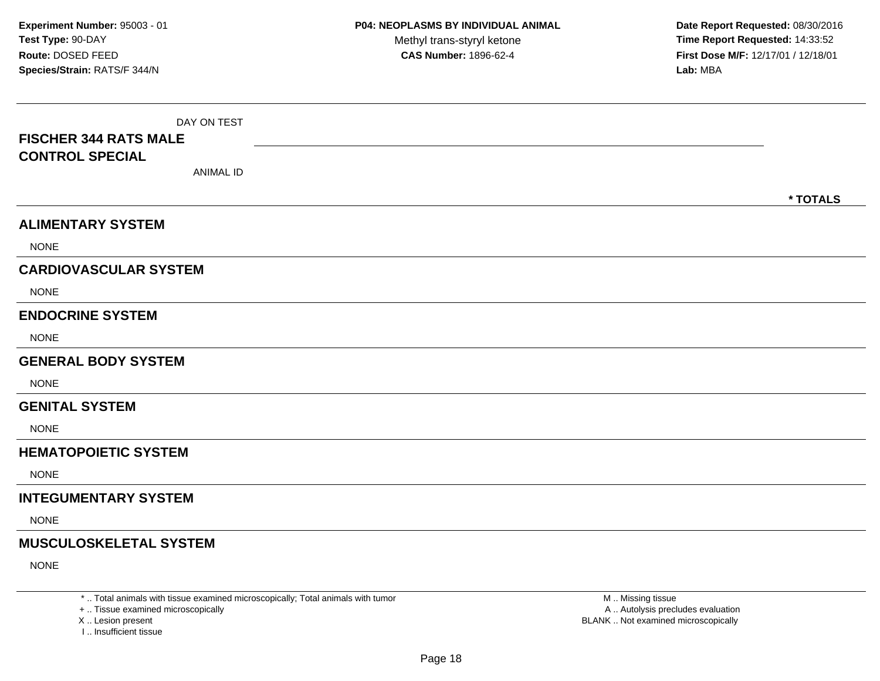| DAY ON TEST<br><b>FISCHER 344 RATS MALE</b><br><b>CONTROL SPECIAL</b><br><b>ANIMAL ID</b> |          |
|-------------------------------------------------------------------------------------------|----------|
|                                                                                           | * TOTALS |
| <b>ALIMENTARY SYSTEM</b>                                                                  |          |
| <b>NONE</b>                                                                               |          |
| <b>CARDIOVASCULAR SYSTEM</b>                                                              |          |
| <b>NONE</b>                                                                               |          |
| <b>ENDOCRINE SYSTEM</b>                                                                   |          |
| <b>NONE</b>                                                                               |          |
| <b>GENERAL BODY SYSTEM</b>                                                                |          |
| <b>NONE</b>                                                                               |          |
| <b>GENITAL SYSTEM</b>                                                                     |          |
| <b>NONE</b>                                                                               |          |
| <b>HEMATOPOIETIC SYSTEM</b>                                                               |          |
| <b>NONE</b>                                                                               |          |
| <b>INTEGUMENTARY SYSTEM</b>                                                               |          |
| <b>NONE</b>                                                                               |          |
| <b>MUSCULOSKELETAL SYSTEM</b>                                                             |          |
| <b>NONE</b>                                                                               |          |

\* .. Total animals with tissue examined microscopically; Total animals with tumor

+ .. Tissue examined microscopically

X .. Lesion present

I .. Insufficient tissue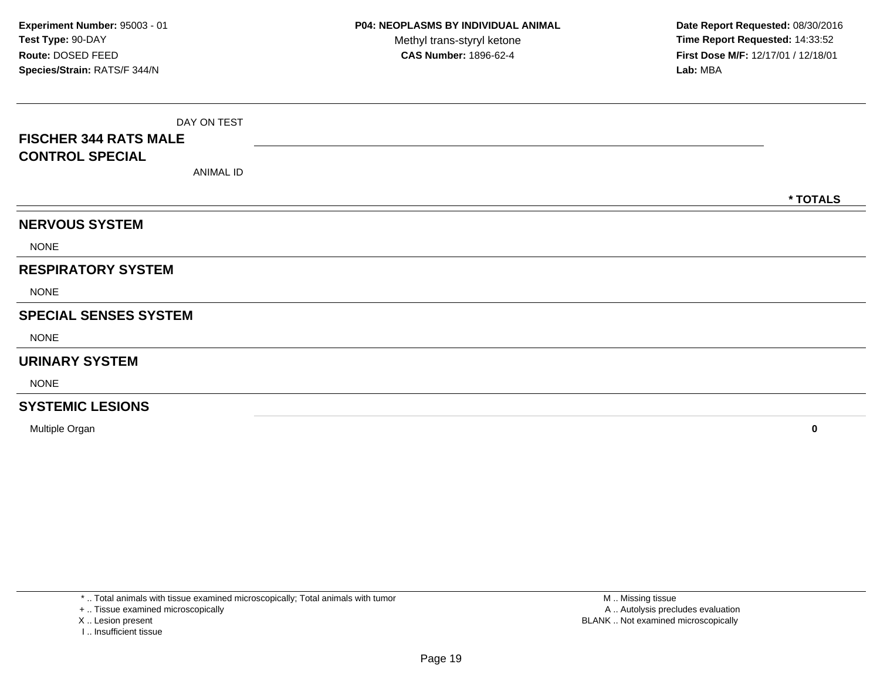|                              | DAY ON TEST |          |
|------------------------------|-------------|----------|
| <b>FISCHER 344 RATS MALE</b> |             |          |
| <b>CONTROL SPECIAL</b>       |             |          |
|                              | ANIMAL ID   |          |
|                              |             | * TOTALS |
| <b>NERVOUS SYSTEM</b>        |             |          |
| <b>NONE</b>                  |             |          |
| <b>RESPIRATORY SYSTEM</b>    |             |          |
| <b>NONE</b>                  |             |          |
| <b>SPECIAL SENSES SYSTEM</b> |             |          |
| <b>NONE</b>                  |             |          |
| <b>URINARY SYSTEM</b>        |             |          |
| <b>NONE</b>                  |             |          |
| <b>SYSTEMIC LESIONS</b>      |             |          |

Multiple Organ**<sup>0</sup>**

\* .. Total animals with tissue examined microscopically; Total animals with tumor

+ .. Tissue examined microscopically

X .. Lesion present

I .. Insufficient tissue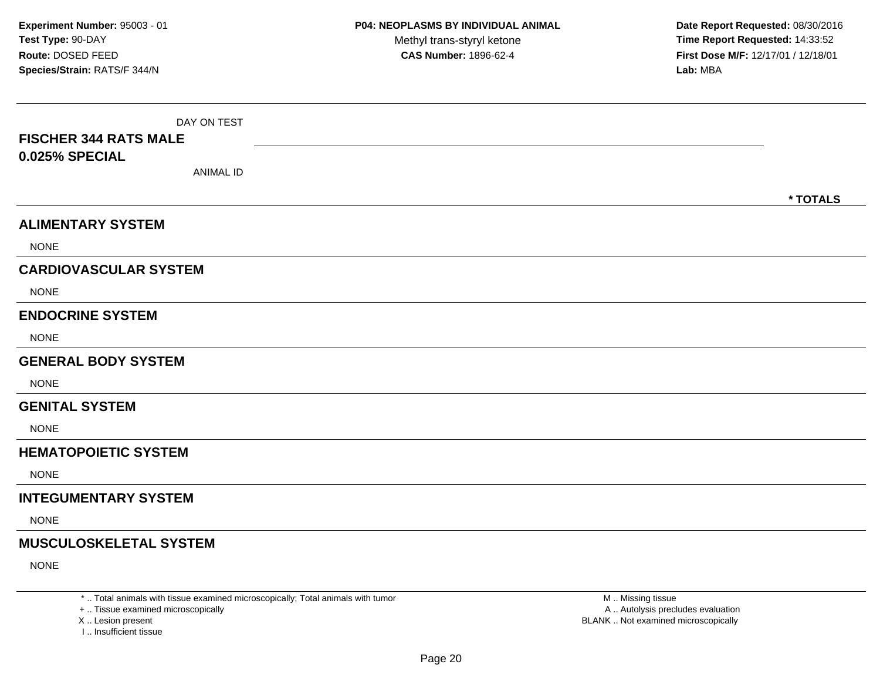| DAY ON TEST                        |          |
|------------------------------------|----------|
| <b>FISCHER 344 RATS MALE</b>       |          |
| 0.025% SPECIAL<br><b>ANIMAL ID</b> |          |
|                                    |          |
|                                    | * TOTALS |
| <b>ALIMENTARY SYSTEM</b>           |          |
| <b>NONE</b>                        |          |
| <b>CARDIOVASCULAR SYSTEM</b>       |          |
| <b>NONE</b>                        |          |
| <b>ENDOCRINE SYSTEM</b>            |          |
| <b>NONE</b>                        |          |
| <b>GENERAL BODY SYSTEM</b>         |          |
| <b>NONE</b>                        |          |
| <b>GENITAL SYSTEM</b>              |          |
| <b>NONE</b>                        |          |
| <b>HEMATOPOIETIC SYSTEM</b>        |          |
| <b>NONE</b>                        |          |
| <b>INTEGUMENTARY SYSTEM</b>        |          |
| <b>NONE</b>                        |          |
| <b>MUSCULOSKELETAL SYSTEM</b>      |          |
| <b>NONE</b>                        |          |

\* .. Total animals with tissue examined microscopically; Total animals with tumor

+ .. Tissue examined microscopically

X .. Lesion present

I .. Insufficient tissue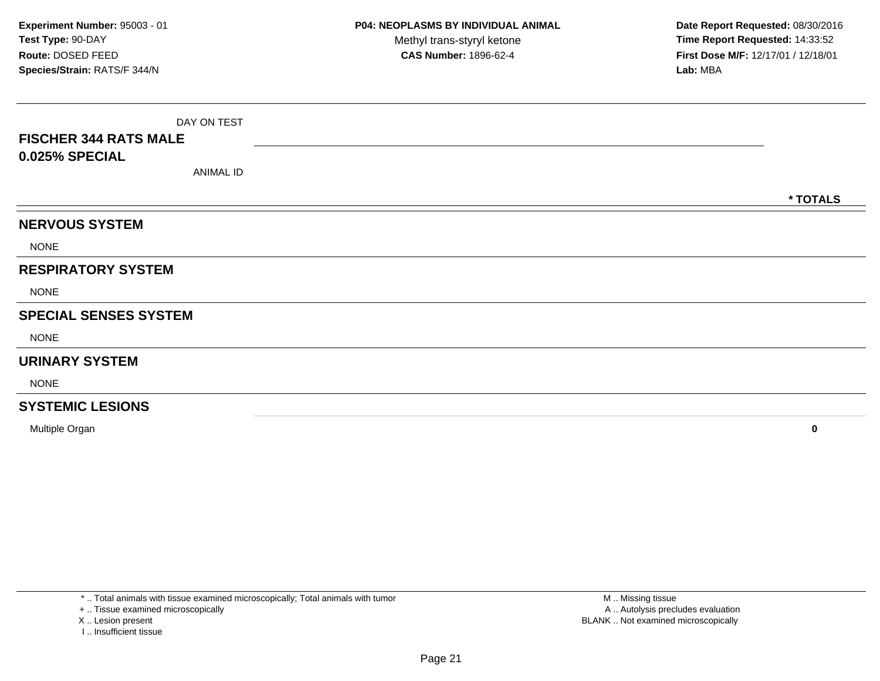|                              | DAY ON TEST |          |
|------------------------------|-------------|----------|
| <b>FISCHER 344 RATS MALE</b> |             |          |
| 0.025% SPECIAL               |             |          |
|                              | ANIMAL ID   |          |
|                              |             | * TOTALS |
| <b>NERVOUS SYSTEM</b>        |             |          |
| <b>NONE</b>                  |             |          |
| <b>RESPIRATORY SYSTEM</b>    |             |          |
| <b>NONE</b>                  |             |          |
| <b>SPECIAL SENSES SYSTEM</b> |             |          |
| <b>NONE</b>                  |             |          |
| <b>URINARY SYSTEM</b>        |             |          |
| <b>NONE</b>                  |             |          |
| <b>SYSTEMIC LESIONS</b>      |             |          |

Multiple Organ**<sup>0</sup>**

\* .. Total animals with tissue examined microscopically; Total animals with tumor

+ .. Tissue examined microscopically

X .. Lesion present

I .. Insufficient tissue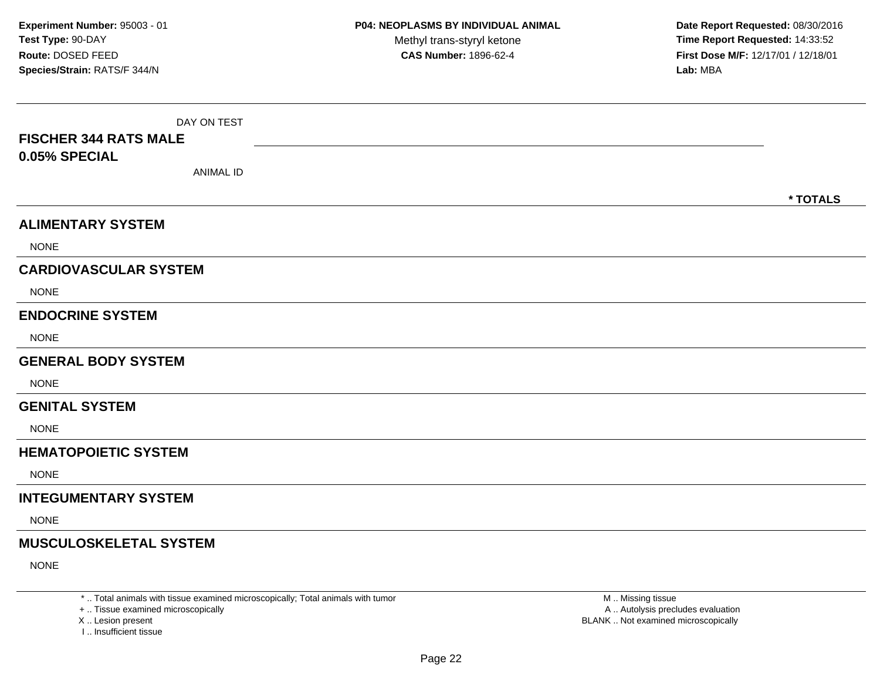| DAY ON TEST                       |          |
|-----------------------------------|----------|
| <b>FISCHER 344 RATS MALE</b>      |          |
| 0.05% SPECIAL<br><b>ANIMAL ID</b> |          |
|                                   |          |
|                                   | * TOTALS |
| <b>ALIMENTARY SYSTEM</b>          |          |
| <b>NONE</b>                       |          |
| <b>CARDIOVASCULAR SYSTEM</b>      |          |
| <b>NONE</b>                       |          |
| <b>ENDOCRINE SYSTEM</b>           |          |
| <b>NONE</b>                       |          |
| <b>GENERAL BODY SYSTEM</b>        |          |
| <b>NONE</b>                       |          |
| <b>GENITAL SYSTEM</b>             |          |
| <b>NONE</b>                       |          |
| <b>HEMATOPOIETIC SYSTEM</b>       |          |
| <b>NONE</b>                       |          |
| <b>INTEGUMENTARY SYSTEM</b>       |          |
| <b>NONE</b>                       |          |
| <b>MUSCULOSKELETAL SYSTEM</b>     |          |
| <b>NONE</b>                       |          |

\* .. Total animals with tissue examined microscopically; Total animals with tumor

+ .. Tissue examined microscopically

X .. Lesion present

I .. Insufficient tissue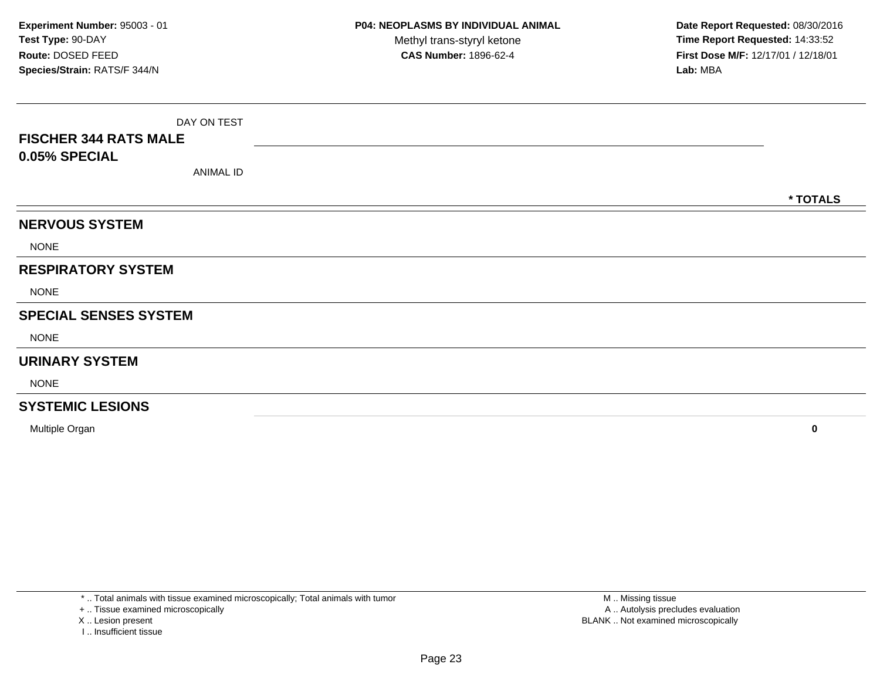|                              | DAY ON TEST      |          |
|------------------------------|------------------|----------|
| <b>FISCHER 344 RATS MALE</b> |                  |          |
| 0.05% SPECIAL                |                  |          |
|                              | <b>ANIMAL ID</b> |          |
|                              |                  | * TOTALS |
| <b>NERVOUS SYSTEM</b>        |                  |          |
| <b>NONE</b>                  |                  |          |
| <b>RESPIRATORY SYSTEM</b>    |                  |          |
| <b>NONE</b>                  |                  |          |
| <b>SPECIAL SENSES SYSTEM</b> |                  |          |
| <b>NONE</b>                  |                  |          |
| <b>URINARY SYSTEM</b>        |                  |          |
| <b>NONE</b>                  |                  |          |
| <b>SYSTEMIC LESIONS</b>      |                  |          |

Multiple Organ**<sup>0</sup>**

\* .. Total animals with tissue examined microscopically; Total animals with tumor

+ .. Tissue examined microscopically

X .. Lesion present

I .. Insufficient tissue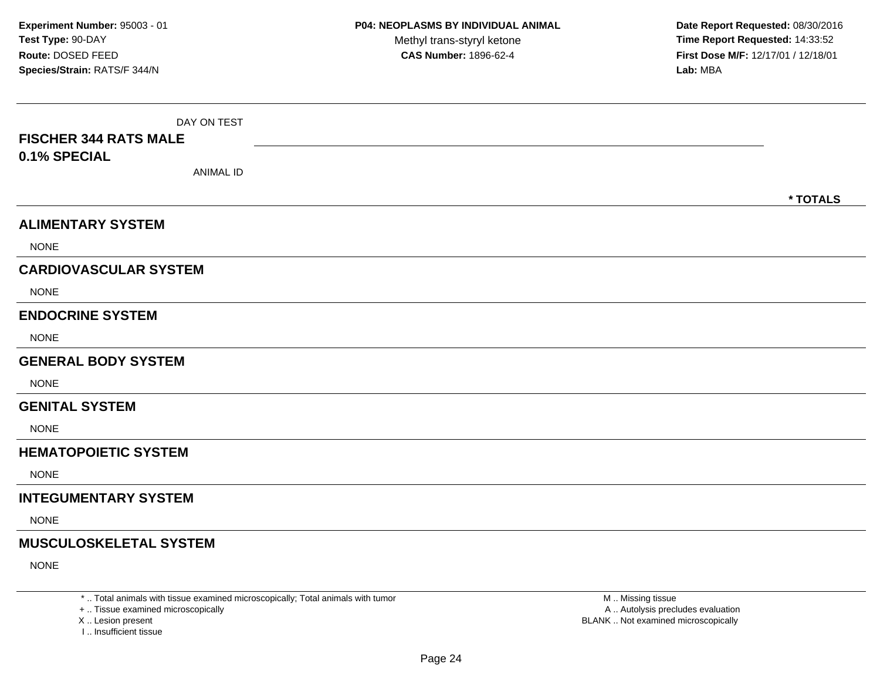| DAY ON TEST                   |          |
|-------------------------------|----------|
| <b>FISCHER 344 RATS MALE</b>  |          |
| 0.1% SPECIAL                  |          |
| <b>ANIMAL ID</b>              |          |
|                               | * TOTALS |
| <b>ALIMENTARY SYSTEM</b>      |          |
| <b>NONE</b>                   |          |
| <b>CARDIOVASCULAR SYSTEM</b>  |          |
| <b>NONE</b>                   |          |
| <b>ENDOCRINE SYSTEM</b>       |          |
| <b>NONE</b>                   |          |
| <b>GENERAL BODY SYSTEM</b>    |          |
| <b>NONE</b>                   |          |
| <b>GENITAL SYSTEM</b>         |          |
| <b>NONE</b>                   |          |
| <b>HEMATOPOIETIC SYSTEM</b>   |          |
| <b>NONE</b>                   |          |
| <b>INTEGUMENTARY SYSTEM</b>   |          |
| <b>NONE</b>                   |          |
| <b>MUSCULOSKELETAL SYSTEM</b> |          |
| <b>NONE</b>                   |          |

\* .. Total animals with tissue examined microscopically; Total animals with tumor

+ .. Tissue examined microscopically

X .. Lesion present

I .. Insufficient tissue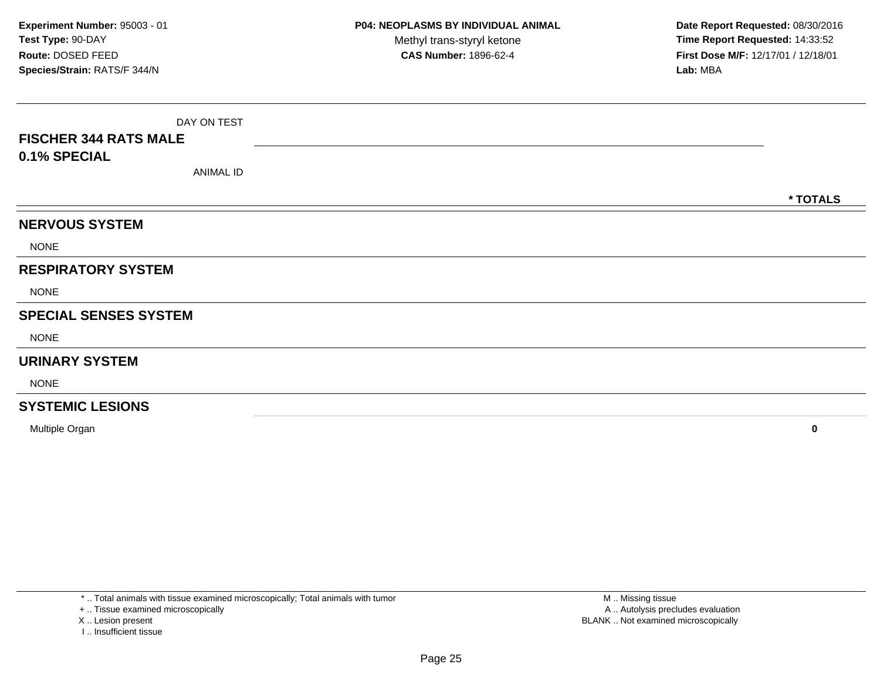| <b>FISCHER 344 RATS MALE</b> | DAY ON TEST      |  |  |          |
|------------------------------|------------------|--|--|----------|
| 0.1% SPECIAL                 | <b>ANIMAL ID</b> |  |  |          |
|                              |                  |  |  | * TOTALS |
| <b>NERVOUS SYSTEM</b>        |                  |  |  |          |
| <b>NONE</b>                  |                  |  |  |          |
| <b>RESPIRATORY SYSTEM</b>    |                  |  |  |          |
| <b>NONE</b>                  |                  |  |  |          |
| <b>SPECIAL SENSES SYSTEM</b> |                  |  |  |          |
| <b>NONE</b>                  |                  |  |  |          |
| <b>URINARY SYSTEM</b>        |                  |  |  |          |
| <b>NONE</b>                  |                  |  |  |          |
| <b>SYSTEMIC LESIONS</b>      |                  |  |  |          |

Multiple Organ**<sup>0</sup>**

\* .. Total animals with tissue examined microscopically; Total animals with tumor

+ .. Tissue examined microscopically

X .. Lesion present

I .. Insufficient tissue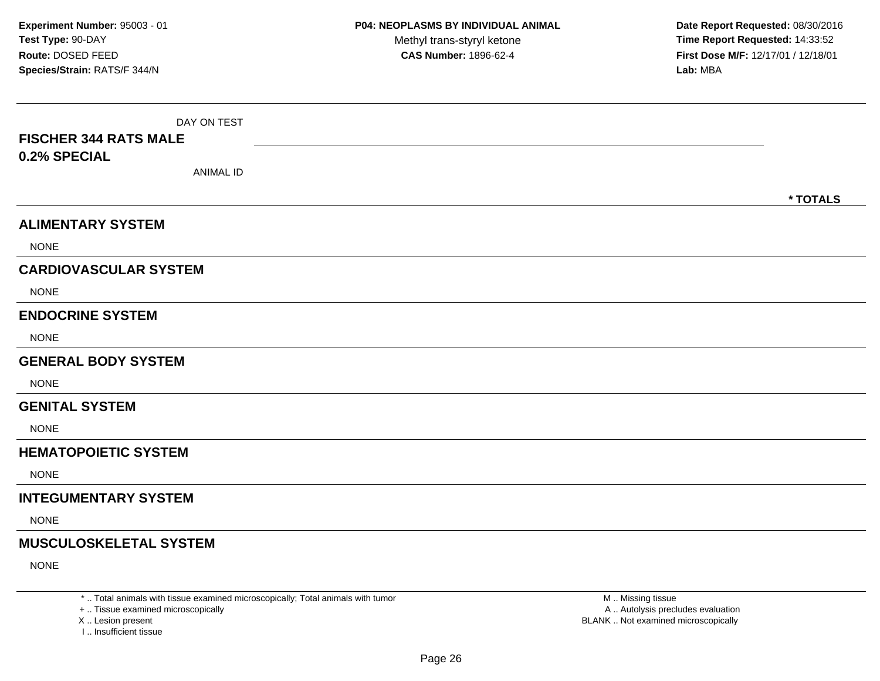| DAY ON TEST                   |          |
|-------------------------------|----------|
| <b>FISCHER 344 RATS MALE</b>  |          |
| 0.2% SPECIAL                  |          |
| <b>ANIMAL ID</b>              |          |
|                               | * TOTALS |
| <b>ALIMENTARY SYSTEM</b>      |          |
| <b>NONE</b>                   |          |
| <b>CARDIOVASCULAR SYSTEM</b>  |          |
| <b>NONE</b>                   |          |
| <b>ENDOCRINE SYSTEM</b>       |          |
| <b>NONE</b>                   |          |
| <b>GENERAL BODY SYSTEM</b>    |          |
| <b>NONE</b>                   |          |
| <b>GENITAL SYSTEM</b>         |          |
| <b>NONE</b>                   |          |
| <b>HEMATOPOIETIC SYSTEM</b>   |          |
| <b>NONE</b>                   |          |
| <b>INTEGUMENTARY SYSTEM</b>   |          |
| <b>NONE</b>                   |          |
| <b>MUSCULOSKELETAL SYSTEM</b> |          |
| <b>NONE</b>                   |          |

\* .. Total animals with tissue examined microscopically; Total animals with tumor

+ .. Tissue examined microscopically

X .. Lesion present

I .. Insufficient tissue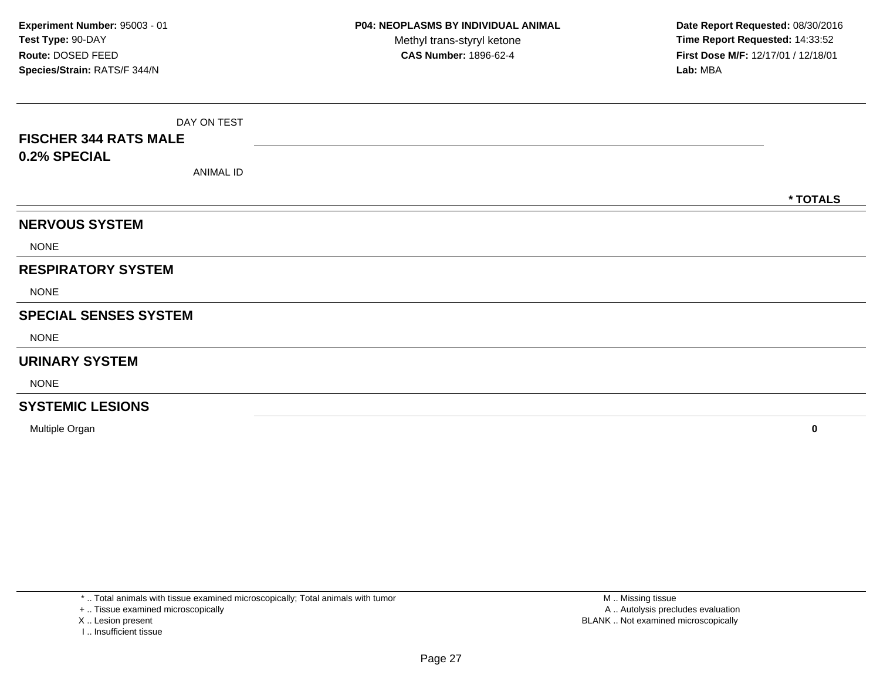| <b>FISCHER 344 RATS MALE</b> | DAY ON TEST      |  |  |          |
|------------------------------|------------------|--|--|----------|
| 0.2% SPECIAL                 | <b>ANIMAL ID</b> |  |  |          |
|                              |                  |  |  | * TOTALS |
| <b>NERVOUS SYSTEM</b>        |                  |  |  |          |
| <b>NONE</b>                  |                  |  |  |          |
| <b>RESPIRATORY SYSTEM</b>    |                  |  |  |          |
| <b>NONE</b>                  |                  |  |  |          |
| <b>SPECIAL SENSES SYSTEM</b> |                  |  |  |          |
| <b>NONE</b>                  |                  |  |  |          |
| <b>URINARY SYSTEM</b>        |                  |  |  |          |
| <b>NONE</b>                  |                  |  |  |          |
| <b>SYSTEMIC LESIONS</b>      |                  |  |  |          |

Multiple Organ**<sup>0</sup>**

\* .. Total animals with tissue examined microscopically; Total animals with tumor

+ .. Tissue examined microscopically

X .. Lesion present

I .. Insufficient tissue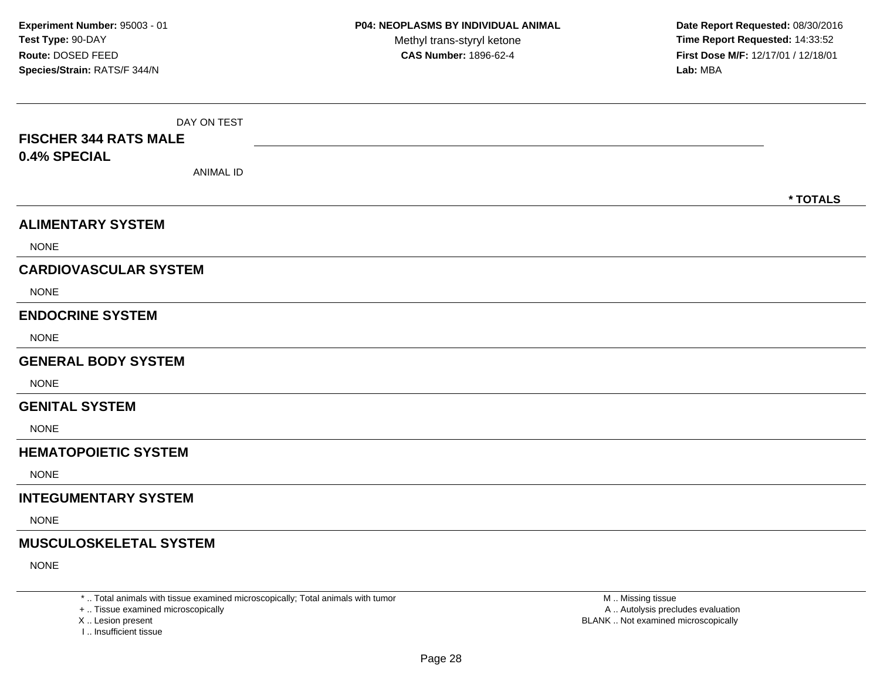| DAY ON TEST                   |          |
|-------------------------------|----------|
| <b>FISCHER 344 RATS MALE</b>  |          |
| 0.4% SPECIAL                  |          |
| <b>ANIMAL ID</b>              |          |
|                               | * TOTALS |
| <b>ALIMENTARY SYSTEM</b>      |          |
| <b>NONE</b>                   |          |
| <b>CARDIOVASCULAR SYSTEM</b>  |          |
| <b>NONE</b>                   |          |
| <b>ENDOCRINE SYSTEM</b>       |          |
| <b>NONE</b>                   |          |
| <b>GENERAL BODY SYSTEM</b>    |          |
| <b>NONE</b>                   |          |
| <b>GENITAL SYSTEM</b>         |          |
| <b>NONE</b>                   |          |
| <b>HEMATOPOIETIC SYSTEM</b>   |          |
| <b>NONE</b>                   |          |
| <b>INTEGUMENTARY SYSTEM</b>   |          |
| <b>NONE</b>                   |          |
| <b>MUSCULOSKELETAL SYSTEM</b> |          |
| <b>NONE</b>                   |          |

\* .. Total animals with tissue examined microscopically; Total animals with tumor

+ .. Tissue examined microscopically

X .. Lesion present

I .. Insufficient tissue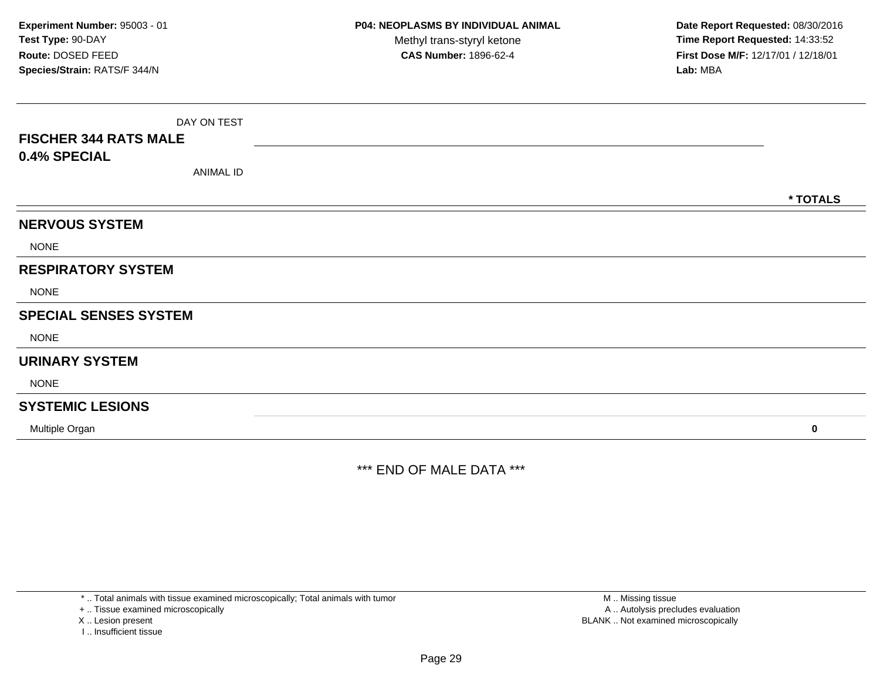| <b>FISCHER 344 RATS MALE</b><br>0.4% SPECIAL | DAY ON TEST<br><b>ANIMAL ID</b> |  |  |          |
|----------------------------------------------|---------------------------------|--|--|----------|
|                                              |                                 |  |  |          |
|                                              |                                 |  |  | * TOTALS |
| <b>NERVOUS SYSTEM</b>                        |                                 |  |  |          |
| <b>NONE</b>                                  |                                 |  |  |          |
| <b>RESPIRATORY SYSTEM</b>                    |                                 |  |  |          |
| <b>NONE</b>                                  |                                 |  |  |          |
| <b>SPECIAL SENSES SYSTEM</b>                 |                                 |  |  |          |
| <b>NONE</b>                                  |                                 |  |  |          |
| <b>URINARY SYSTEM</b>                        |                                 |  |  |          |
| <b>NONE</b>                                  |                                 |  |  |          |
| <b>SYSTEMIC LESIONS</b>                      |                                 |  |  |          |
| Multiple Organ                               |                                 |  |  | $\bf{0}$ |

\*\*\* END OF MALE DATA \*\*\*

\* .. Total animals with tissue examined microscopically; Total animals with tumor

+ .. Tissue examined microscopically

X .. Lesion present

I .. Insufficient tissue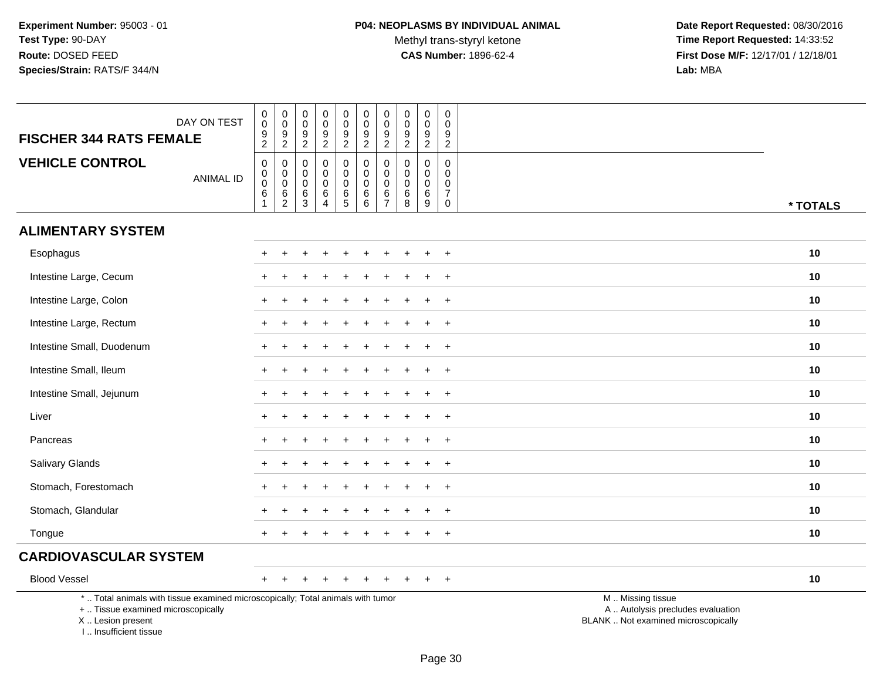Methyl trans-styryl ketone<br>CAS Number: 1896-62-4

 **Date Report Requested:** 08/30/2016 **Time Report Requested:** 14:33:52 **First Dose M/F:** 12/17/01 / 12/18/01<br>Lab: MBA **Lab:** MBA

| DAY ON TEST<br><b>FISCHER 344 RATS FEMALE</b>                                                                                                                       | 0<br>$\mathbf 0$<br>$\frac{9}{2}$            | $\pmb{0}$<br>$\mathsf 0$<br>$\frac{9}{2}$                    | $\boldsymbol{0}$<br>$\mathbf 0$<br>$\frac{9}{2}$               | 0<br>$\mathbf 0$<br>$\frac{9}{2}$               | $_{\rm 0}^{\rm 0}$<br>$\frac{9}{2}$                                              | $\pmb{0}$<br>$\mathbf 0$<br>$\boldsymbol{9}$<br>$\overline{2}$ | $\pmb{0}$<br>$\mathbf 0$<br>$\boldsymbol{9}$<br>$\overline{2}$ | $\pmb{0}$<br>$\mathbf 0$<br>9<br>$\overline{2}$ | $\pmb{0}$<br>$\mathbf 0$<br>$\frac{9}{2}$ | 0<br>$\mathbf 0$<br>9<br>$\sqrt{2}$                                                |                                                                                               |
|---------------------------------------------------------------------------------------------------------------------------------------------------------------------|----------------------------------------------|--------------------------------------------------------------|----------------------------------------------------------------|-------------------------------------------------|----------------------------------------------------------------------------------|----------------------------------------------------------------|----------------------------------------------------------------|-------------------------------------------------|-------------------------------------------|------------------------------------------------------------------------------------|-----------------------------------------------------------------------------------------------|
| <b>VEHICLE CONTROL</b><br><b>ANIMAL ID</b>                                                                                                                          | 0<br>0<br>$\mathbf 0$<br>6<br>$\overline{1}$ | $\pmb{0}$<br>$\overline{0}$<br>$\tilde{6}$<br>$\overline{2}$ | $\pmb{0}$<br>$\mathbf 0$<br>$\mathbf 0$<br>6<br>$\overline{3}$ | $\mathbf 0$<br>0<br>$\mathbf 0$<br>$\,6\,$<br>4 | $\mathbf 0$<br>$\mathsf{O}\xspace$<br>$\mathsf{O}\xspace$<br>6<br>$\overline{5}$ | $\mathbf 0$<br>$\mathbf 0$<br>$\mathbf 0$<br>6<br>6            | $\pmb{0}$<br>$\pmb{0}$<br>$\mathbf 0$<br>6<br>$\overline{7}$   | 0<br>$\mathbf 0$<br>$\mathbf 0$<br>6<br>8       | $\pmb{0}$<br>0<br>$\mathbf 0$<br>6<br>9   | $\mathsf{O}\xspace$<br>$\mathbf 0$<br>$\mathbf 0$<br>$\overline{7}$<br>$\mathbf 0$ | * TOTALS                                                                                      |
| <b>ALIMENTARY SYSTEM</b>                                                                                                                                            |                                              |                                                              |                                                                |                                                 |                                                                                  |                                                                |                                                                |                                                 |                                           |                                                                                    |                                                                                               |
| Esophagus                                                                                                                                                           | ÷.                                           |                                                              | ÷                                                              |                                                 |                                                                                  | ÷                                                              |                                                                |                                                 |                                           | $^{+}$                                                                             | 10                                                                                            |
| Intestine Large, Cecum                                                                                                                                              |                                              |                                                              |                                                                |                                                 |                                                                                  |                                                                |                                                                |                                                 |                                           | $\ddot{}$                                                                          | 10                                                                                            |
| Intestine Large, Colon                                                                                                                                              |                                              |                                                              |                                                                |                                                 |                                                                                  |                                                                |                                                                |                                                 |                                           | $\ddot{}$                                                                          | 10                                                                                            |
| Intestine Large, Rectum                                                                                                                                             | +                                            |                                                              |                                                                |                                                 |                                                                                  |                                                                |                                                                |                                                 |                                           | $\ddot{}$                                                                          | 10                                                                                            |
| Intestine Small, Duodenum                                                                                                                                           | $\ddot{}$                                    |                                                              |                                                                |                                                 |                                                                                  |                                                                |                                                                |                                                 |                                           | $\ddot{}$                                                                          | 10                                                                                            |
| Intestine Small, Ileum                                                                                                                                              |                                              |                                                              |                                                                |                                                 |                                                                                  |                                                                |                                                                |                                                 |                                           | $+$                                                                                | 10                                                                                            |
| Intestine Small, Jejunum                                                                                                                                            |                                              |                                                              |                                                                |                                                 |                                                                                  |                                                                |                                                                |                                                 |                                           | $\ddot{}$                                                                          | 10                                                                                            |
| Liver                                                                                                                                                               |                                              |                                                              |                                                                |                                                 |                                                                                  |                                                                |                                                                |                                                 |                                           | $\overline{+}$                                                                     | 10                                                                                            |
| Pancreas                                                                                                                                                            |                                              |                                                              |                                                                |                                                 |                                                                                  |                                                                |                                                                |                                                 |                                           | $\overline{1}$                                                                     | 10                                                                                            |
| Salivary Glands                                                                                                                                                     |                                              |                                                              |                                                                |                                                 |                                                                                  |                                                                |                                                                |                                                 |                                           | $\ddot{}$                                                                          | 10                                                                                            |
| Stomach, Forestomach                                                                                                                                                | ÷.                                           |                                                              |                                                                |                                                 |                                                                                  |                                                                |                                                                |                                                 |                                           | $+$                                                                                | 10                                                                                            |
| Stomach, Glandular                                                                                                                                                  |                                              |                                                              |                                                                |                                                 |                                                                                  |                                                                |                                                                |                                                 |                                           | $\ddot{}$                                                                          | 10                                                                                            |
| Tongue                                                                                                                                                              |                                              |                                                              |                                                                |                                                 |                                                                                  |                                                                |                                                                |                                                 |                                           | $\ddot{}$                                                                          | 10                                                                                            |
| <b>CARDIOVASCULAR SYSTEM</b>                                                                                                                                        |                                              |                                                              |                                                                |                                                 |                                                                                  |                                                                |                                                                |                                                 |                                           |                                                                                    |                                                                                               |
| <b>Blood Vessel</b>                                                                                                                                                 | $\ddot{}$                                    |                                                              |                                                                |                                                 |                                                                                  | ÷                                                              |                                                                |                                                 |                                           | $+$                                                                                | 10                                                                                            |
| *  Total animals with tissue examined microscopically; Total animals with tumor<br>+  Tissue examined microscopically<br>X  Lesion present<br>I Insufficient tissue |                                              |                                                              |                                                                |                                                 |                                                                                  |                                                                |                                                                |                                                 |                                           |                                                                                    | M  Missing tissue<br>A  Autolysis precludes evaluation<br>BLANK  Not examined microscopically |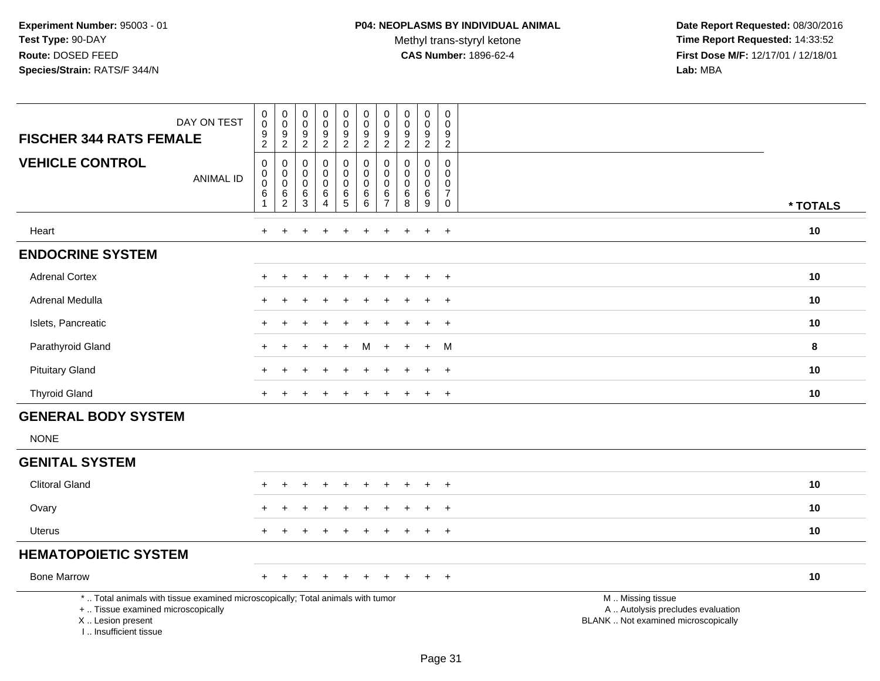Methyl trans-styryl ketone<br>CAS Number: 1896-62-4

 **Date Report Requested:** 08/30/2016 **Time Report Requested:** 14:33:52 **First Dose M/F:** 12/17/01 / 12/18/01<br>Lab: MBA **Lab:** MBA

| DAY ON TEST<br><b>FISCHER 344 RATS FEMALE</b>                                                                                                                         | $\pmb{0}$<br>$\pmb{0}$<br>$\frac{9}{2}$                            | $\mathsf{O}\xspace$<br>$\bar{0}$<br>$\frac{9}{2}$         | $\pmb{0}$<br>$\mathsf{O}\xspace$<br>$\frac{9}{2}$ | $_{\rm 0}^{\rm 0}$<br>$\boldsymbol{9}$<br>$\overline{2}$                     | $\pmb{0}$<br>$\mathsf 0$<br>$\boldsymbol{9}$<br>$\overline{2}$                           | $\pmb{0}$<br>$\pmb{0}$<br>$\boldsymbol{9}$<br>$\overline{2}$ | 0<br>$\mathbf 0$<br>9<br>$\overline{2}$      | $\mathbf 0$<br>$\mathbf 0$<br>$\boldsymbol{9}$<br>$\sqrt{2}$ | $\pmb{0}$<br>$\pmb{0}$<br>$\frac{9}{2}$                     | $\pmb{0}$<br>$\mathbf 0$<br>$\boldsymbol{9}$<br>$\overline{2}$     |                                                                                               |          |
|-----------------------------------------------------------------------------------------------------------------------------------------------------------------------|--------------------------------------------------------------------|-----------------------------------------------------------|---------------------------------------------------|------------------------------------------------------------------------------|------------------------------------------------------------------------------------------|--------------------------------------------------------------|----------------------------------------------|--------------------------------------------------------------|-------------------------------------------------------------|--------------------------------------------------------------------|-----------------------------------------------------------------------------------------------|----------|
| <b>VEHICLE CONTROL</b><br><b>ANIMAL ID</b>                                                                                                                            | $\mathsf 0$<br>$\mathbf 0$<br>$\mathbf 0$<br>$\,6$<br>$\mathbf{1}$ | 0<br>$\mathsf{O}\xspace$<br>$\ddot{\mathbf{0}}$<br>$^6_2$ | $\mathbf 0$<br>$\pmb{0}$<br>$\mathbf 0$<br>$^6_3$ | $\mathbf 0$<br>$\mathbf 0$<br>$\mathsf{O}\xspace$<br>$\,6$<br>$\overline{4}$ | 0<br>$\mathsf{O}\xspace$<br>$\mathsf{O}\xspace$<br>$\begin{array}{c} 6 \\ 5 \end{array}$ | $\mathbf 0$<br>$\pmb{0}$<br>$\mathbf 0$<br>$\,6\,$<br>6      | 0<br>0<br>$\mathbf 0$<br>6<br>$\overline{7}$ | $\Omega$<br>0<br>$\mathbf 0$<br>$\,6$<br>8                   | $\mathbf 0$<br>$\mathbf 0$<br>$\mathsf{O}\xspace$<br>$^6_9$ | $\mathbf 0$<br>0<br>$\mathbf 0$<br>$\boldsymbol{7}$<br>$\mathbf 0$ |                                                                                               | * TOTALS |
| Heart                                                                                                                                                                 | $+$                                                                |                                                           |                                                   |                                                                              | ÷                                                                                        | $\div$                                                       | $\ddot{}$                                    | $\pm$                                                        | $\pm$                                                       | $+$                                                                |                                                                                               | 10       |
| <b>ENDOCRINE SYSTEM</b>                                                                                                                                               |                                                                    |                                                           |                                                   |                                                                              |                                                                                          |                                                              |                                              |                                                              |                                                             |                                                                    |                                                                                               |          |
| <b>Adrenal Cortex</b>                                                                                                                                                 |                                                                    |                                                           |                                                   |                                                                              |                                                                                          |                                                              |                                              |                                                              |                                                             | $\ddot{}$                                                          |                                                                                               | 10       |
| Adrenal Medulla                                                                                                                                                       |                                                                    |                                                           |                                                   |                                                                              |                                                                                          |                                                              |                                              |                                                              |                                                             | $\overline{+}$                                                     |                                                                                               | 10       |
| Islets, Pancreatic                                                                                                                                                    |                                                                    |                                                           |                                                   |                                                                              |                                                                                          |                                                              |                                              |                                                              | ÷                                                           | $+$                                                                |                                                                                               | 10       |
| Parathyroid Gland                                                                                                                                                     |                                                                    |                                                           |                                                   |                                                                              |                                                                                          | м                                                            |                                              |                                                              | $\ddot{}$                                                   | M                                                                  |                                                                                               | 8        |
| <b>Pituitary Gland</b>                                                                                                                                                |                                                                    |                                                           |                                                   |                                                                              |                                                                                          |                                                              |                                              |                                                              |                                                             | $\overline{+}$                                                     |                                                                                               | 10       |
| <b>Thyroid Gland</b>                                                                                                                                                  |                                                                    | $\ddot{}$                                                 |                                                   |                                                                              | $\pm$                                                                                    |                                                              | ÷                                            |                                                              | $\ddot{}$                                                   | $+$                                                                |                                                                                               | 10       |
| <b>GENERAL BODY SYSTEM</b>                                                                                                                                            |                                                                    |                                                           |                                                   |                                                                              |                                                                                          |                                                              |                                              |                                                              |                                                             |                                                                    |                                                                                               |          |
| <b>NONE</b>                                                                                                                                                           |                                                                    |                                                           |                                                   |                                                                              |                                                                                          |                                                              |                                              |                                                              |                                                             |                                                                    |                                                                                               |          |
| <b>GENITAL SYSTEM</b>                                                                                                                                                 |                                                                    |                                                           |                                                   |                                                                              |                                                                                          |                                                              |                                              |                                                              |                                                             |                                                                    |                                                                                               |          |
| <b>Clitoral Gland</b>                                                                                                                                                 |                                                                    |                                                           |                                                   |                                                                              |                                                                                          |                                                              |                                              |                                                              | $\ddot{}$                                                   | $^{+}$                                                             |                                                                                               | 10       |
| Ovary                                                                                                                                                                 |                                                                    |                                                           |                                                   |                                                                              |                                                                                          |                                                              |                                              |                                                              | $\div$                                                      | $+$                                                                |                                                                                               | 10       |
| Uterus                                                                                                                                                                |                                                                    |                                                           |                                                   |                                                                              |                                                                                          |                                                              |                                              |                                                              |                                                             | $\ddot{}$                                                          |                                                                                               | 10       |
| <b>HEMATOPOIETIC SYSTEM</b>                                                                                                                                           |                                                                    |                                                           |                                                   |                                                                              |                                                                                          |                                                              |                                              |                                                              |                                                             |                                                                    |                                                                                               |          |
| <b>Bone Marrow</b>                                                                                                                                                    |                                                                    |                                                           |                                                   |                                                                              |                                                                                          |                                                              |                                              |                                                              |                                                             | $+$                                                                |                                                                                               | 10       |
| *  Total animals with tissue examined microscopically; Total animals with tumor<br>+  Tissue examined microscopically<br>X  Lesion present<br>I., Insufficient tissue |                                                                    |                                                           |                                                   |                                                                              |                                                                                          |                                                              |                                              |                                                              |                                                             |                                                                    | M  Missing tissue<br>A  Autolysis precludes evaluation<br>BLANK  Not examined microscopically |          |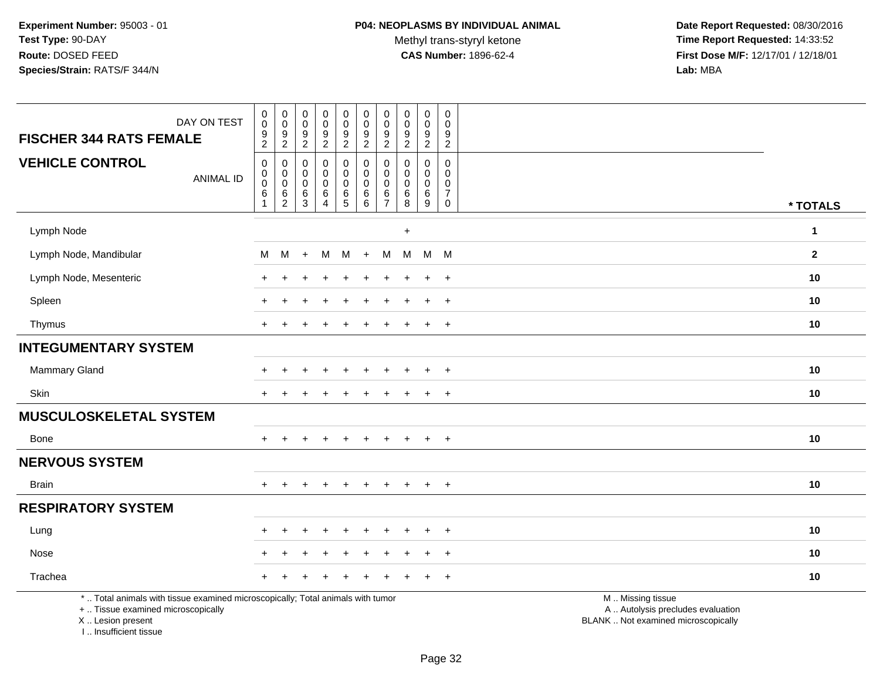Methyl trans-styryl ketone<br>CAS Number: 1896-62-4

 **Date Report Requested:** 08/30/2016 **Time Report Requested:** 14:33:52 **First Dose M/F:** 12/17/01 / 12/18/01<br>Lab: MBA **Lab:** MBA

| DAY ON TEST<br><b>FISCHER 344 RATS FEMALE</b>                                                                                              | $\boldsymbol{0}$<br>$\ddot{\mathbf{0}}$<br>$\frac{9}{2}$                          | $\pmb{0}$<br>$\mathbf 0$<br>$\frac{9}{2}$    | $\pmb{0}$<br>$\mathbf 0$<br>9<br>$\overline{2}$ | $\pmb{0}$<br>$\boldsymbol{0}$<br>$\frac{9}{2}$ | $\begin{smallmatrix}0\0\0\end{smallmatrix}$<br>$\frac{9}{2}$ | $\pmb{0}$<br>$\pmb{0}$<br>$\frac{9}{2}$                            | $\pmb{0}$<br>$\pmb{0}$<br>$\frac{9}{2}$                      | $\pmb{0}$<br>$\mathbf 0$<br>$\frac{9}{2}$                 | $\pmb{0}$<br>$\mathbf 0$<br>$\frac{9}{2}$        | $\pmb{0}$<br>$\mathbf 0$<br>$\frac{9}{2}$                          |                                                                                               |              |
|--------------------------------------------------------------------------------------------------------------------------------------------|-----------------------------------------------------------------------------------|----------------------------------------------|-------------------------------------------------|------------------------------------------------|--------------------------------------------------------------|--------------------------------------------------------------------|--------------------------------------------------------------|-----------------------------------------------------------|--------------------------------------------------|--------------------------------------------------------------------|-----------------------------------------------------------------------------------------------|--------------|
| <b>VEHICLE CONTROL</b><br><b>ANIMAL ID</b>                                                                                                 | $\pmb{0}$<br>$\boldsymbol{0}$<br>$\mathbf 0$<br>$6\phantom{1}6$<br>$\overline{1}$ | 0<br>$\mathbf 0$<br>0<br>6<br>$\overline{c}$ | 0<br>$\mathbf 0$<br>$\Omega$<br>6<br>3          | 0<br>0<br>0<br>6<br>$\overline{4}$             | $\pmb{0}$<br>$\mathbf 0$<br>$\mathbf 0$<br>$\frac{6}{5}$     | $\mathbf 0$<br>$\pmb{0}$<br>$\mathbf 0$<br>$\,6$<br>$6\phantom{1}$ | 0<br>$\mathbf 0$<br>$\mathbf 0$<br>$\,6\,$<br>$\overline{7}$ | $\mathbf 0$<br>$\mathbf 0$<br>$\mathbf 0$<br>$\,6\,$<br>8 | 0<br>$\mathbf{0}$<br>$\mathbf 0$<br>$\,6\,$<br>9 | 0<br>$\mathbf 0$<br>$\mathbf 0$<br>$\boldsymbol{7}$<br>$\mathbf 0$ |                                                                                               | * TOTALS     |
| Lymph Node                                                                                                                                 |                                                                                   |                                              |                                                 |                                                |                                                              |                                                                    |                                                              | $\ddot{}$                                                 |                                                  |                                                                    |                                                                                               | $\mathbf{1}$ |
| Lymph Node, Mandibular                                                                                                                     | М                                                                                 | М                                            | $\ddot{}$                                       | M                                              | M                                                            | $+$                                                                | м                                                            | M                                                         | $M$ M                                            |                                                                    |                                                                                               | $\mathbf{2}$ |
| Lymph Node, Mesenteric                                                                                                                     |                                                                                   |                                              |                                                 |                                                |                                                              |                                                                    |                                                              |                                                           |                                                  | $\ddot{}$                                                          |                                                                                               | 10           |
| Spleen                                                                                                                                     |                                                                                   |                                              |                                                 |                                                |                                                              |                                                                    |                                                              |                                                           | ÷                                                | $\overline{+}$                                                     |                                                                                               | 10           |
| Thymus                                                                                                                                     | $+$                                                                               | $\ddot{}$                                    |                                                 |                                                | $\div$                                                       |                                                                    | ÷                                                            |                                                           | $\ddot{}$                                        | $+$                                                                |                                                                                               | 10           |
| <b>INTEGUMENTARY SYSTEM</b>                                                                                                                |                                                                                   |                                              |                                                 |                                                |                                                              |                                                                    |                                                              |                                                           |                                                  |                                                                    |                                                                                               |              |
| Mammary Gland                                                                                                                              |                                                                                   |                                              |                                                 |                                                |                                                              |                                                                    |                                                              |                                                           |                                                  | $\ddot{}$                                                          |                                                                                               | 10           |
| Skin                                                                                                                                       |                                                                                   |                                              |                                                 |                                                |                                                              |                                                                    |                                                              |                                                           | $\div$                                           | $^{+}$                                                             |                                                                                               | 10           |
| <b>MUSCULOSKELETAL SYSTEM</b>                                                                                                              |                                                                                   |                                              |                                                 |                                                |                                                              |                                                                    |                                                              |                                                           |                                                  |                                                                    |                                                                                               |              |
| <b>Bone</b>                                                                                                                                |                                                                                   |                                              |                                                 |                                                |                                                              |                                                                    |                                                              |                                                           | $\ddot{}$                                        | $\overline{+}$                                                     |                                                                                               | 10           |
| <b>NERVOUS SYSTEM</b>                                                                                                                      |                                                                                   |                                              |                                                 |                                                |                                                              |                                                                    |                                                              |                                                           |                                                  |                                                                    |                                                                                               |              |
| <b>Brain</b>                                                                                                                               | $+$                                                                               | $\ddot{}$                                    | $\ddot{}$                                       | $+$                                            | $\ddot{}$                                                    | $\ddot{}$                                                          | $\ddot{}$                                                    | $\ddot{}$                                                 | $\ddot{}$                                        | $+$                                                                |                                                                                               | 10           |
| <b>RESPIRATORY SYSTEM</b>                                                                                                                  |                                                                                   |                                              |                                                 |                                                |                                                              |                                                                    |                                                              |                                                           |                                                  |                                                                    |                                                                                               |              |
| Lung                                                                                                                                       |                                                                                   |                                              |                                                 |                                                |                                                              |                                                                    |                                                              |                                                           |                                                  | $\ddot{}$                                                          |                                                                                               | 10           |
| Nose                                                                                                                                       |                                                                                   |                                              |                                                 |                                                |                                                              |                                                                    |                                                              |                                                           | ÷.                                               | $\overline{+}$                                                     |                                                                                               | 10           |
| Trachea                                                                                                                                    |                                                                                   |                                              |                                                 |                                                |                                                              |                                                                    |                                                              |                                                           |                                                  | $\overline{+}$                                                     |                                                                                               | 10           |
| *  Total animals with tissue examined microscopically; Total animals with tumor<br>+  Tissue examined microscopically<br>X  Lesion present |                                                                                   |                                              |                                                 |                                                |                                                              |                                                                    |                                                              |                                                           |                                                  |                                                                    | M  Missing tissue<br>A  Autolysis precludes evaluation<br>BLANK  Not examined microscopically |              |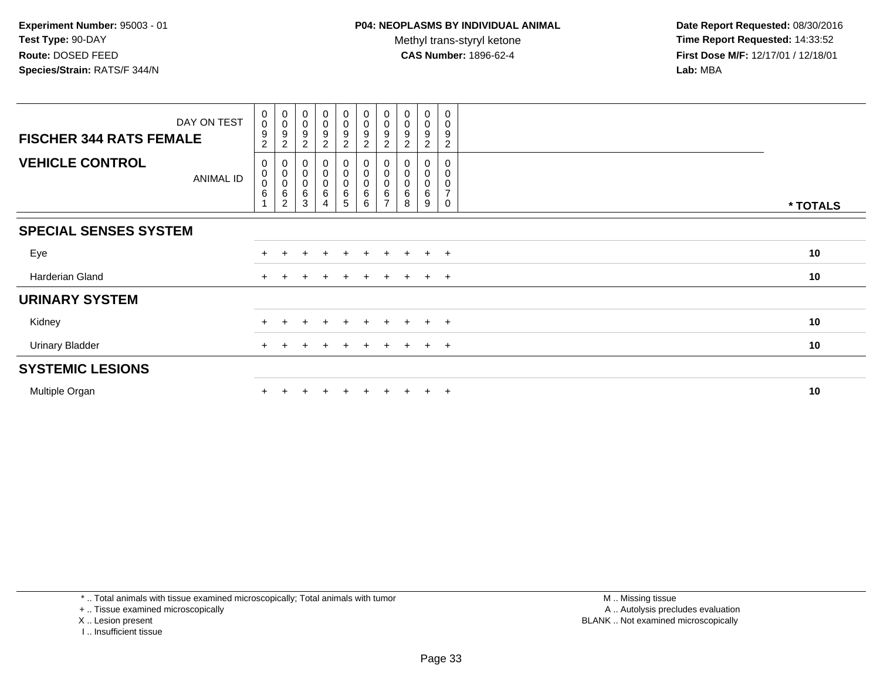**Date Report Requested:** 08/30/2016 **Time Report Requested:** 14:33:52 **First Dose M/F:** 12/17/01 / 12/18/01<br>**Lab:** MBA **Lab:** MBA

| DAY ON TEST                                | $\pmb{0}$<br>$\boldsymbol{0}$                                                 | $_{\rm 0}^{\rm 0}$                                                        | $\begin{smallmatrix}0\0\0\end{smallmatrix}$ | $\begin{smallmatrix}0\\0\\9\end{smallmatrix}$ | $_{\rm 0}^{\rm 0}$               | $\pmb{0}$<br>$\mbox{O}$                     | $\begin{smallmatrix}0\0\0\end{smallmatrix}$ | $\begin{smallmatrix}0\0\0\end{smallmatrix}$ | $\begin{smallmatrix} 0\\0 \end{smallmatrix}$ | 0<br>0                             |          |
|--------------------------------------------|-------------------------------------------------------------------------------|---------------------------------------------------------------------------|---------------------------------------------|-----------------------------------------------|----------------------------------|---------------------------------------------|---------------------------------------------|---------------------------------------------|----------------------------------------------|------------------------------------|----------|
| <b>FISCHER 344 RATS FEMALE</b>             | 9<br>$\overline{2}$                                                           | 9<br>$\overline{2}$                                                       | 9<br>$\boldsymbol{2}$                       | $\overline{2}$                                | $\overline{9}$<br>$\overline{a}$ | 9<br>$\overline{2}$                         | $\boldsymbol{9}$<br>$\overline{c}$          | 9<br>$\overline{c}$                         | $\overline{9}$<br>$\overline{c}$             | 9<br>$\overline{a}$                |          |
| <b>VEHICLE CONTROL</b><br><b>ANIMAL ID</b> | $\mathbf 0$<br>$\pmb{0}$<br>$\boldsymbol{0}$<br>$\,6$<br>$\blacktriangleleft$ | 0<br>$\begin{smallmatrix}0\0\0\end{smallmatrix}$<br>6<br>$\boldsymbol{2}$ | 0<br>0<br>6<br>$\mathbf{3}$                 | $\pmb{0}$<br>$\overline{0}$<br>$\,6$<br>4     | 0<br>0<br>0<br>$\,6$<br>5        | $\pmb{0}$<br>0<br>$\mathbf 0$<br>$\,6$<br>6 | 0<br>0<br>$\mathbf 0$<br>6                  | 0<br>$\pmb{0}$<br>6<br>8                    | 0<br>$\pmb{0}$<br>$\mathbf 0$<br>6<br>9      | 0<br>0<br>0<br>$\overline{ }$<br>0 | * TOTALS |
| <b>SPECIAL SENSES SYSTEM</b>               |                                                                               |                                                                           |                                             |                                               |                                  |                                             |                                             |                                             |                                              |                                    |          |
| Eye                                        |                                                                               |                                                                           |                                             |                                               | $\div$                           | $\pm$                                       |                                             | $+$                                         | $+$                                          | $+$                                | 10       |
| Harderian Gland                            |                                                                               |                                                                           |                                             |                                               | $\mathbf +$                      |                                             |                                             |                                             | $+$                                          | $+$                                | 10       |
| <b>URINARY SYSTEM</b>                      |                                                                               |                                                                           |                                             |                                               |                                  |                                             |                                             |                                             |                                              |                                    |          |
| Kidney                                     |                                                                               |                                                                           |                                             |                                               | $\ddot{}$                        | $\pm$                                       |                                             | $+$                                         | $+$                                          | $+$                                | 10       |
| <b>Urinary Bladder</b>                     |                                                                               |                                                                           |                                             |                                               |                                  | $\pm$                                       |                                             | $+$                                         | $+$                                          | $+$                                | 10       |
| <b>SYSTEMIC LESIONS</b>                    |                                                                               |                                                                           |                                             |                                               |                                  |                                             |                                             |                                             |                                              |                                    |          |
| Multiple Organ                             |                                                                               |                                                                           |                                             |                                               | $\div$                           | $\ddot{}$                                   |                                             |                                             | $+$                                          | $+$                                | 10       |

\* .. Total animals with tissue examined microscopically; Total animals with tumor

+ .. Tissue examined microscopically

- X .. Lesion present
- I .. Insufficient tissue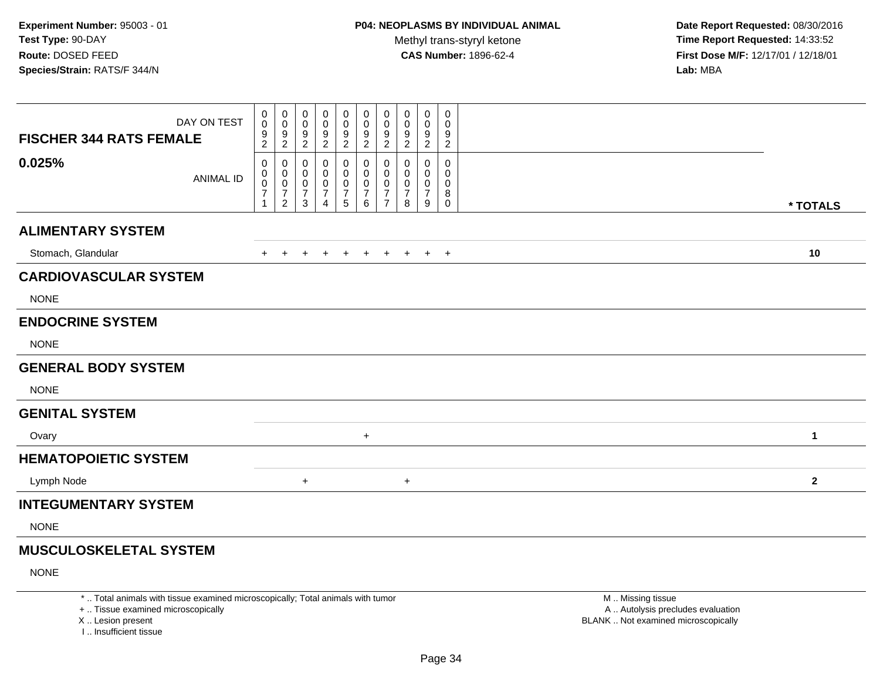**Date Report Requested:** 08/30/2016 **Time Report Requested:** 14:33:52 **First Dose M/F:** 12/17/01 / 12/18/01<br>**Lab:** MBA **Lab:** MBA

| DAY ON TEST<br><b>FISCHER 344 RATS FEMALE</b> | 0<br>0<br>9<br>$\overline{2}$ | 0<br>$\mathsf{O}\xspace$<br>9<br>$\overline{2}$ | 0<br>$\mathbf 0$<br>$\frac{9}{2}$                       | 0<br>0<br>9<br>$\overline{c}$      | 0<br>0<br>9<br>$\overline{c}$ | 0<br>0<br>$\frac{9}{2}$                      | 0<br>$\mathbf 0$<br>$\boldsymbol{9}$<br>$\boldsymbol{2}$ | 0<br>$\pmb{0}$<br>$\boldsymbol{9}$<br>$\overline{c}$ | 0<br>0<br>$\frac{9}{2}$                       | $\mathbf 0$<br>$\mathbf 0$<br>9<br>$\overline{2}$             |              |
|-----------------------------------------------|-------------------------------|-------------------------------------------------|---------------------------------------------------------|------------------------------------|-------------------------------|----------------------------------------------|----------------------------------------------------------|------------------------------------------------------|-----------------------------------------------|---------------------------------------------------------------|--------------|
| 0.025%<br><b>ANIMAL ID</b>                    | 0<br>0<br>0<br>7              | 0<br>0<br>$\mathbf 0$<br>$\frac{7}{2}$          | 0<br>0<br>$\mathbf 0$<br>$\overline{7}$<br>$\mathbf{3}$ | 0<br>0<br>0<br>7<br>$\overline{4}$ | 0<br>0<br>0<br>7<br>5         | 0<br>0<br>$\pmb{0}$<br>$\boldsymbol{7}$<br>6 | 0<br>0<br>0<br>$\frac{7}{7}$                             | 0<br>0<br>0<br>7<br>8                                | 0<br>$\mathbf{0}$<br>0<br>$\overline{7}$<br>9 | $\mathbf 0$<br>$\mathbf 0$<br>$\mathbf 0$<br>8<br>$\mathbf 0$ | * TOTALS     |
| <b>ALIMENTARY SYSTEM</b>                      |                               |                                                 |                                                         |                                    |                               |                                              |                                                          |                                                      |                                               |                                                               |              |
| Stomach, Glandular                            | $+$                           |                                                 |                                                         |                                    |                               | $+$                                          | $+$                                                      | $+$                                                  |                                               | $+$ $+$                                                       | 10           |
| <b>CARDIOVASCULAR SYSTEM</b>                  |                               |                                                 |                                                         |                                    |                               |                                              |                                                          |                                                      |                                               |                                                               |              |
| <b>NONE</b>                                   |                               |                                                 |                                                         |                                    |                               |                                              |                                                          |                                                      |                                               |                                                               |              |
| <b>ENDOCRINE SYSTEM</b>                       |                               |                                                 |                                                         |                                    |                               |                                              |                                                          |                                                      |                                               |                                                               |              |
| <b>NONE</b>                                   |                               |                                                 |                                                         |                                    |                               |                                              |                                                          |                                                      |                                               |                                                               |              |
| <b>GENERAL BODY SYSTEM</b>                    |                               |                                                 |                                                         |                                    |                               |                                              |                                                          |                                                      |                                               |                                                               |              |
| <b>NONE</b>                                   |                               |                                                 |                                                         |                                    |                               |                                              |                                                          |                                                      |                                               |                                                               |              |
| <b>GENITAL SYSTEM</b>                         |                               |                                                 |                                                         |                                    |                               |                                              |                                                          |                                                      |                                               |                                                               |              |
| Ovary                                         |                               |                                                 |                                                         |                                    |                               | $+$                                          |                                                          |                                                      |                                               |                                                               | $\mathbf{1}$ |
| <b>HEMATOPOIETIC SYSTEM</b>                   |                               |                                                 |                                                         |                                    |                               |                                              |                                                          |                                                      |                                               |                                                               |              |
| Lymph Node                                    |                               |                                                 | $\ddot{}$                                               |                                    |                               |                                              |                                                          | $\ddot{}$                                            |                                               |                                                               | $\mathbf{2}$ |
| <b>INTEGUMENTARY SYSTEM</b>                   |                               |                                                 |                                                         |                                    |                               |                                              |                                                          |                                                      |                                               |                                                               |              |
| <b>NONE</b>                                   |                               |                                                 |                                                         |                                    |                               |                                              |                                                          |                                                      |                                               |                                                               |              |
| <b>MUSCULOSKELETAL SYSTEM</b>                 |                               |                                                 |                                                         |                                    |                               |                                              |                                                          |                                                      |                                               |                                                               |              |

NONE

\* .. Total animals with tissue examined microscopically; Total animals with tumor

+ .. Tissue examined microscopically

X .. Lesion present

I .. Insufficient tissue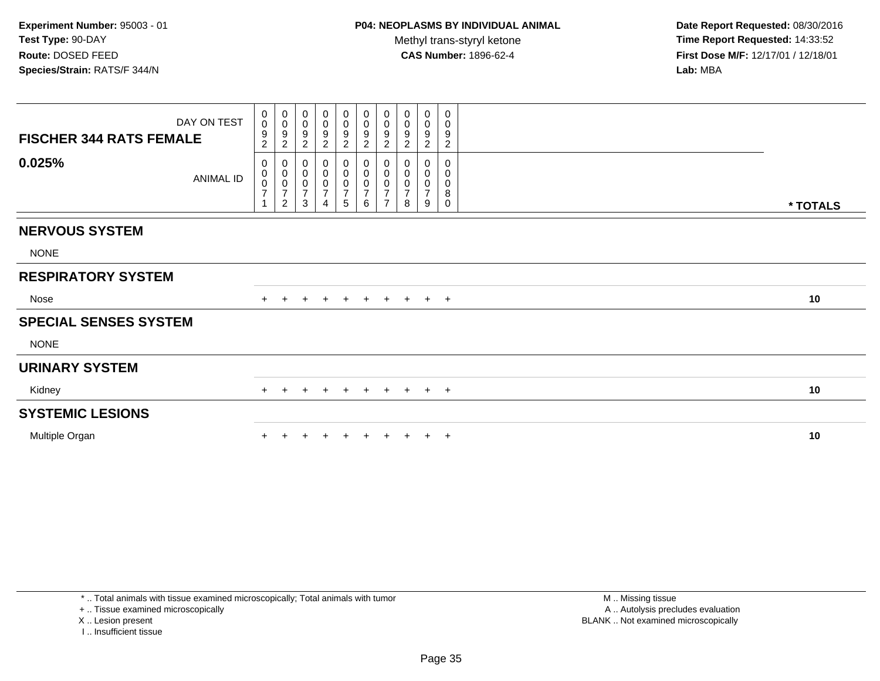**Date Report Requested:** 08/30/2016 **Time Report Requested:** 14:33:52 **First Dose M/F:** 12/17/01 / 12/18/01<br>**Lab:** MBA **Lab:** MBA

| DAY ON TEST<br><b>FISCHER 344 RATS FEMALE</b> | $\overline{0}$<br>$\mathbf 0$<br>9<br>$\overline{c}$ | $\begin{smallmatrix}0\0\0\end{smallmatrix}$<br>$\overline{9}$<br>$\overline{c}$  | 0<br>$\boldsymbol{0}$<br>$\boldsymbol{9}$<br>$\sqrt{2}$ | 0<br>0<br>9<br>$\boldsymbol{2}$    | $\mathbf 0$<br>$\pmb{0}$<br>$\overline{9}$<br>$\overline{2}$ | $\mathbf 0$<br>$\mathsf{O}$<br>$\overline{9}$<br>$\overline{2}$ | $\pmb{0}$<br>$\pmb{0}$<br>$\boldsymbol{9}$<br>$\sqrt{2}$                          | 0<br>$\mathbf 0$<br>9<br>2                         | 0<br>0<br>9<br>$\overline{c}$                | 0<br>0<br>9<br>$\boldsymbol{2}$ |          |
|-----------------------------------------------|------------------------------------------------------|----------------------------------------------------------------------------------|---------------------------------------------------------|------------------------------------|--------------------------------------------------------------|-----------------------------------------------------------------|-----------------------------------------------------------------------------------|----------------------------------------------------|----------------------------------------------|---------------------------------|----------|
| 0.025%<br>ANIMAL ID                           | 0<br>0<br>$\pmb{0}$<br>$\overline{7}$                | $\begin{smallmatrix}0\0\0\end{smallmatrix}$<br>$\frac{0}{7}$<br>$\boldsymbol{2}$ | $\mathbf{3}$                                            | 0<br>0<br>0<br>$\overline{7}$<br>4 | $\sqrt{5}$                                                   | 0<br>$\pmb{0}$<br>0<br>$\overline{7}$<br>6                      | $\begin{smallmatrix}0\\0\\0\end{smallmatrix}$<br>$\overline{7}$<br>$\overline{7}$ | 0<br>$\pmb{0}$<br>$\pmb{0}$<br>$\overline{7}$<br>8 | 0<br>0<br>$\mathsf 0$<br>$\overline{7}$<br>9 | $\mathbf 0$<br>0<br>0<br>8<br>0 | * TOTALS |
| <b>NERVOUS SYSTEM</b>                         |                                                      |                                                                                  |                                                         |                                    |                                                              |                                                                 |                                                                                   |                                                    |                                              |                                 |          |
| <b>NONE</b>                                   |                                                      |                                                                                  |                                                         |                                    |                                                              |                                                                 |                                                                                   |                                                    |                                              |                                 |          |
| <b>RESPIRATORY SYSTEM</b>                     |                                                      |                                                                                  |                                                         |                                    |                                                              |                                                                 |                                                                                   |                                                    |                                              |                                 |          |
| Nose                                          |                                                      | $\pm$                                                                            | $+$                                                     | $+$                                | $+$                                                          | $+$                                                             |                                                                                   | + + + +                                            |                                              |                                 | 10       |
| <b>SPECIAL SENSES SYSTEM</b>                  |                                                      |                                                                                  |                                                         |                                    |                                                              |                                                                 |                                                                                   |                                                    |                                              |                                 |          |
| <b>NONE</b>                                   |                                                      |                                                                                  |                                                         |                                    |                                                              |                                                                 |                                                                                   |                                                    |                                              |                                 |          |
| <b>URINARY SYSTEM</b>                         |                                                      |                                                                                  |                                                         |                                    |                                                              |                                                                 |                                                                                   |                                                    |                                              |                                 |          |
| Kidney                                        | $+$                                                  | $+$                                                                              | $+$                                                     | $+$                                | $+$                                                          | $+$                                                             |                                                                                   | + + + +                                            |                                              |                                 | 10       |
| <b>SYSTEMIC LESIONS</b>                       |                                                      |                                                                                  |                                                         |                                    |                                                              |                                                                 |                                                                                   |                                                    |                                              |                                 |          |
| Multiple Organ                                |                                                      |                                                                                  |                                                         |                                    |                                                              |                                                                 |                                                                                   |                                                    |                                              | $\overline{+}$                  | 10       |
|                                               |                                                      |                                                                                  |                                                         |                                    |                                                              |                                                                 |                                                                                   |                                                    |                                              |                                 |          |

\* .. Total animals with tissue examined microscopically; Total animals with tumor

+ .. Tissue examined microscopically

X .. Lesion present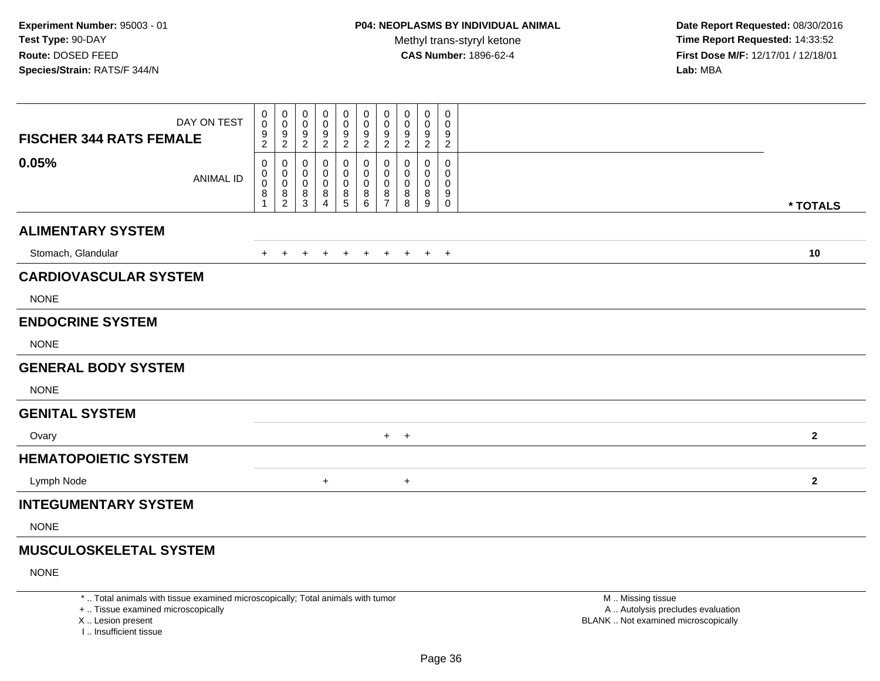**Date Report Requested:** 08/30/2016 **Time Report Requested:** 14:33:52 **First Dose M/F:** 12/17/01 / 12/18/01<br>**Lab:** MBA **Lab:** MBA

| <b>FISCHER 344 RATS FEMALE</b> | DAY ON TEST      | 0<br>$\mathbf 0$<br>$\frac{9}{2}$    | 0<br>$\mathsf{O}$<br>$\frac{9}{2}$                                      | $\mathbf 0$<br>0<br>$\frac{9}{2}$ | 0<br>0<br>$\frac{9}{2}$            | 0<br>$\mathbf 0$<br>$\frac{9}{2}$          | 0<br>$\pmb{0}$<br>$\begin{array}{c} 9 \\ 2 \end{array}$ | 0<br>$\mathbf 0$<br>$\frac{9}{2}$      | 0<br>0<br>$\frac{9}{2}$ | 0<br>0<br>$\frac{9}{2}$ | $\boldsymbol{0}$<br>$\mathbf 0$<br>$\frac{9}{2}$ |                  |
|--------------------------------|------------------|--------------------------------------|-------------------------------------------------------------------------|-----------------------------------|------------------------------------|--------------------------------------------|---------------------------------------------------------|----------------------------------------|-------------------------|-------------------------|--------------------------------------------------|------------------|
| 0.05%                          | <b>ANIMAL ID</b> | 0<br>0<br>$\boldsymbol{0}$<br>8<br>1 | 0<br>0<br>$\mathbf 0$<br>$\begin{smallmatrix} 8 \\ 2 \end{smallmatrix}$ | 0<br>0<br>$\mathbf 0$<br>$^8_3$   | 0<br>0<br>0<br>8<br>$\overline{4}$ | 0<br>0<br>$\pmb{0}$<br>8<br>$\overline{5}$ | 0<br>0<br>$\pmb{0}$<br>$^8_6$                           | 0<br>0<br>$\mathbf 0$<br>$\frac{8}{7}$ | 0<br>0<br>0<br>8<br>8   | 0<br>0<br>0<br>8<br>9   | 0<br>0<br>0<br>9<br>$\mathbf 0$                  | * TOTALS         |
| <b>ALIMENTARY SYSTEM</b>       |                  |                                      |                                                                         |                                   |                                    |                                            |                                                         |                                        |                         |                         |                                                  |                  |
| Stomach, Glandular             |                  | $+$                                  | $+$                                                                     | $\overline{+}$                    | $\ddot{}$                          | $+$                                        | $+$                                                     | $+$                                    | $+$                     |                         | $+$ $+$                                          | 10               |
| <b>CARDIOVASCULAR SYSTEM</b>   |                  |                                      |                                                                         |                                   |                                    |                                            |                                                         |                                        |                         |                         |                                                  |                  |
| <b>NONE</b>                    |                  |                                      |                                                                         |                                   |                                    |                                            |                                                         |                                        |                         |                         |                                                  |                  |
| <b>ENDOCRINE SYSTEM</b>        |                  |                                      |                                                                         |                                   |                                    |                                            |                                                         |                                        |                         |                         |                                                  |                  |
| <b>NONE</b>                    |                  |                                      |                                                                         |                                   |                                    |                                            |                                                         |                                        |                         |                         |                                                  |                  |
| <b>GENERAL BODY SYSTEM</b>     |                  |                                      |                                                                         |                                   |                                    |                                            |                                                         |                                        |                         |                         |                                                  |                  |
| <b>NONE</b>                    |                  |                                      |                                                                         |                                   |                                    |                                            |                                                         |                                        |                         |                         |                                                  |                  |
| <b>GENITAL SYSTEM</b>          |                  |                                      |                                                                         |                                   |                                    |                                            |                                                         |                                        |                         |                         |                                                  |                  |
| Ovary                          |                  |                                      |                                                                         |                                   |                                    |                                            |                                                         |                                        | $+$ $+$                 |                         |                                                  | $\mathbf 2$      |
| <b>HEMATOPOIETIC SYSTEM</b>    |                  |                                      |                                                                         |                                   |                                    |                                            |                                                         |                                        |                         |                         |                                                  |                  |
| Lymph Node                     |                  |                                      |                                                                         |                                   | $+$                                |                                            |                                                         |                                        | $\ddot{}$               |                         |                                                  | $\boldsymbol{2}$ |
| <b>INTEGUMENTARY SYSTEM</b>    |                  |                                      |                                                                         |                                   |                                    |                                            |                                                         |                                        |                         |                         |                                                  |                  |
| <b>NONE</b>                    |                  |                                      |                                                                         |                                   |                                    |                                            |                                                         |                                        |                         |                         |                                                  |                  |
| <b>MUSCULOSKELETAL SYSTEM</b>  |                  |                                      |                                                                         |                                   |                                    |                                            |                                                         |                                        |                         |                         |                                                  |                  |
| <b>NONE</b>                    |                  |                                      |                                                                         |                                   |                                    |                                            |                                                         |                                        |                         |                         |                                                  |                  |

\* .. Total animals with tissue examined microscopically; Total animals with tumor

+ .. Tissue examined microscopically

X .. Lesion present

I .. Insufficient tissue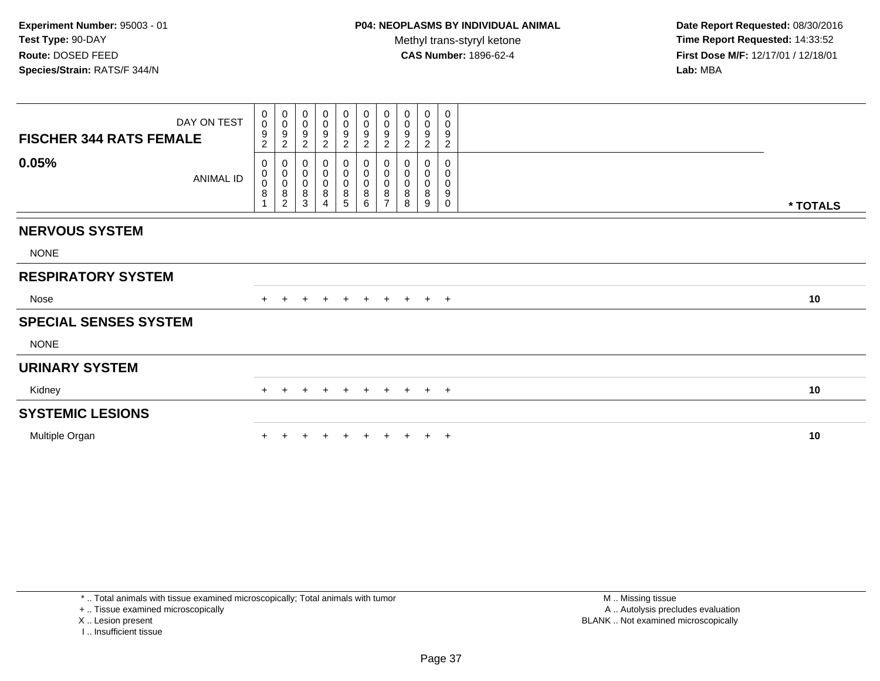**Date Report Requested:** 08/30/2016 **Time Report Requested:** 14:33:52 **First Dose M/F:** 12/17/01 / 12/18/01<br>**Lab:** MBA **Lab:** MBA

| DAY ON TEST<br><b>FISCHER 344 RATS FEMALE</b> | $\mathbf 0$<br>$\boldsymbol{0}$<br>9<br>$\overline{2}$ | $_{\rm 0}^{\rm 0}$<br>$\boldsymbol{9}$<br>$\sqrt{2}$ | $\begin{smallmatrix} 0\\0 \end{smallmatrix}$<br>$\boldsymbol{9}$<br>$\overline{c}$ | 0<br>0<br>9<br>$\boldsymbol{2}$    | $\begin{array}{c} 0 \\ 0 \\ 9 \\ 2 \end{array}$        | $\begin{array}{c} 0 \\ 0 \\ 9 \\ 2 \end{array}$ | $\begin{smallmatrix} 0\\0 \end{smallmatrix}$<br>$\boldsymbol{9}$<br>$\sqrt{2}$ | 0<br>$\boldsymbol{0}$<br>9<br>$\overline{c}$ | $\pmb{0}$<br>$\mathbf 0$<br>$\boldsymbol{9}$<br>$\boldsymbol{2}$ | 0<br>0<br>9<br>$\overline{c}$                  |          |
|-----------------------------------------------|--------------------------------------------------------|------------------------------------------------------|------------------------------------------------------------------------------------|------------------------------------|--------------------------------------------------------|-------------------------------------------------|--------------------------------------------------------------------------------|----------------------------------------------|------------------------------------------------------------------|------------------------------------------------|----------|
| 0.05%<br>ANIMAL ID                            | 0<br>0<br>$\bar{0}$<br>8                               | $\pmb{0}$<br>$_{\rm 0}^{\rm 0}$<br>$\frac{8}{2}$     | 0<br>$_{\rm 0}^{\rm 0}$<br>$\,8\,$<br>$\sqrt{3}$                                   | 0<br>0<br>0<br>8<br>$\overline{4}$ | $\boldsymbol{0}$<br>$_{\rm 0}^{\rm 0}$<br>$\,8\,$<br>5 | 0<br>0<br>$\bar{0}$<br>$\bf 8$<br>6             | $\pmb{0}$<br>$\pmb{0}$<br>$\overline{0}$<br>$\bf 8$<br>$\overline{7}$          | 0<br>$\mathbf 0$<br>$\mathbf 0$<br>8<br>8    | 0<br>0<br>8<br>9                                                 | 0<br>0<br>0<br>$\boldsymbol{9}$<br>$\mathbf 0$ | * TOTALS |
| <b>NERVOUS SYSTEM</b>                         |                                                        |                                                      |                                                                                    |                                    |                                                        |                                                 |                                                                                |                                              |                                                                  |                                                |          |
| <b>NONE</b>                                   |                                                        |                                                      |                                                                                    |                                    |                                                        |                                                 |                                                                                |                                              |                                                                  |                                                |          |
| <b>RESPIRATORY SYSTEM</b>                     |                                                        |                                                      |                                                                                    |                                    |                                                        |                                                 |                                                                                |                                              |                                                                  |                                                |          |
| Nose                                          | $+$                                                    | $\pm$                                                | $+$                                                                                | $+$                                | $+$                                                    | $+$                                             |                                                                                | + + + +                                      |                                                                  |                                                | 10       |
| <b>SPECIAL SENSES SYSTEM</b>                  |                                                        |                                                      |                                                                                    |                                    |                                                        |                                                 |                                                                                |                                              |                                                                  |                                                |          |
| <b>NONE</b>                                   |                                                        |                                                      |                                                                                    |                                    |                                                        |                                                 |                                                                                |                                              |                                                                  |                                                |          |
| <b>URINARY SYSTEM</b>                         |                                                        |                                                      |                                                                                    |                                    |                                                        |                                                 |                                                                                |                                              |                                                                  |                                                |          |
| Kidney                                        |                                                        |                                                      | $\pm$                                                                              | $\pm$                              | $+$                                                    | $+$                                             | $+$                                                                            | $+$                                          |                                                                  | $+$ $+$                                        | 10       |
| <b>SYSTEMIC LESIONS</b>                       |                                                        |                                                      |                                                                                    |                                    |                                                        |                                                 |                                                                                |                                              |                                                                  |                                                |          |
| Multiple Organ                                |                                                        |                                                      |                                                                                    |                                    |                                                        |                                                 |                                                                                |                                              |                                                                  | $\pm$                                          | 10       |

+ .. Tissue examined microscopically

X .. Lesion present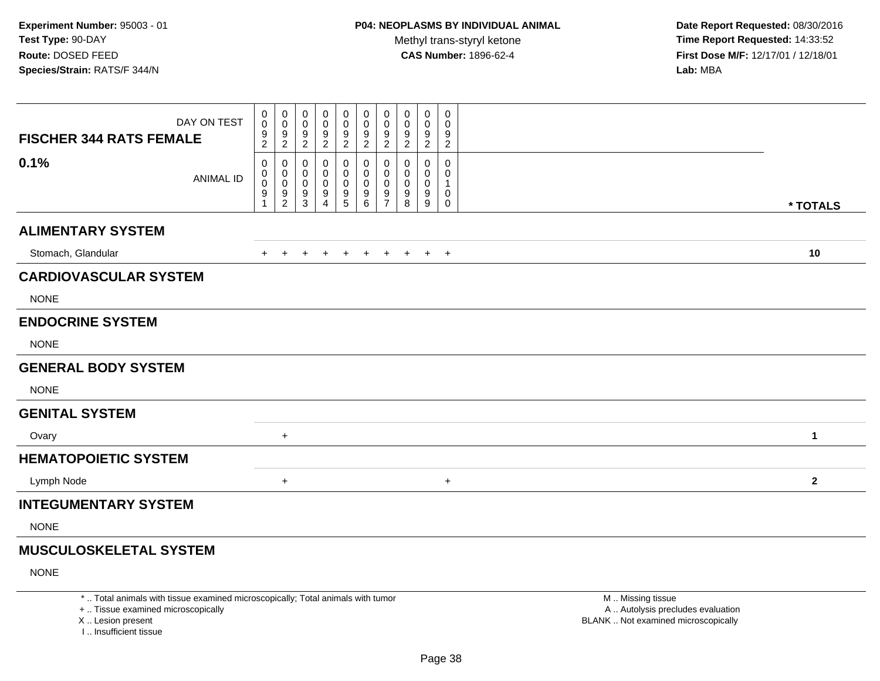**Date Report Requested:** 08/30/2016 **Time Report Requested:** 14:33:52 **First Dose M/F:** 12/17/01 / 12/18/01<br>**Lab:** MBA **Lab:** MBA

| <b>FISCHER 344 RATS FEMALE</b> | DAY ON TEST      | 0<br>$\mathbf 0$<br>$\frac{9}{2}$ | 0<br>$\mathbf 0$<br>$\frac{9}{2}$            | 0<br>$\pmb{0}$<br>$\boldsymbol{9}$<br>$\overline{c}$               | 0<br>0<br>$\frac{9}{2}$            | 0<br>$\pmb{0}$<br>9<br>$\sqrt{2}$        | 0<br>$\boldsymbol{0}$<br>$\boldsymbol{9}$<br>$\boldsymbol{2}$ | 0<br>$\boldsymbol{0}$<br>9<br>$\overline{c}$ | 0<br>0<br>9<br>$\overline{c}$ | 0<br>0<br>$\frac{9}{2}$ | 0<br>0<br>9<br>$\overline{c}$ |              |
|--------------------------------|------------------|-----------------------------------|----------------------------------------------|--------------------------------------------------------------------|------------------------------------|------------------------------------------|---------------------------------------------------------------|----------------------------------------------|-------------------------------|-------------------------|-------------------------------|--------------|
| 0.1%                           | <b>ANIMAL ID</b> | 0<br>0<br>0<br>9                  | 0<br>$\pmb{0}$<br>$\pmb{0}$<br>$\frac{9}{2}$ | $\mathbf{0}$<br>0<br>$\pmb{0}$<br>$\boldsymbol{9}$<br>$\mathbf{3}$ | 0<br>0<br>0<br>9<br>$\overline{4}$ | 0<br>0<br>$\mathbf 0$<br>9<br>$\sqrt{5}$ | 0<br>0<br>0<br>$\boldsymbol{9}$<br>6                          | 0<br>0<br>$\mathbf 0$<br>9<br>$\overline{7}$ | 0<br>0<br>0<br>9<br>8         | 0<br>0<br>0<br>9<br>9   | 0<br>0<br>1<br>0<br>0         | * TOTALS     |
| <b>ALIMENTARY SYSTEM</b>       |                  |                                   |                                              |                                                                    |                                    |                                          |                                                               |                                              |                               |                         |                               |              |
| Stomach, Glandular             |                  | $\ddot{}$                         | $\pm$                                        |                                                                    |                                    | $\ddot{}$                                | $\ddot{}$                                                     | $\ddot{}$                                    | $\ddot{}$                     | $+$                     | $+$                           | 10           |
| <b>CARDIOVASCULAR SYSTEM</b>   |                  |                                   |                                              |                                                                    |                                    |                                          |                                                               |                                              |                               |                         |                               |              |
| <b>NONE</b>                    |                  |                                   |                                              |                                                                    |                                    |                                          |                                                               |                                              |                               |                         |                               |              |
| <b>ENDOCRINE SYSTEM</b>        |                  |                                   |                                              |                                                                    |                                    |                                          |                                                               |                                              |                               |                         |                               |              |
| <b>NONE</b>                    |                  |                                   |                                              |                                                                    |                                    |                                          |                                                               |                                              |                               |                         |                               |              |
| <b>GENERAL BODY SYSTEM</b>     |                  |                                   |                                              |                                                                    |                                    |                                          |                                                               |                                              |                               |                         |                               |              |
| <b>NONE</b>                    |                  |                                   |                                              |                                                                    |                                    |                                          |                                                               |                                              |                               |                         |                               |              |
| <b>GENITAL SYSTEM</b>          |                  |                                   |                                              |                                                                    |                                    |                                          |                                                               |                                              |                               |                         |                               |              |
| Ovary                          |                  |                                   | $+$                                          |                                                                    |                                    |                                          |                                                               |                                              |                               |                         |                               | 1            |
| <b>HEMATOPOIETIC SYSTEM</b>    |                  |                                   |                                              |                                                                    |                                    |                                          |                                                               |                                              |                               |                         |                               |              |
| Lymph Node                     |                  |                                   | $\ddot{}$                                    |                                                                    |                                    |                                          |                                                               |                                              |                               |                         | $\ddot{}$                     | $\mathbf{2}$ |
| <b>INTEGUMENTARY SYSTEM</b>    |                  |                                   |                                              |                                                                    |                                    |                                          |                                                               |                                              |                               |                         |                               |              |
| <b>NONE</b>                    |                  |                                   |                                              |                                                                    |                                    |                                          |                                                               |                                              |                               |                         |                               |              |
|                                |                  |                                   |                                              |                                                                    |                                    |                                          |                                                               |                                              |                               |                         |                               |              |

### **MUSCULOSKELETAL SYSTEM**

NONE

\* .. Total animals with tissue examined microscopically; Total animals with tumor

+ .. Tissue examined microscopically

X .. Lesion present

I .. Insufficient tissue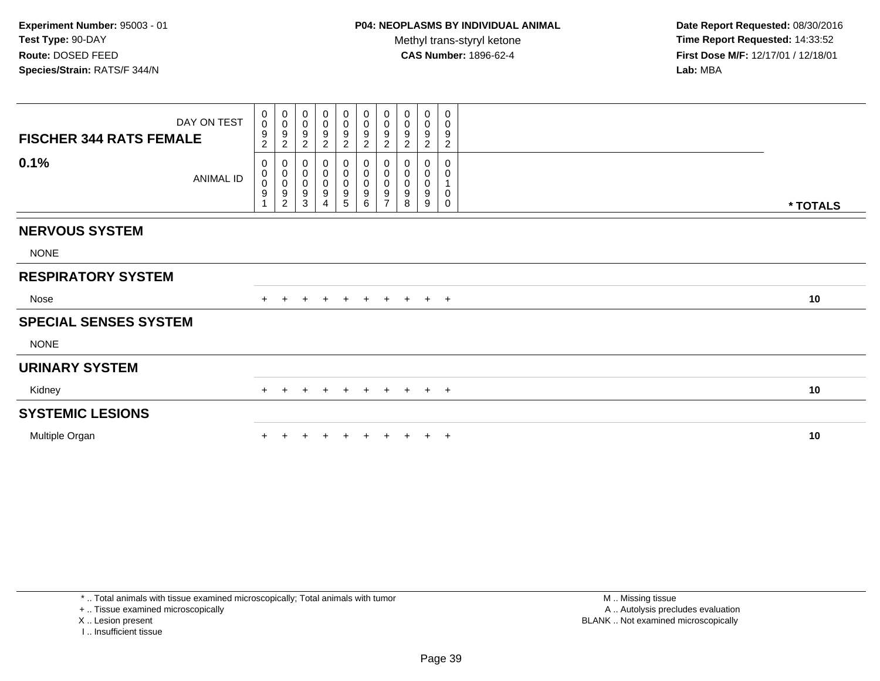**Date Report Requested:** 08/30/2016 **Time Report Requested:** 14:33:52 **First Dose M/F:** 12/17/01 / 12/18/01<br>**Lab:** MBA **Lab:** MBA

| DAY ON TEST<br><b>FISCHER 344 RATS FEMALE</b> | 0<br>$\mathsf{O}\xspace$<br>9<br>$\overline{c}$           | $_{\rm 0}^{\rm 0}$<br>$\boldsymbol{9}$<br>$\sqrt{2}$ | $\begin{smallmatrix}0\\0\\9\end{smallmatrix}$<br>$\overline{2}$                   | 0<br>$\pmb{0}$<br>$\boldsymbol{9}$<br>$\boldsymbol{2}$            | $\begin{array}{c} 0 \\ 0 \\ 9 \\ 2 \end{array}$             | $\begin{smallmatrix}0\0\0\9\end{smallmatrix}$<br>$\overline{2}$ | $\pmb{0}$<br>$\pmb{0}$<br>$\boldsymbol{9}$<br>$\boldsymbol{2}$      | $\pmb{0}$<br>$\pmb{0}$<br>9<br>$\sqrt{2}$            | $\pmb{0}$<br>$\pmb{0}$<br>9<br>$\sqrt{2}$    | $\,0\,$<br>$\pmb{0}$<br>9<br>$\overline{c}$       |          |
|-----------------------------------------------|-----------------------------------------------------------|------------------------------------------------------|-----------------------------------------------------------------------------------|-------------------------------------------------------------------|-------------------------------------------------------------|-----------------------------------------------------------------|---------------------------------------------------------------------|------------------------------------------------------|----------------------------------------------|---------------------------------------------------|----------|
| 0.1%<br><b>ANIMAL ID</b>                      | 0<br>$\pmb{0}$<br>$\ddot{\mathbf{0}}$<br>$\boldsymbol{9}$ | 0<br>$\pmb{0}$<br>$\overline{0}$<br>$\frac{9}{2}$    | $\boldsymbol{0}$<br>$\begin{smallmatrix} 0\\0 \end{smallmatrix}$<br>$\frac{9}{3}$ | 0<br>$\pmb{0}$<br>$\pmb{0}$<br>$\boldsymbol{9}$<br>$\overline{4}$ | $\boldsymbol{0}$<br>$\overline{0}$<br>$\boldsymbol{9}$<br>5 | 0<br>$\mathsf{O}\xspace$<br>$\bar{0}$<br>$\boldsymbol{9}$<br>6  | 0<br>$\pmb{0}$<br>$\mathbf 0$<br>$\boldsymbol{9}$<br>$\overline{7}$ | 0<br>$\pmb{0}$<br>$\pmb{0}$<br>$\boldsymbol{9}$<br>8 | 0<br>0<br>$\pmb{0}$<br>$\boldsymbol{9}$<br>9 | $\mathbf 0$<br>0<br>1<br>$\pmb{0}$<br>$\mathbf 0$ | * TOTALS |
| <b>NERVOUS SYSTEM</b>                         |                                                           |                                                      |                                                                                   |                                                                   |                                                             |                                                                 |                                                                     |                                                      |                                              |                                                   |          |
| <b>NONE</b>                                   |                                                           |                                                      |                                                                                   |                                                                   |                                                             |                                                                 |                                                                     |                                                      |                                              |                                                   |          |
| <b>RESPIRATORY SYSTEM</b>                     |                                                           |                                                      |                                                                                   |                                                                   |                                                             |                                                                 |                                                                     |                                                      |                                              |                                                   |          |
| Nose                                          | $+$                                                       | $+$                                                  | $+$                                                                               | $+$                                                               | $+$                                                         | $+$                                                             |                                                                     | $+$ $+$                                              |                                              | $+$ $+$                                           | 10       |
| <b>SPECIAL SENSES SYSTEM</b>                  |                                                           |                                                      |                                                                                   |                                                                   |                                                             |                                                                 |                                                                     |                                                      |                                              |                                                   |          |
| <b>NONE</b>                                   |                                                           |                                                      |                                                                                   |                                                                   |                                                             |                                                                 |                                                                     |                                                      |                                              |                                                   |          |
| <b>URINARY SYSTEM</b>                         |                                                           |                                                      |                                                                                   |                                                                   |                                                             |                                                                 |                                                                     |                                                      |                                              |                                                   |          |
| Kidney                                        |                                                           |                                                      |                                                                                   | $\pm$                                                             | $\pm$                                                       | $+$                                                             | $+$                                                                 | $+$                                                  |                                              | $+$ $+$                                           | 10       |
| <b>SYSTEMIC LESIONS</b>                       |                                                           |                                                      |                                                                                   |                                                                   |                                                             |                                                                 |                                                                     |                                                      |                                              |                                                   |          |
| Multiple Organ                                |                                                           |                                                      |                                                                                   |                                                                   |                                                             |                                                                 |                                                                     |                                                      |                                              | $\overline{ }$                                    | 10       |

+ .. Tissue examined microscopically

X .. Lesion present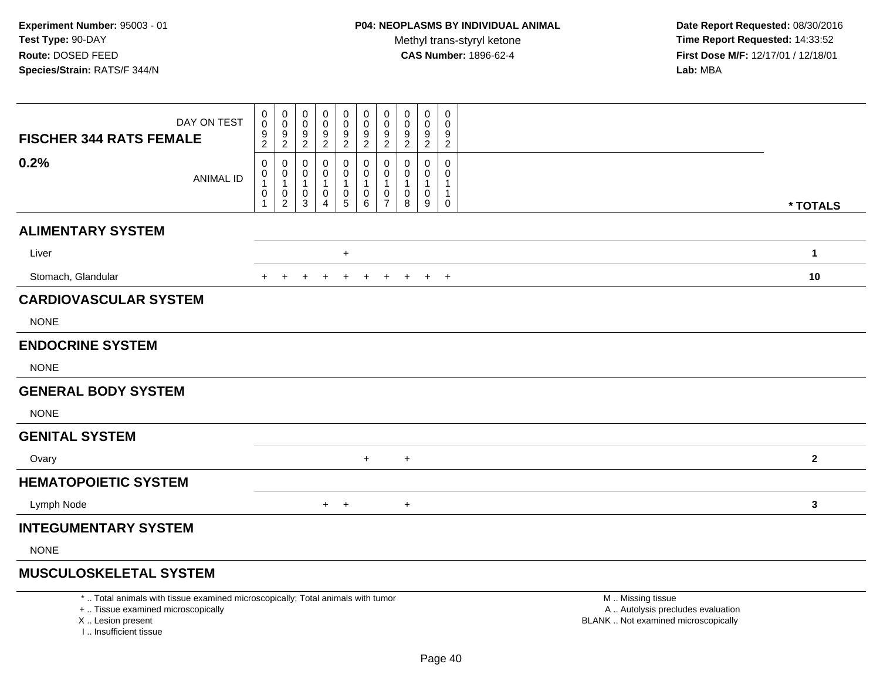**Date Report Requested:** 08/30/2016 **Time Report Requested:** 14:33:52 **First Dose M/F:** 12/17/01 / 12/18/01<br>**Lab:** MBA **Lab:** MBA

| DAY ON TEST<br><b>FISCHER 344 RATS FEMALE</b> | 0<br>$\mathbf 0$<br>$\frac{9}{2}$ | 0<br>$\mathsf{O}\xspace$<br>$\frac{9}{2}$             | 0<br>0<br>9<br>$\overline{c}$    | 0<br>0<br>9<br>$\overline{2}$               | $\mathbf 0$<br>$\pmb{0}$<br>9<br>$\overline{2}$ | 0<br>$\pmb{0}$<br>$\frac{9}{2}$                            | 0<br>$\mathbf 0$<br>$\frac{9}{2}$  | 0<br>$\mathbf 0$<br>9<br>$\sqrt{2}$ | 0<br>0<br>9<br>$\overline{2}$   | 0<br>0<br>9<br>$\overline{c}$ |              |
|-----------------------------------------------|-----------------------------------|-------------------------------------------------------|----------------------------------|---------------------------------------------|-------------------------------------------------|------------------------------------------------------------|------------------------------------|-------------------------------------|---------------------------------|-------------------------------|--------------|
| 0.2%<br><b>ANIMAL ID</b>                      | 0<br>0<br>1<br>0<br>1             | 0<br>0<br>$\mathbf{1}$<br>$\pmb{0}$<br>$\overline{2}$ | 0<br>0<br>$\mathbf{1}$<br>0<br>3 | 0<br>0<br>-1<br>$\pmb{0}$<br>$\overline{4}$ | 0<br>0<br>$\pmb{0}$<br>$\overline{5}$           | 0<br>$\mathbf 0$<br>$\overline{1}$<br>$\pmb{0}$<br>$\,6\,$ | 0<br>0<br>1<br>0<br>$\overline{7}$ | 0<br>0<br>1<br>0<br>8               | $\mathbf 0$<br>0<br>1<br>0<br>9 | 0<br>0<br>$\mathbf{1}$<br>0   | * TOTALS     |
| <b>ALIMENTARY SYSTEM</b>                      |                                   |                                                       |                                  |                                             |                                                 |                                                            |                                    |                                     |                                 |                               |              |
| Liver                                         |                                   |                                                       |                                  |                                             | $\ddot{}$                                       |                                                            |                                    |                                     |                                 |                               | $\mathbf{1}$ |
| Stomach, Glandular                            | $\pm$                             |                                                       | $\ddot{}$                        | $\ddot{}$                                   | $\ddot{}$                                       | $+$                                                        | $+$                                | $\ddot{}$                           |                                 | $+$ $+$                       | 10           |
| <b>CARDIOVASCULAR SYSTEM</b>                  |                                   |                                                       |                                  |                                             |                                                 |                                                            |                                    |                                     |                                 |                               |              |
| <b>NONE</b>                                   |                                   |                                                       |                                  |                                             |                                                 |                                                            |                                    |                                     |                                 |                               |              |
| <b>ENDOCRINE SYSTEM</b>                       |                                   |                                                       |                                  |                                             |                                                 |                                                            |                                    |                                     |                                 |                               |              |
| <b>NONE</b>                                   |                                   |                                                       |                                  |                                             |                                                 |                                                            |                                    |                                     |                                 |                               |              |
| <b>GENERAL BODY SYSTEM</b>                    |                                   |                                                       |                                  |                                             |                                                 |                                                            |                                    |                                     |                                 |                               |              |
| <b>NONE</b>                                   |                                   |                                                       |                                  |                                             |                                                 |                                                            |                                    |                                     |                                 |                               |              |
| <b>GENITAL SYSTEM</b>                         |                                   |                                                       |                                  |                                             |                                                 |                                                            |                                    |                                     |                                 |                               |              |
| Ovary                                         |                                   |                                                       |                                  |                                             |                                                 | $+$                                                        |                                    | $\bf +$                             |                                 |                               | $\mathbf{2}$ |
| <b>HEMATOPOIETIC SYSTEM</b>                   |                                   |                                                       |                                  |                                             |                                                 |                                                            |                                    |                                     |                                 |                               |              |
| Lymph Node                                    |                                   |                                                       |                                  |                                             | $+$ $+$                                         |                                                            |                                    | $\ddot{}$                           |                                 |                               | $\mathbf{3}$ |
| <b>INTEGUMENTARY SYSTEM</b>                   |                                   |                                                       |                                  |                                             |                                                 |                                                            |                                    |                                     |                                 |                               |              |
| <b>NONE</b>                                   |                                   |                                                       |                                  |                                             |                                                 |                                                            |                                    |                                     |                                 |                               |              |

## **MUSCULOSKELETAL SYSTEM**

\* .. Total animals with tissue examined microscopically; Total animals with tumor

+ .. Tissue examined microscopically

X .. Lesion present

I .. Insufficient tissue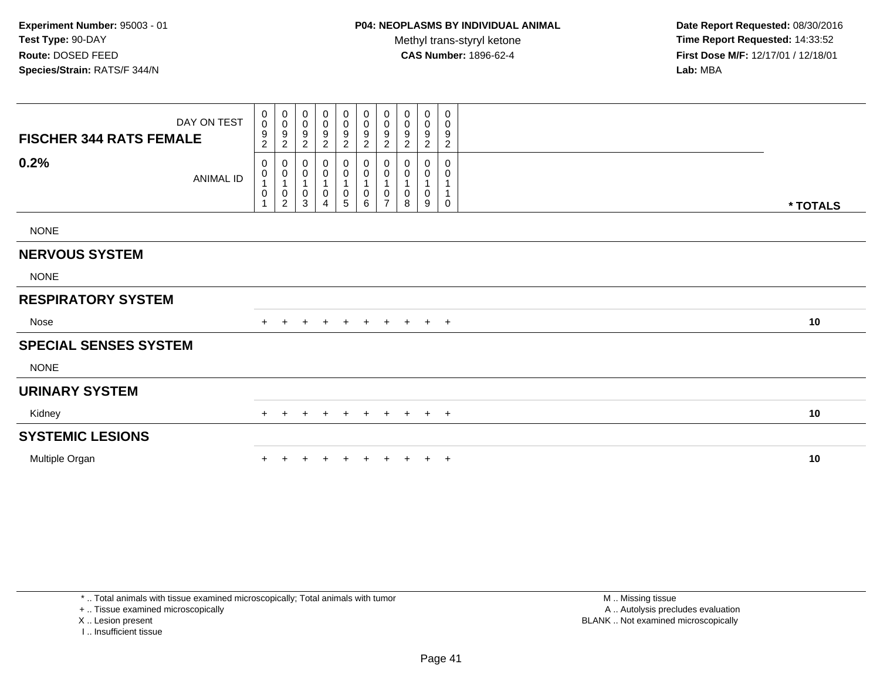| <b>FISCHER 344 RATS FEMALE</b> | DAY ON TEST      | $\mathbf 0$<br>$\pmb{0}$<br>$\frac{9}{2}$                                      | $\pmb{0}$<br>$\pmb{0}$<br>9<br>$\overline{c}$                                         | $\mathbf 0$<br>$\pmb{0}$<br>9<br>$\overline{2}$  | 0<br>$\pmb{0}$<br>9<br>$\overline{2}$      | 0<br>$\mathsf{O}\xspace$<br>9<br>$\overline{2}$ | $\pmb{0}$<br>$\mathbf 0$<br>$\boldsymbol{9}$<br>2         | $\boldsymbol{0}$<br>$\pmb{0}$<br>9<br>$\overline{2}$ | 0<br>0<br>9<br>$\overline{2}$ | $\mathbf 0$<br>$\boldsymbol{0}$<br>9<br>$\boldsymbol{2}$ | 0<br>0<br>9<br>$\overline{c}$ |          |
|--------------------------------|------------------|--------------------------------------------------------------------------------|---------------------------------------------------------------------------------------|--------------------------------------------------|--------------------------------------------|-------------------------------------------------|-----------------------------------------------------------|------------------------------------------------------|-------------------------------|----------------------------------------------------------|-------------------------------|----------|
| 0.2%                           | <b>ANIMAL ID</b> | 0<br>$\begin{smallmatrix}0\\1\end{smallmatrix}$<br>$\pmb{0}$<br>$\overline{1}$ | 0<br>$\begin{smallmatrix}0\\1\end{smallmatrix}$<br>$\boldsymbol{0}$<br>$\overline{2}$ | 0<br>$\pmb{0}$<br>$\mathbf{1}$<br>$\pmb{0}$<br>3 | 0<br>0<br>1<br>0<br>$\boldsymbol{\Lambda}$ | 0<br>$\pmb{0}$<br>0<br>5                        | 0<br>$\boldsymbol{0}$<br>$\overline{1}$<br>$\pmb{0}$<br>6 | 0<br>0<br>0<br>⇁                                     | 0<br>0<br>0<br>8              | $\Omega$<br>0<br>0<br>9                                  | 0<br>0<br>$\Omega$            | * TOTALS |
| <b>NONE</b>                    |                  |                                                                                |                                                                                       |                                                  |                                            |                                                 |                                                           |                                                      |                               |                                                          |                               |          |
| <b>NERVOUS SYSTEM</b>          |                  |                                                                                |                                                                                       |                                                  |                                            |                                                 |                                                           |                                                      |                               |                                                          |                               |          |
| <b>NONE</b>                    |                  |                                                                                |                                                                                       |                                                  |                                            |                                                 |                                                           |                                                      |                               |                                                          |                               |          |
| <b>RESPIRATORY SYSTEM</b>      |                  |                                                                                |                                                                                       |                                                  |                                            |                                                 |                                                           |                                                      |                               |                                                          |                               |          |
| Nose                           |                  |                                                                                |                                                                                       |                                                  | $\pm$                                      | $+$                                             | $+$                                                       | $+$                                                  | $+$                           | $+$ $+$                                                  |                               | 10       |
| <b>SPECIAL SENSES SYSTEM</b>   |                  |                                                                                |                                                                                       |                                                  |                                            |                                                 |                                                           |                                                      |                               |                                                          |                               |          |
| <b>NONE</b>                    |                  |                                                                                |                                                                                       |                                                  |                                            |                                                 |                                                           |                                                      |                               |                                                          |                               |          |
| <b>URINARY SYSTEM</b>          |                  |                                                                                |                                                                                       |                                                  |                                            |                                                 |                                                           |                                                      |                               |                                                          |                               |          |
| Kidney                         |                  |                                                                                |                                                                                       | $\div$                                           |                                            | $\pm$                                           | $+$                                                       | $+$                                                  | $+$                           | $+$ $+$                                                  |                               | 10       |
| <b>SYSTEMIC LESIONS</b>        |                  |                                                                                |                                                                                       |                                                  |                                            |                                                 |                                                           |                                                      |                               |                                                          |                               |          |
| Multiple Organ                 |                  |                                                                                |                                                                                       |                                                  |                                            |                                                 |                                                           |                                                      |                               | $+$ $+$                                                  |                               | 10       |

\* .. Total animals with tissue examined microscopically; Total animals with tumor

+ .. Tissue examined microscopically

X .. Lesion present

I .. Insufficient tissue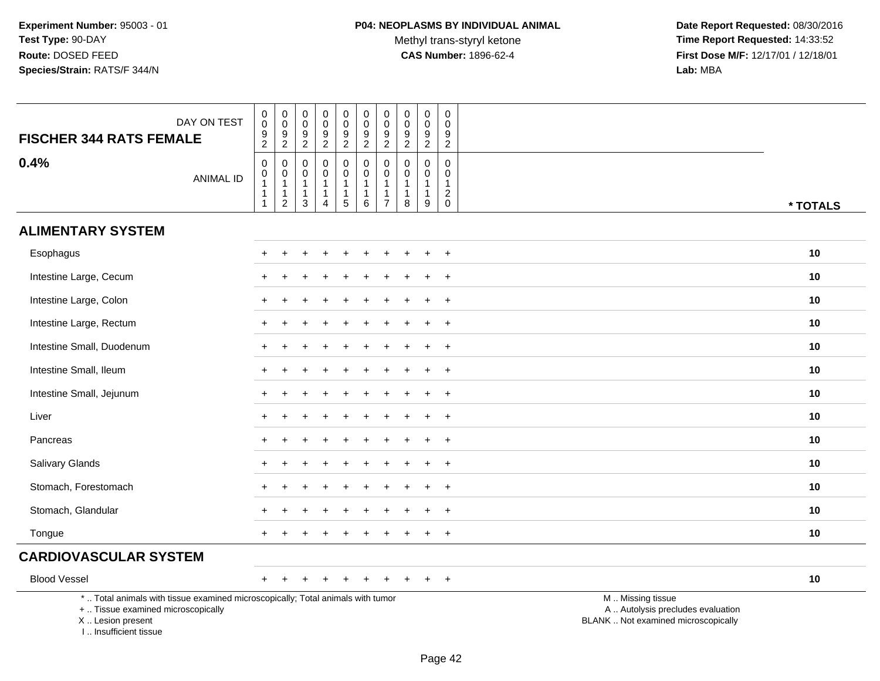Methyl trans-styryl ketone<br>CAS Number: 1896-62-4

 **Date Report Requested:** 08/30/2016 **Time Report Requested:** 14:33:52 **First Dose M/F:** 12/17/01 / 12/18/01<br>Lab: MBA **Lab:** MBA

| DAY ON TEST<br><b>FISCHER 344 RATS FEMALE</b>                                                                                                                       | 0<br>$\pmb{0}$<br>$\frac{9}{2}$                                        | $\boldsymbol{0}$<br>$\pmb{0}$<br>$\boldsymbol{9}$<br>$\overline{2}$ | 0<br>$\boldsymbol{0}$<br>$\boldsymbol{9}$<br>$\overline{2}$        | 0<br>$\mathbf 0$<br>$9\,$<br>$\overline{2}$                                  | 0<br>$\pmb{0}$<br>9<br>$\overline{c}$      | $\begin{matrix} 0 \\ 0 \end{matrix}$<br>$\boldsymbol{9}$<br>$\overline{2}$ | $\boldsymbol{0}$<br>$\pmb{0}$<br>9<br>$\overline{c}$                         | 0<br>$\pmb{0}$<br>9<br>$\overline{2}$              | 0<br>$\boldsymbol{0}$<br>9<br>$\overline{2}$                      | 0<br>0<br>9<br>$\sqrt{2}$                     |                                                                                               |
|---------------------------------------------------------------------------------------------------------------------------------------------------------------------|------------------------------------------------------------------------|---------------------------------------------------------------------|--------------------------------------------------------------------|------------------------------------------------------------------------------|--------------------------------------------|----------------------------------------------------------------------------|------------------------------------------------------------------------------|----------------------------------------------------|-------------------------------------------------------------------|-----------------------------------------------|-----------------------------------------------------------------------------------------------|
| 0.4%<br><b>ANIMAL ID</b>                                                                                                                                            | $\pmb{0}$<br>$\pmb{0}$<br>$\mathbf{1}$<br>$\mathbf{1}$<br>$\mathbf{1}$ | 0<br>$\pmb{0}$<br>$\mathbf{1}$<br>1<br>$\sqrt{2}$                   | $\mathbf 0$<br>0<br>$\overline{1}$<br>$\mathbf{1}$<br>$\mathbf{3}$ | $\mathbf 0$<br>$\mathbf 0$<br>$\mathbf{1}$<br>$\mathbf{1}$<br>$\overline{4}$ | 0<br>$\mathbf 0$<br>1<br>$\mathbf{1}$<br>5 | $\mathbf 0$<br>$\mathbf 0$<br>$\mathbf{1}$<br>$\mathbf{1}$<br>$\,6\,$      | $\mathbf 0$<br>$\mathbf 0$<br>$\mathbf{1}$<br>$\mathbf{1}$<br>$\overline{7}$ | $\mathbf 0$<br>$\Omega$<br>-1<br>$\mathbf{1}$<br>8 | $\mathbf 0$<br>$\mathbf 0$<br>$\overline{1}$<br>$\mathbf{1}$<br>9 | 0<br>$\Omega$<br>$\mathbf{1}$<br>$^2_{\rm 0}$ | * TOTALS                                                                                      |
| <b>ALIMENTARY SYSTEM</b>                                                                                                                                            |                                                                        |                                                                     |                                                                    |                                                                              |                                            |                                                                            |                                                                              |                                                    |                                                                   |                                               |                                                                                               |
| Esophagus                                                                                                                                                           |                                                                        |                                                                     |                                                                    |                                                                              |                                            |                                                                            |                                                                              |                                                    |                                                                   | $\overline{+}$                                | 10                                                                                            |
| Intestine Large, Cecum                                                                                                                                              |                                                                        |                                                                     |                                                                    |                                                                              |                                            |                                                                            |                                                                              |                                                    |                                                                   | $+$                                           | 10                                                                                            |
| Intestine Large, Colon                                                                                                                                              |                                                                        |                                                                     |                                                                    |                                                                              |                                            |                                                                            |                                                                              |                                                    |                                                                   | $\ddot{}$                                     | 10                                                                                            |
| Intestine Large, Rectum                                                                                                                                             |                                                                        |                                                                     |                                                                    |                                                                              |                                            |                                                                            |                                                                              |                                                    |                                                                   | $\overline{+}$                                | 10                                                                                            |
| Intestine Small, Duodenum                                                                                                                                           |                                                                        |                                                                     |                                                                    |                                                                              |                                            |                                                                            |                                                                              |                                                    |                                                                   | $\overline{+}$                                | 10                                                                                            |
| Intestine Small, Ileum                                                                                                                                              |                                                                        |                                                                     |                                                                    |                                                                              |                                            |                                                                            |                                                                              |                                                    |                                                                   | $+$                                           | 10                                                                                            |
| Intestine Small, Jejunum                                                                                                                                            |                                                                        |                                                                     |                                                                    |                                                                              |                                            |                                                                            |                                                                              |                                                    |                                                                   | $\overline{+}$                                | 10                                                                                            |
| Liver                                                                                                                                                               | $+$                                                                    |                                                                     |                                                                    |                                                                              |                                            |                                                                            |                                                                              |                                                    |                                                                   | $+$                                           | 10                                                                                            |
| Pancreas                                                                                                                                                            |                                                                        |                                                                     |                                                                    |                                                                              |                                            |                                                                            |                                                                              |                                                    |                                                                   | $+$                                           | 10                                                                                            |
| Salivary Glands                                                                                                                                                     |                                                                        |                                                                     |                                                                    |                                                                              |                                            |                                                                            |                                                                              |                                                    |                                                                   | $\overline{+}$                                | 10                                                                                            |
| Stomach, Forestomach                                                                                                                                                |                                                                        |                                                                     |                                                                    |                                                                              |                                            |                                                                            |                                                                              |                                                    |                                                                   | $\overline{+}$                                | 10                                                                                            |
| Stomach, Glandular                                                                                                                                                  |                                                                        |                                                                     |                                                                    |                                                                              |                                            |                                                                            |                                                                              |                                                    | ÷.                                                                | $^{+}$                                        | 10                                                                                            |
| Tongue                                                                                                                                                              |                                                                        |                                                                     |                                                                    |                                                                              |                                            |                                                                            |                                                                              |                                                    |                                                                   | $+$                                           | 10                                                                                            |
| <b>CARDIOVASCULAR SYSTEM</b>                                                                                                                                        |                                                                        |                                                                     |                                                                    |                                                                              |                                            |                                                                            |                                                                              |                                                    |                                                                   |                                               |                                                                                               |
| <b>Blood Vessel</b>                                                                                                                                                 | $+$                                                                    |                                                                     |                                                                    |                                                                              |                                            |                                                                            |                                                                              |                                                    |                                                                   | $+$                                           | 10                                                                                            |
| *  Total animals with tissue examined microscopically; Total animals with tumor<br>+  Tissue examined microscopically<br>X  Lesion present<br>I Insufficient tissue |                                                                        |                                                                     |                                                                    |                                                                              |                                            |                                                                            |                                                                              |                                                    |                                                                   |                                               | M  Missing tissue<br>A  Autolysis precludes evaluation<br>BLANK  Not examined microscopically |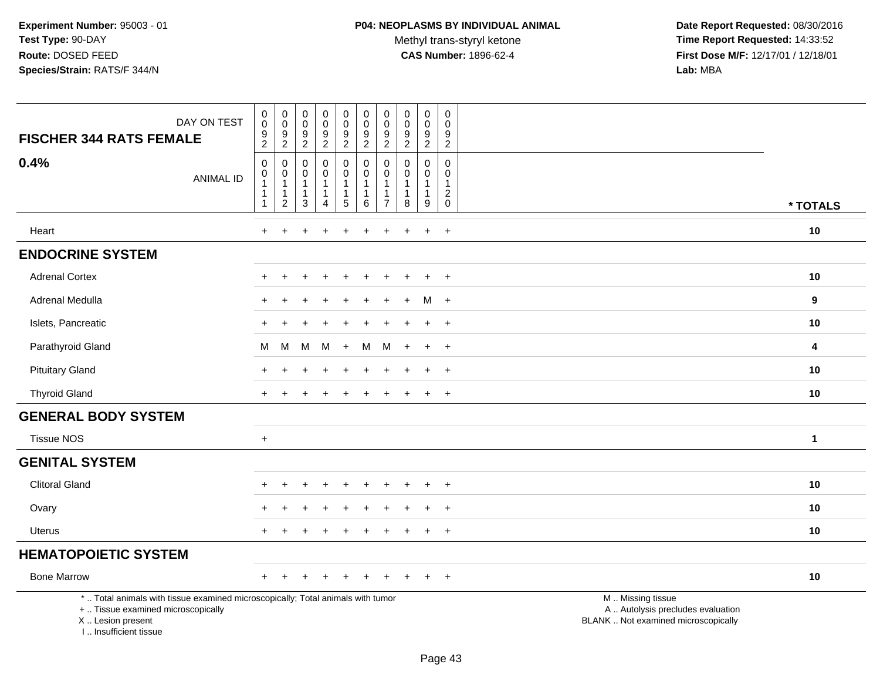Methyl trans-styryl ketone<br>CAS Number: 1896-62-4

 **Date Report Requested:** 08/30/2016 **Time Report Requested:** 14:33:52 **First Dose M/F:** 12/17/01 / 12/18/01<br>Lab: MBA **Lab:** MBA

| DAY ON TEST<br><b>FISCHER 344 RATS FEMALE</b>                                                                                                                       | $\,0\,$<br>$\ddot{\mathbf{0}}$<br>$\frac{9}{2}$                                   | $\begin{smallmatrix} 0\\0 \end{smallmatrix}$<br>$\frac{9}{2}$ | $\mathbf 0$<br>$\overline{0}$<br>$\frac{9}{2}$                   | $_{\rm 0}^{\rm 0}$<br>$\frac{9}{2}$                           | $\begin{smallmatrix} 0\\0 \end{smallmatrix}$<br>$\frac{9}{2}$                | $\pmb{0}$<br>$\ddot{\mathbf{0}}$<br>$\frac{9}{2}$           | $\pmb{0}$<br>$\boldsymbol{0}$<br>9<br>$\overline{2}$    | $\begin{smallmatrix} 0\\0 \end{smallmatrix}$<br>$\frac{9}{2}$      | $\begin{smallmatrix}0\0\0\end{smallmatrix}$<br>$\frac{9}{2}$    | $\mathsf{O}$<br>$\pmb{0}$<br>$\frac{9}{2}$              |                                                                                               |              |
|---------------------------------------------------------------------------------------------------------------------------------------------------------------------|-----------------------------------------------------------------------------------|---------------------------------------------------------------|------------------------------------------------------------------|---------------------------------------------------------------|------------------------------------------------------------------------------|-------------------------------------------------------------|---------------------------------------------------------|--------------------------------------------------------------------|-----------------------------------------------------------------|---------------------------------------------------------|-----------------------------------------------------------------------------------------------|--------------|
| 0.4%<br><b>ANIMAL ID</b>                                                                                                                                            | $\pmb{0}$<br>$\boldsymbol{0}$<br>$\overline{1}$<br>$\mathbf{1}$<br>$\overline{1}$ | 0<br>0<br>$\mathbf{1}$<br>1<br>$\overline{c}$                 | $\mathbf 0$<br>0<br>$\mathbf{1}$<br>$\mathbf{1}$<br>$\mathbf{3}$ | $\pmb{0}$<br>$\mathbf 0$<br>$\mathbf{1}$<br>$\mathbf{1}$<br>4 | $\pmb{0}$<br>$\mathbf 0$<br>$\overline{1}$<br>$\mathbf{1}$<br>$\overline{5}$ | $\pmb{0}$<br>0<br>$\overline{1}$<br>$\mathbf{1}$<br>$\,6\,$ | 0<br>$\mathbf 0$<br>$\mathbf{1}$<br>1<br>$\overline{7}$ | $\mathbf 0$<br>0<br>$\mathbf{1}$<br>$\mathbf{1}$<br>$\overline{8}$ | $\mathsf 0$<br>$\mathbf 0$<br>$\mathbf{1}$<br>$\mathbf{1}$<br>9 | $\mathbf 0$<br>$\Omega$<br>$\mathbf{1}$<br>$^2_{\rm 0}$ |                                                                                               | * TOTALS     |
| Heart                                                                                                                                                               | $\ddot{}$                                                                         |                                                               |                                                                  |                                                               |                                                                              |                                                             |                                                         |                                                                    | $\ddot{}$                                                       | $+$                                                     |                                                                                               | 10           |
| <b>ENDOCRINE SYSTEM</b>                                                                                                                                             |                                                                                   |                                                               |                                                                  |                                                               |                                                                              |                                                             |                                                         |                                                                    |                                                                 |                                                         |                                                                                               |              |
| <b>Adrenal Cortex</b>                                                                                                                                               | $\div$                                                                            | ÷                                                             | $\div$                                                           | $\div$                                                        | $\pm$                                                                        | $\pm$                                                       | ÷                                                       |                                                                    | $\pm$                                                           | $+$                                                     |                                                                                               | 10           |
| Adrenal Medulla                                                                                                                                                     |                                                                                   |                                                               |                                                                  |                                                               |                                                                              |                                                             |                                                         |                                                                    | м                                                               | $+$                                                     |                                                                                               | 9            |
| Islets, Pancreatic                                                                                                                                                  |                                                                                   |                                                               |                                                                  |                                                               |                                                                              |                                                             |                                                         |                                                                    | $\ddot{}$                                                       | $+$                                                     |                                                                                               | 10           |
| Parathyroid Gland                                                                                                                                                   | М                                                                                 | M                                                             | м                                                                | M                                                             | $+$                                                                          | M                                                           | М                                                       |                                                                    | $\ddot{}$                                                       | $\overline{+}$                                          |                                                                                               | 4            |
| <b>Pituitary Gland</b>                                                                                                                                              |                                                                                   |                                                               |                                                                  |                                                               |                                                                              |                                                             |                                                         |                                                                    |                                                                 | $+$                                                     |                                                                                               | 10           |
| <b>Thyroid Gland</b>                                                                                                                                                |                                                                                   |                                                               |                                                                  |                                                               |                                                                              |                                                             |                                                         |                                                                    | $\ddot{}$                                                       | $+$                                                     |                                                                                               | 10           |
| <b>GENERAL BODY SYSTEM</b>                                                                                                                                          |                                                                                   |                                                               |                                                                  |                                                               |                                                                              |                                                             |                                                         |                                                                    |                                                                 |                                                         |                                                                                               |              |
| <b>Tissue NOS</b>                                                                                                                                                   | $\ddot{}$                                                                         |                                                               |                                                                  |                                                               |                                                                              |                                                             |                                                         |                                                                    |                                                                 |                                                         |                                                                                               | $\mathbf{1}$ |
| <b>GENITAL SYSTEM</b>                                                                                                                                               |                                                                                   |                                                               |                                                                  |                                                               |                                                                              |                                                             |                                                         |                                                                    |                                                                 |                                                         |                                                                                               |              |
| <b>Clitoral Gland</b>                                                                                                                                               |                                                                                   |                                                               |                                                                  |                                                               |                                                                              |                                                             |                                                         |                                                                    |                                                                 | $\overline{+}$                                          |                                                                                               | 10           |
| Ovary                                                                                                                                                               |                                                                                   |                                                               |                                                                  |                                                               |                                                                              |                                                             |                                                         |                                                                    |                                                                 | $\ddot{}$                                               |                                                                                               | 10           |
| <b>Uterus</b>                                                                                                                                                       |                                                                                   |                                                               |                                                                  |                                                               |                                                                              |                                                             |                                                         |                                                                    | $\div$                                                          | $+$                                                     |                                                                                               | 10           |
| <b>HEMATOPOIETIC SYSTEM</b>                                                                                                                                         |                                                                                   |                                                               |                                                                  |                                                               |                                                                              |                                                             |                                                         |                                                                    |                                                                 |                                                         |                                                                                               |              |
| <b>Bone Marrow</b>                                                                                                                                                  |                                                                                   |                                                               |                                                                  |                                                               |                                                                              |                                                             |                                                         |                                                                    |                                                                 | $+$                                                     |                                                                                               | 10           |
| *  Total animals with tissue examined microscopically; Total animals with tumor<br>+  Tissue examined microscopically<br>X  Lesion present<br>I Insufficient tissue |                                                                                   |                                                               |                                                                  |                                                               |                                                                              |                                                             |                                                         |                                                                    |                                                                 |                                                         | M  Missing tissue<br>A  Autolysis precludes evaluation<br>BLANK  Not examined microscopically |              |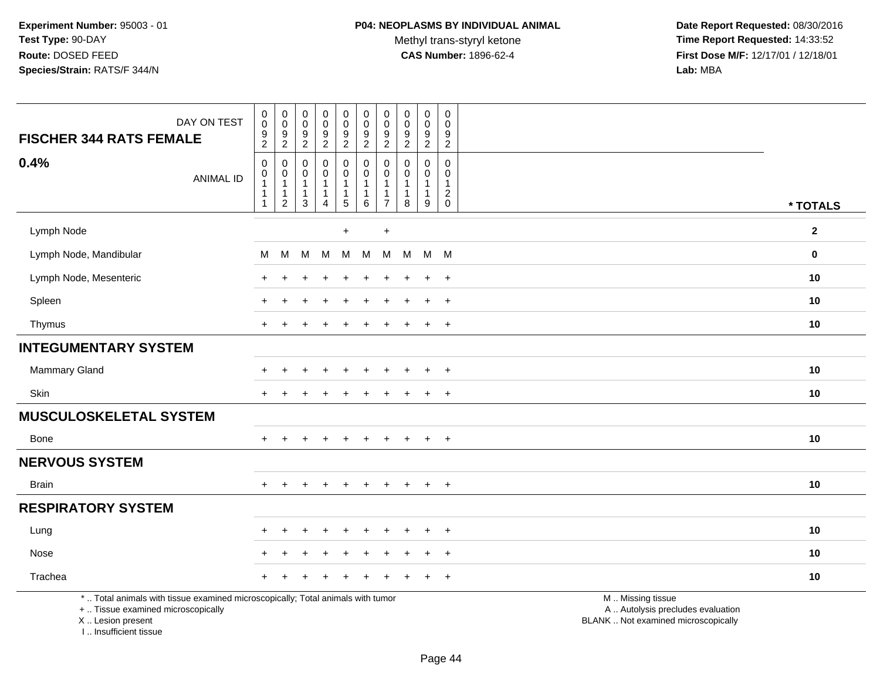Methyl trans-styryl ketone<br>CAS Number: 1896-62-4

 **Date Report Requested:** 08/30/2016 **Time Report Requested:** 14:33:52 **First Dose M/F:** 12/17/01 / 12/18/01<br>Lab: MBA **Lab:** MBA

| DAY ON TEST<br><b>FISCHER 344 RATS FEMALE</b>                                                                                              | $\pmb{0}$<br>$\pmb{0}$<br>$\frac{9}{2}$ | $\pmb{0}$<br>$\pmb{0}$<br>$\frac{9}{2}$                              | $\pmb{0}$<br>$\mathbf 0$<br>$\boldsymbol{9}$<br>$\overline{2}$  | $\pmb{0}$<br>$\mathsf{O}\xspace$<br>$\boldsymbol{9}$<br>$\overline{2}$ | 0<br>$\mathbf 0$<br>$\boldsymbol{9}$<br>$\overline{2}$               | $\pmb{0}$<br>$\pmb{0}$<br>$\frac{9}{2}$                   | $\mathbf 0$<br>$\mathbf 0$<br>9<br>$\overline{2}$            | $\mathbf 0$<br>$\mathbf 0$<br>9<br>$\overline{2}$ | $\pmb{0}$<br>$\pmb{0}$<br>$\boldsymbol{9}$<br>$\overline{2}$ | $\mathsf{O}\xspace$<br>$\mathbf 0$<br>9<br>$\overline{2}$  |                                                                                               |              |
|--------------------------------------------------------------------------------------------------------------------------------------------|-----------------------------------------|----------------------------------------------------------------------|-----------------------------------------------------------------|------------------------------------------------------------------------|----------------------------------------------------------------------|-----------------------------------------------------------|--------------------------------------------------------------|---------------------------------------------------|--------------------------------------------------------------|------------------------------------------------------------|-----------------------------------------------------------------------------------------------|--------------|
| 0.4%<br><b>ANIMAL ID</b>                                                                                                                   | $\mathsf 0$<br>0<br>1<br>-1             | $\mathbf 0$<br>0<br>$\overline{1}$<br>$\mathbf{1}$<br>$\overline{c}$ | $\mathbf 0$<br>$\mathbf 0$<br>$\mathbf{1}$<br>$\mathbf{1}$<br>3 | $\mathbf 0$<br>$\mathbf 0$<br>$\mathbf{1}$<br>4                        | 0<br>$\mathbf 0$<br>$\overline{1}$<br>$\mathbf{1}$<br>$\overline{5}$ | $\mathbf 0$<br>$\mathbf 0$<br>-1<br>-1<br>$6\phantom{1}6$ | $\mathbf{0}$<br>$\Omega$<br>$\overline{1}$<br>$\overline{7}$ | $\Omega$<br>$\Omega$<br>1<br>$\mathbf{1}$<br>8    | 0<br>$\mathbf 0$<br>1<br>$\mathbf{1}$<br>$9\,$               | $\mathbf 0$<br>$\mathbf 0$<br>$\mathbf{1}$<br>$^2_{\rm 0}$ |                                                                                               | * TOTALS     |
| Lymph Node                                                                                                                                 |                                         |                                                                      |                                                                 |                                                                        | $+$                                                                  |                                                           | $\pmb{+}$                                                    |                                                   |                                                              |                                                            |                                                                                               | $\mathbf{2}$ |
| Lymph Node, Mandibular                                                                                                                     | М                                       | M                                                                    | M                                                               | M                                                                      | М                                                                    | M                                                         | M                                                            | M                                                 | M M                                                          |                                                            |                                                                                               | $\mathbf 0$  |
| Lymph Node, Mesenteric                                                                                                                     |                                         |                                                                      |                                                                 |                                                                        |                                                                      |                                                           |                                                              |                                                   |                                                              | $\ddot{}$                                                  |                                                                                               | 10           |
| Spleen                                                                                                                                     |                                         |                                                                      |                                                                 |                                                                        |                                                                      |                                                           |                                                              |                                                   | $\ddot{}$                                                    | $^+$                                                       |                                                                                               | 10           |
| Thymus                                                                                                                                     | $\ddot{}$                               | $\pm$                                                                |                                                                 |                                                                        |                                                                      | $\ddot{}$                                                 | $\div$                                                       |                                                   | $\ddot{}$                                                    | $+$                                                        |                                                                                               | 10           |
| <b>INTEGUMENTARY SYSTEM</b>                                                                                                                |                                         |                                                                      |                                                                 |                                                                        |                                                                      |                                                           |                                                              |                                                   |                                                              |                                                            |                                                                                               |              |
| Mammary Gland                                                                                                                              |                                         |                                                                      |                                                                 |                                                                        |                                                                      |                                                           |                                                              |                                                   | ÷                                                            | $\overline{+}$                                             |                                                                                               | 10           |
| Skin                                                                                                                                       | $\ddot{}$                               |                                                                      |                                                                 |                                                                        |                                                                      |                                                           |                                                              |                                                   | $\ddot{}$                                                    | $+$                                                        |                                                                                               | 10           |
| <b>MUSCULOSKELETAL SYSTEM</b>                                                                                                              |                                         |                                                                      |                                                                 |                                                                        |                                                                      |                                                           |                                                              |                                                   |                                                              |                                                            |                                                                                               |              |
| Bone                                                                                                                                       |                                         |                                                                      |                                                                 |                                                                        |                                                                      |                                                           |                                                              |                                                   |                                                              | $^{+}$                                                     |                                                                                               | 10           |
| <b>NERVOUS SYSTEM</b>                                                                                                                      |                                         |                                                                      |                                                                 |                                                                        |                                                                      |                                                           |                                                              |                                                   |                                                              |                                                            |                                                                                               |              |
| <b>Brain</b>                                                                                                                               | $+$                                     | $+$                                                                  | $\ddot{}$                                                       | $+$                                                                    | $+$                                                                  | $+$                                                       | $+$                                                          | $+$                                               | $+$                                                          | $+$                                                        |                                                                                               | 10           |
| <b>RESPIRATORY SYSTEM</b>                                                                                                                  |                                         |                                                                      |                                                                 |                                                                        |                                                                      |                                                           |                                                              |                                                   |                                                              |                                                            |                                                                                               |              |
| Lung                                                                                                                                       |                                         |                                                                      |                                                                 |                                                                        |                                                                      |                                                           |                                                              |                                                   |                                                              | $\ddot{}$                                                  |                                                                                               | 10           |
| Nose                                                                                                                                       |                                         |                                                                      |                                                                 |                                                                        |                                                                      |                                                           |                                                              |                                                   | $\ddot{}$                                                    | $+$                                                        |                                                                                               | 10           |
| Trachea                                                                                                                                    |                                         |                                                                      |                                                                 |                                                                        |                                                                      |                                                           |                                                              |                                                   |                                                              | $\overline{+}$                                             |                                                                                               | 10           |
| *  Total animals with tissue examined microscopically; Total animals with tumor<br>+  Tissue examined microscopically<br>X  Lesion present |                                         |                                                                      |                                                                 |                                                                        |                                                                      |                                                           |                                                              |                                                   |                                                              |                                                            | M  Missing tissue<br>A  Autolysis precludes evaluation<br>BLANK  Not examined microscopically |              |

Page 44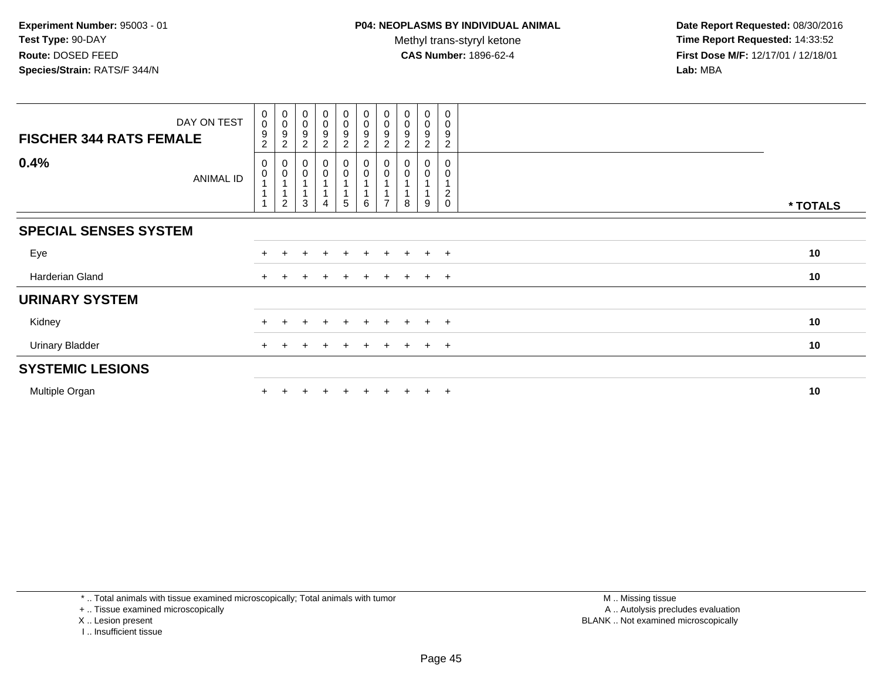| DAY ON TEST<br><b>FISCHER 344 RATS FEMALE</b> | $_{\rm 0}^{\rm 0}$<br>9<br>$\overline{c}$                   | $_{\rm 0}^{\rm 0}$<br>9<br>2     | $\begin{smallmatrix} 0\\0 \end{smallmatrix}$<br>$\boldsymbol{9}$<br>$\overline{c}$ | $\begin{smallmatrix}0\0\0\end{smallmatrix}$<br>9<br>$\overline{c}$ | $_{\rm 0}^{\rm 0}$<br>9<br>$\boldsymbol{2}$ | $_{\rm 0}^{\rm 0}$<br>$\boldsymbol{9}$<br>$\sqrt{2}$ | $\begin{smallmatrix} 0\\0 \end{smallmatrix}$<br>9<br>2 | $_{\rm 0}^{\rm 0}$<br>9<br>$\overline{2}$ | 0<br>$\mathbf 0$<br>9<br>2 | 0<br>0<br>9<br>$\sqrt{2}$     |          |
|-----------------------------------------------|-------------------------------------------------------------|----------------------------------|------------------------------------------------------------------------------------|--------------------------------------------------------------------|---------------------------------------------|------------------------------------------------------|--------------------------------------------------------|-------------------------------------------|----------------------------|-------------------------------|----------|
| 0.4%<br>ANIMAL ID                             | $\pmb{0}$<br>$\pmb{0}$<br>$\mathbf{1}$<br>$\mathbf{1}$<br>1 | 0<br>$\pmb{0}$<br>$\overline{c}$ | $\pmb{0}$<br>3                                                                     | 0<br>0                                                             | 0<br>$\mathsf 0$<br>5                       | $\pmb{0}$<br>$\pmb{0}$<br>6                          | 0<br>0                                                 | 8                                         | 0<br>0<br>9                | $\overline{c}$<br>$\mathbf 0$ | * TOTALS |
| <b>SPECIAL SENSES SYSTEM</b>                  |                                                             |                                  |                                                                                    |                                                                    |                                             |                                                      |                                                        |                                           |                            |                               |          |
| Eye                                           | $+$                                                         |                                  |                                                                                    | $\pm$                                                              | $+$                                         | $+$                                                  | $\pm$                                                  | $+$                                       | $\pm$                      | $+$                           | 10       |
| Harderian Gland                               | $+$                                                         |                                  |                                                                                    | $\pm$                                                              | $\pm$                                       | $+$                                                  | $\pm$                                                  | $+$                                       | $\pm$                      | $+$                           | 10       |
| <b>URINARY SYSTEM</b>                         |                                                             |                                  |                                                                                    |                                                                    |                                             |                                                      |                                                        |                                           |                            |                               |          |
| Kidney                                        |                                                             |                                  |                                                                                    |                                                                    | +                                           |                                                      |                                                        |                                           | $\pm$                      | $\pm$                         | 10       |
| <b>Urinary Bladder</b>                        | $+$                                                         |                                  |                                                                                    | $\ddot{}$                                                          | $+$                                         | $+$                                                  | $+$                                                    | $+$                                       | $+$                        | $+$                           | 10       |
| <b>SYSTEMIC LESIONS</b>                       |                                                             |                                  |                                                                                    |                                                                    |                                             |                                                      |                                                        |                                           |                            |                               |          |
| Multiple Organ                                |                                                             |                                  |                                                                                    |                                                                    | $+$                                         | $+$                                                  | $\pm$                                                  | $+$                                       | $\pm$                      | $+$                           | 10       |

\* .. Total animals with tissue examined microscopically; Total animals with tumor

+ .. Tissue examined microscopically

- X .. Lesion present
- I .. Insufficient tissue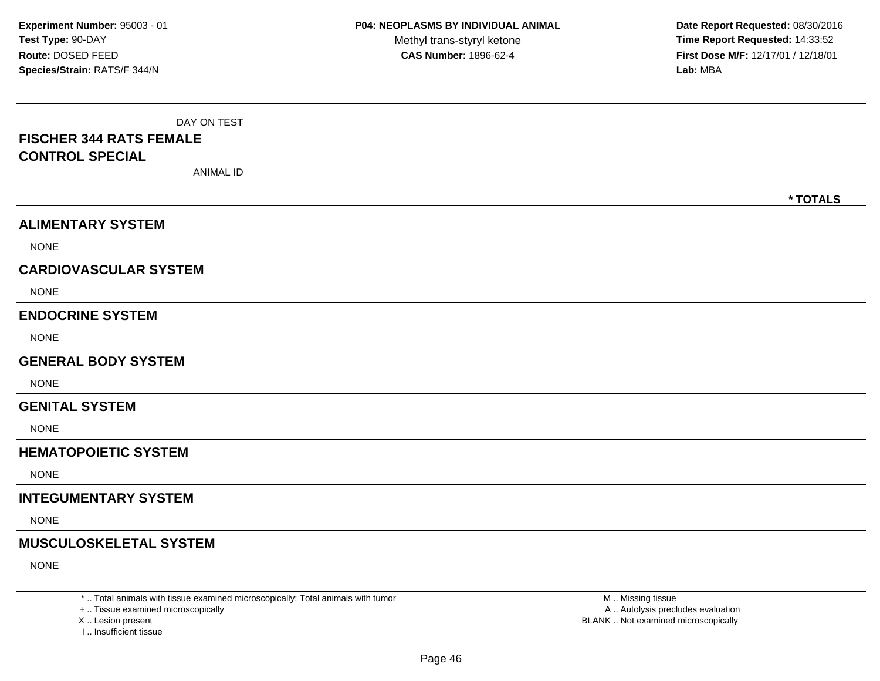| DAY ON TEST<br><b>FISCHER 344 RATS FEMALE</b><br><b>CONTROL SPECIAL</b><br><b>ANIMAL ID</b> | * TOTALS |
|---------------------------------------------------------------------------------------------|----------|
| <b>ALIMENTARY SYSTEM</b>                                                                    |          |
| <b>NONE</b>                                                                                 |          |
| <b>CARDIOVASCULAR SYSTEM</b>                                                                |          |
| <b>NONE</b>                                                                                 |          |
| <b>ENDOCRINE SYSTEM</b>                                                                     |          |
| <b>NONE</b>                                                                                 |          |
| <b>GENERAL BODY SYSTEM</b>                                                                  |          |
| <b>NONE</b>                                                                                 |          |
| <b>GENITAL SYSTEM</b>                                                                       |          |
| <b>NONE</b>                                                                                 |          |
| <b>HEMATOPOIETIC SYSTEM</b>                                                                 |          |
| <b>NONE</b>                                                                                 |          |
| <b>INTEGUMENTARY SYSTEM</b>                                                                 |          |
| <b>NONE</b>                                                                                 |          |
| <b>MUSCULOSKELETAL SYSTEM</b>                                                               |          |
| <b>NONE</b>                                                                                 |          |

\* .. Total animals with tissue examined microscopically; Total animals with tumor

+ .. Tissue examined microscopically

X .. Lesion present

I .. Insufficient tissue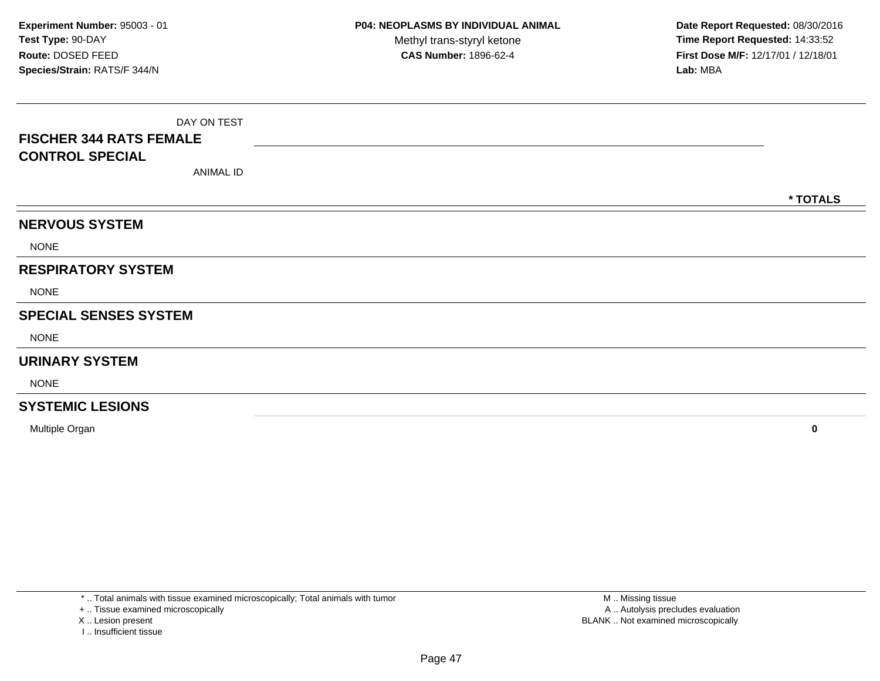|                                | DAY ON TEST |          |
|--------------------------------|-------------|----------|
| <b>FISCHER 344 RATS FEMALE</b> |             |          |
| <b>CONTROL SPECIAL</b>         |             |          |
|                                | ANIMAL ID   |          |
|                                |             | * TOTALS |
| <b>NERVOUS SYSTEM</b>          |             |          |
| <b>NONE</b>                    |             |          |
| <b>RESPIRATORY SYSTEM</b>      |             |          |
| <b>NONE</b>                    |             |          |
| <b>SPECIAL SENSES SYSTEM</b>   |             |          |
| <b>NONE</b>                    |             |          |
| <b>URINARY SYSTEM</b>          |             |          |
| <b>NONE</b>                    |             |          |
| <b>SYSTEMIC LESIONS</b>        |             |          |
|                                |             |          |

Multiple Organ**<sup>0</sup>**

\* .. Total animals with tissue examined microscopically; Total animals with tumor

+ .. Tissue examined microscopically

X .. Lesion present

I .. Insufficient tissue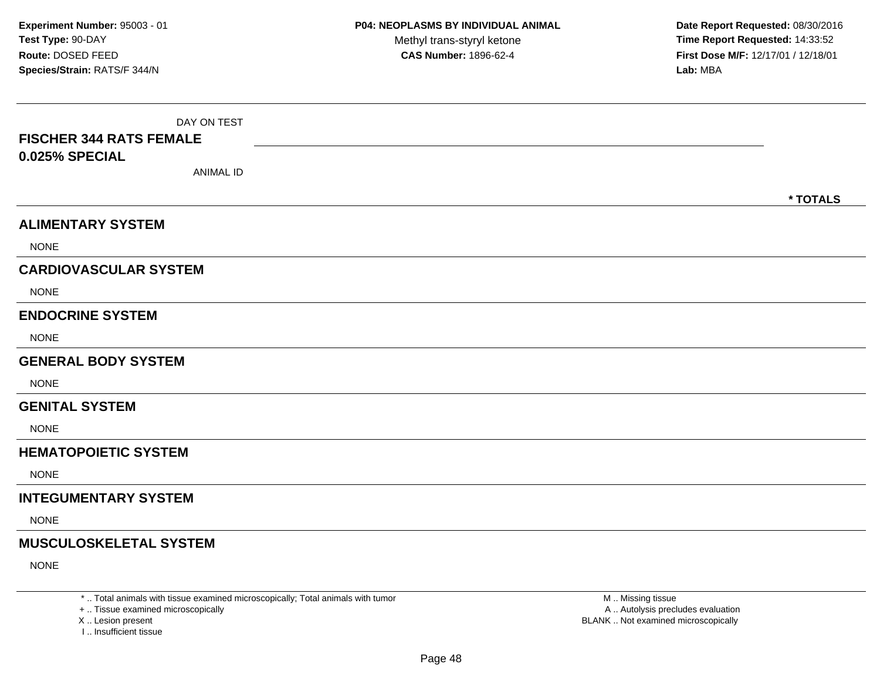| DAY ON TEST<br><b>FISCHER 344 RATS FEMALE</b><br>0.025% SPECIAL<br><b>ANIMAL ID</b> | * TOTALS |
|-------------------------------------------------------------------------------------|----------|
| <b>ALIMENTARY SYSTEM</b>                                                            |          |
| <b>NONE</b>                                                                         |          |
| <b>CARDIOVASCULAR SYSTEM</b>                                                        |          |
| <b>NONE</b>                                                                         |          |
| <b>ENDOCRINE SYSTEM</b>                                                             |          |
| <b>NONE</b>                                                                         |          |
| <b>GENERAL BODY SYSTEM</b>                                                          |          |
| <b>NONE</b>                                                                         |          |
| <b>GENITAL SYSTEM</b>                                                               |          |
| <b>NONE</b>                                                                         |          |
| <b>HEMATOPOIETIC SYSTEM</b>                                                         |          |
| <b>NONE</b>                                                                         |          |
| <b>INTEGUMENTARY SYSTEM</b>                                                         |          |
| <b>NONE</b>                                                                         |          |
| <b>MUSCULOSKELETAL SYSTEM</b>                                                       |          |
| <b>NONE</b>                                                                         |          |

\* .. Total animals with tissue examined microscopically; Total animals with tumor

+ .. Tissue examined microscopically

X .. Lesion present

I .. Insufficient tissue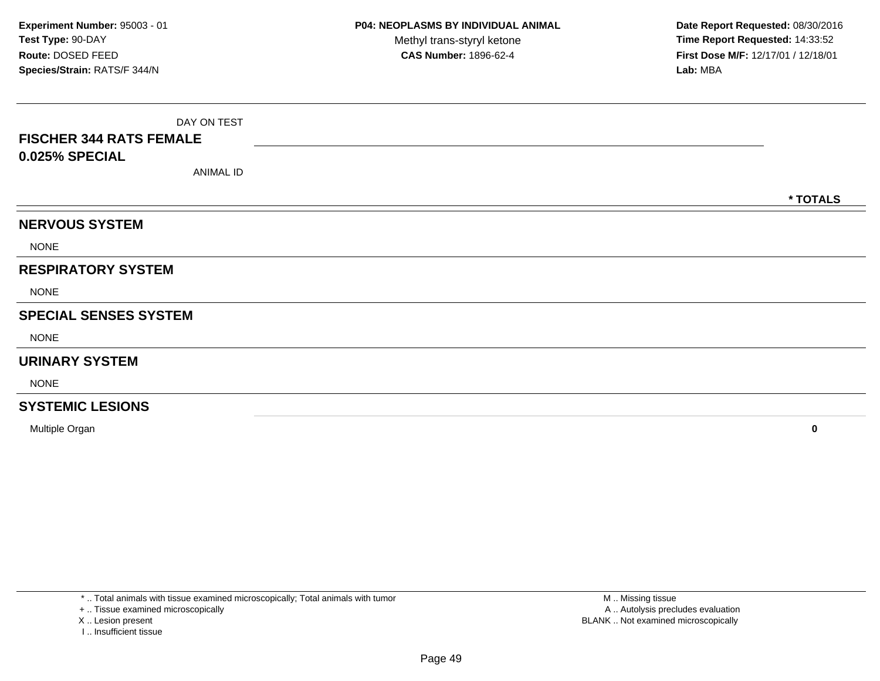|                                | DAY ON TEST |          |
|--------------------------------|-------------|----------|
| <b>FISCHER 344 RATS FEMALE</b> |             |          |
| 0.025% SPECIAL                 |             |          |
|                                | ANIMAL ID   |          |
|                                |             | * TOTALS |
| <b>NERVOUS SYSTEM</b>          |             |          |
| <b>NONE</b>                    |             |          |
| <b>RESPIRATORY SYSTEM</b>      |             |          |
| <b>NONE</b>                    |             |          |
| <b>SPECIAL SENSES SYSTEM</b>   |             |          |
| <b>NONE</b>                    |             |          |
| <b>URINARY SYSTEM</b>          |             |          |
| <b>NONE</b>                    |             |          |
| <b>SYSTEMIC LESIONS</b>        |             |          |

Multiple Organ**<sup>0</sup>**

\* .. Total animals with tissue examined microscopically; Total animals with tumor

+ .. Tissue examined microscopically

X .. Lesion present

I .. Insufficient tissue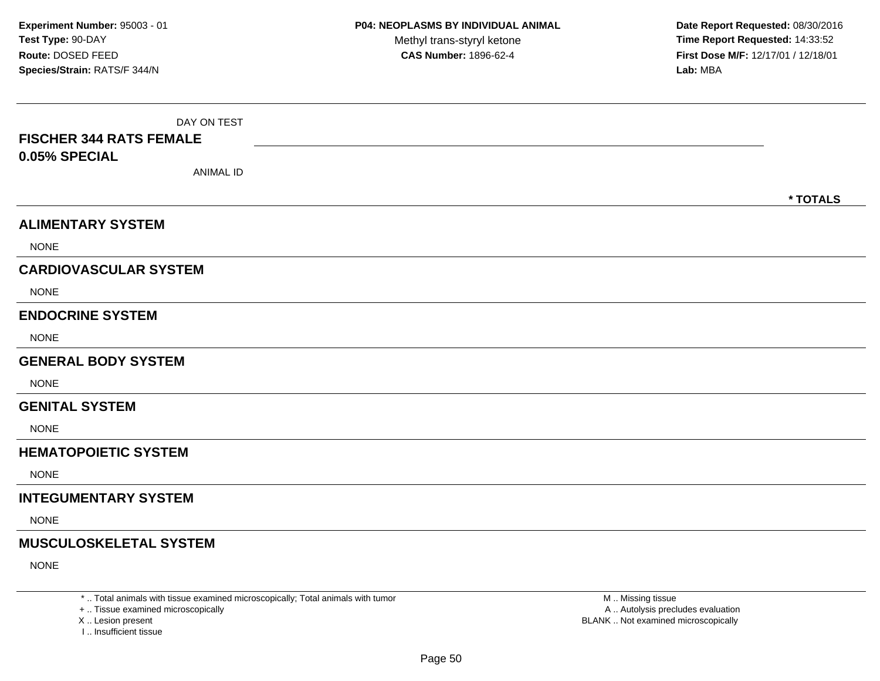| DAY ON TEST<br><b>FISCHER 344 RATS FEMALE</b><br>0.05% SPECIAL<br><b>ANIMAL ID</b> | * TOTALS |
|------------------------------------------------------------------------------------|----------|
| <b>ALIMENTARY SYSTEM</b>                                                           |          |
| <b>NONE</b>                                                                        |          |
| <b>CARDIOVASCULAR SYSTEM</b>                                                       |          |
| <b>NONE</b>                                                                        |          |
| <b>ENDOCRINE SYSTEM</b>                                                            |          |
| <b>NONE</b>                                                                        |          |
| <b>GENERAL BODY SYSTEM</b>                                                         |          |
| <b>NONE</b>                                                                        |          |
| <b>GENITAL SYSTEM</b>                                                              |          |
| <b>NONE</b>                                                                        |          |
| <b>HEMATOPOIETIC SYSTEM</b>                                                        |          |
| <b>NONE</b>                                                                        |          |
| <b>INTEGUMENTARY SYSTEM</b>                                                        |          |
| <b>NONE</b>                                                                        |          |
| <b>MUSCULOSKELETAL SYSTEM</b>                                                      |          |
| <b>NONE</b>                                                                        |          |

\* .. Total animals with tissue examined microscopically; Total animals with tumor

+ .. Tissue examined microscopically

X .. Lesion present

I .. Insufficient tissue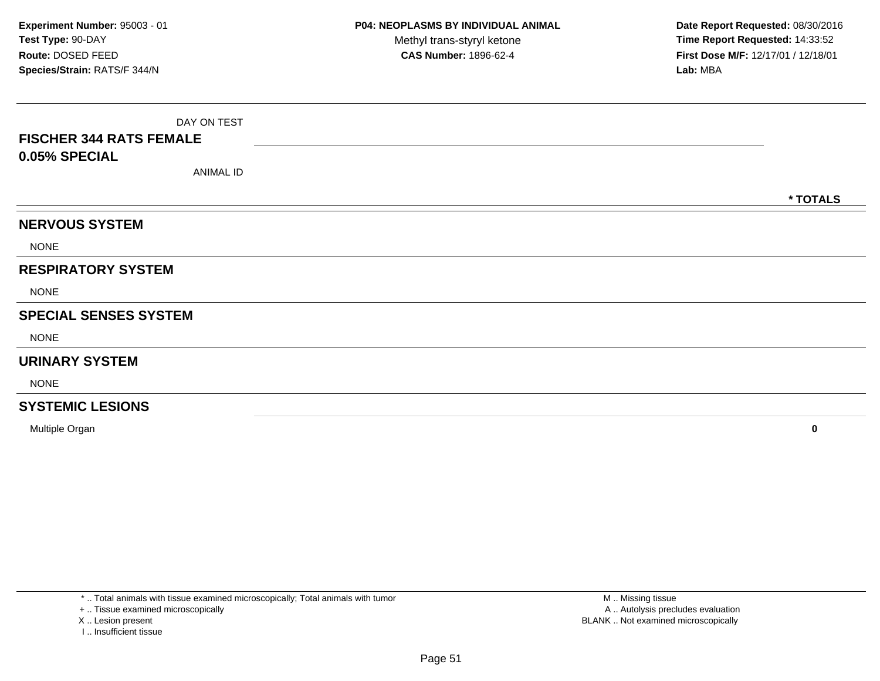| DAY ON TEST                    |          |
|--------------------------------|----------|
| <b>FISCHER 344 RATS FEMALE</b> |          |
| 0.05% SPECIAL                  |          |
| <b>ANIMAL ID</b>               |          |
|                                | * TOTALS |
| <b>NERVOUS SYSTEM</b>          |          |
| <b>NONE</b>                    |          |
| <b>RESPIRATORY SYSTEM</b>      |          |
| <b>NONE</b>                    |          |
| <b>SPECIAL SENSES SYSTEM</b>   |          |
| <b>NONE</b>                    |          |
| <b>URINARY SYSTEM</b>          |          |
| <b>NONE</b>                    |          |
| <b>SYSTEMIC LESIONS</b>        |          |

Multiple Organ**<sup>0</sup>**

\* .. Total animals with tissue examined microscopically; Total animals with tumor

+ .. Tissue examined microscopically

X .. Lesion present

I .. Insufficient tissue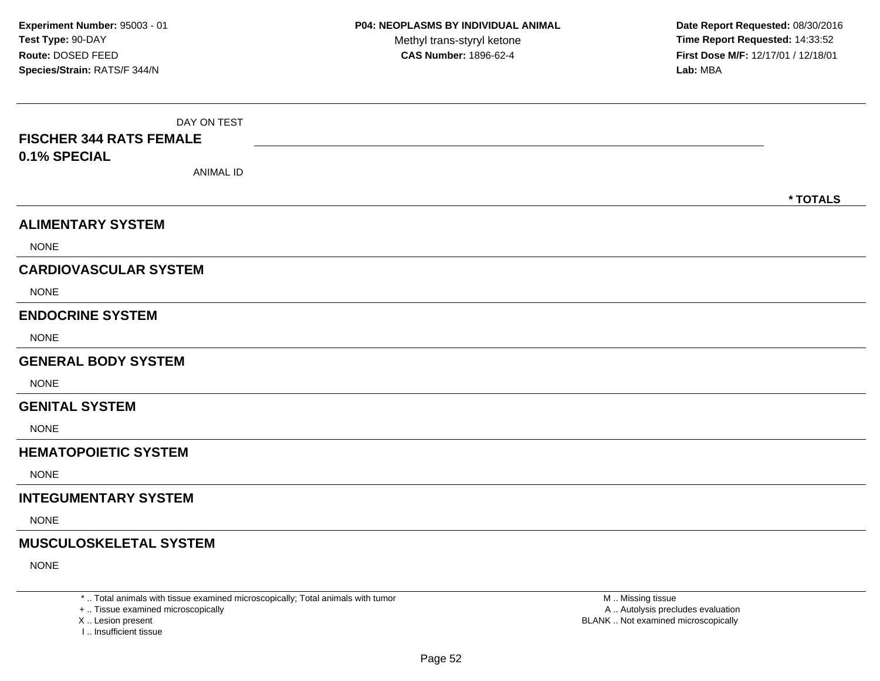| DAY ON TEST<br><b>FISCHER 344 RATS FEMALE</b><br>0.1% SPECIAL<br><b>ANIMAL ID</b> | * TOTALS |
|-----------------------------------------------------------------------------------|----------|
| <b>ALIMENTARY SYSTEM</b>                                                          |          |
| <b>NONE</b>                                                                       |          |
| <b>CARDIOVASCULAR SYSTEM</b>                                                      |          |
| <b>NONE</b>                                                                       |          |
| <b>ENDOCRINE SYSTEM</b>                                                           |          |
| <b>NONE</b>                                                                       |          |
| <b>GENERAL BODY SYSTEM</b>                                                        |          |
| <b>NONE</b>                                                                       |          |
| <b>GENITAL SYSTEM</b>                                                             |          |
| <b>NONE</b>                                                                       |          |
| <b>HEMATOPOIETIC SYSTEM</b>                                                       |          |
| <b>NONE</b>                                                                       |          |
| <b>INTEGUMENTARY SYSTEM</b>                                                       |          |
| <b>NONE</b>                                                                       |          |
| <b>MUSCULOSKELETAL SYSTEM</b>                                                     |          |
| <b>NONE</b>                                                                       |          |

\* .. Total animals with tissue examined microscopically; Total animals with tumor

+ .. Tissue examined microscopically

X .. Lesion present

I .. Insufficient tissue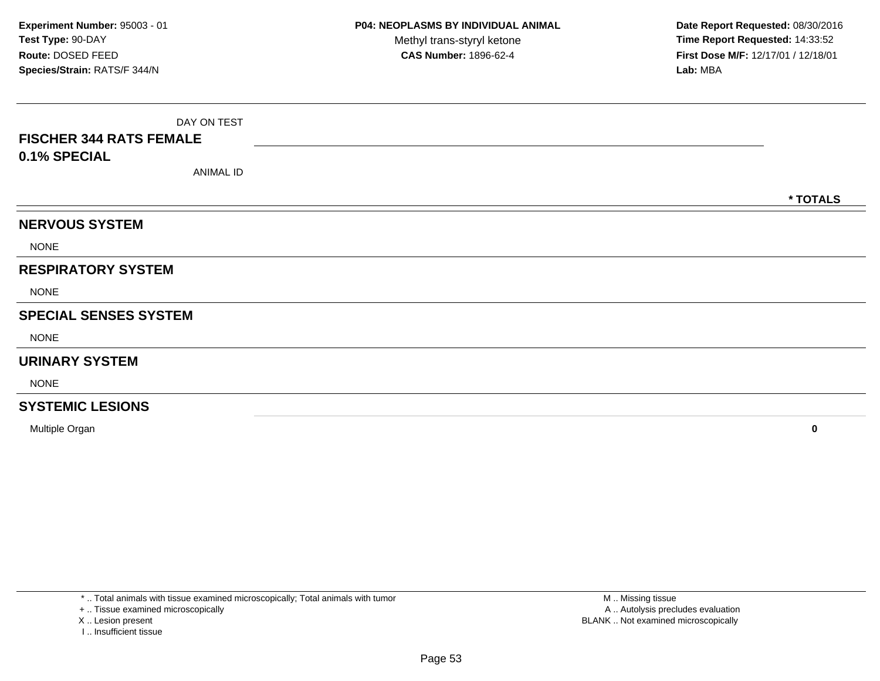| DAY ON TEST                    |          |
|--------------------------------|----------|
| <b>FISCHER 344 RATS FEMALE</b> |          |
| 0.1% SPECIAL                   |          |
| <b>ANIMAL ID</b>               |          |
|                                | * TOTALS |
| <b>NERVOUS SYSTEM</b>          |          |
| <b>NONE</b>                    |          |
| <b>RESPIRATORY SYSTEM</b>      |          |
| <b>NONE</b>                    |          |
| <b>SPECIAL SENSES SYSTEM</b>   |          |
| <b>NONE</b>                    |          |
| <b>URINARY SYSTEM</b>          |          |
| <b>NONE</b>                    |          |
| <b>SYSTEMIC LESIONS</b>        |          |

Multiple Organ**<sup>0</sup>**

\* .. Total animals with tissue examined microscopically; Total animals with tumor

+ .. Tissue examined microscopically

X .. Lesion present

I .. Insufficient tissue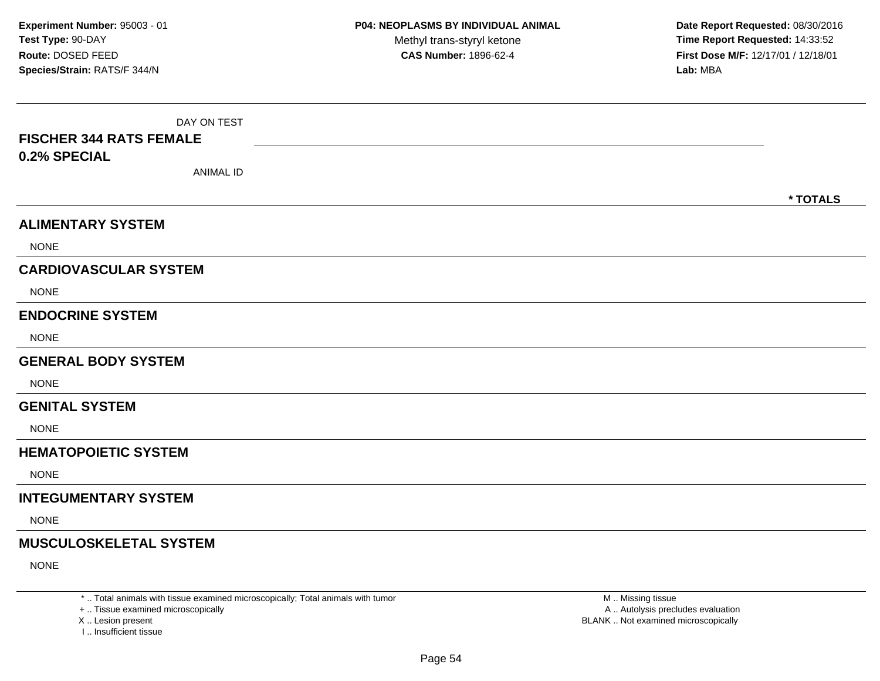| DAY ON TEST<br><b>FISCHER 344 RATS FEMALE</b><br>0.2% SPECIAL<br><b>ANIMAL ID</b> | * TOTALS |
|-----------------------------------------------------------------------------------|----------|
| <b>ALIMENTARY SYSTEM</b>                                                          |          |
| <b>NONE</b>                                                                       |          |
| <b>CARDIOVASCULAR SYSTEM</b>                                                      |          |
| <b>NONE</b>                                                                       |          |
| <b>ENDOCRINE SYSTEM</b>                                                           |          |
| <b>NONE</b>                                                                       |          |
| <b>GENERAL BODY SYSTEM</b>                                                        |          |
| <b>NONE</b>                                                                       |          |
| <b>GENITAL SYSTEM</b>                                                             |          |
| <b>NONE</b>                                                                       |          |
| <b>HEMATOPOIETIC SYSTEM</b>                                                       |          |
| <b>NONE</b>                                                                       |          |
| <b>INTEGUMENTARY SYSTEM</b>                                                       |          |
| <b>NONE</b>                                                                       |          |
| <b>MUSCULOSKELETAL SYSTEM</b>                                                     |          |
| <b>NONE</b>                                                                       |          |

\* .. Total animals with tissue examined microscopically; Total animals with tumor

+ .. Tissue examined microscopically

X .. Lesion present

I .. Insufficient tissue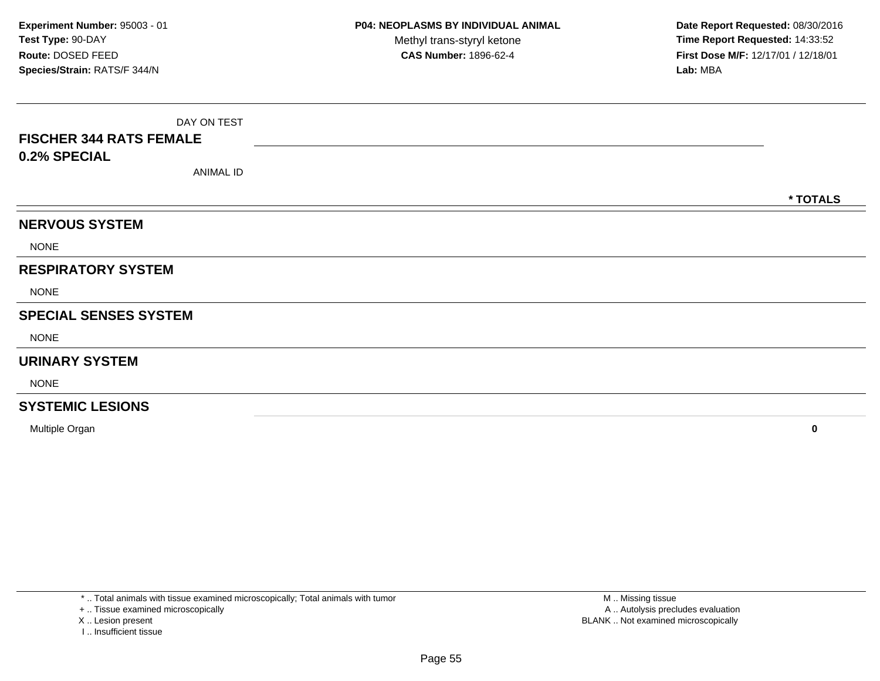| DAY ON TEST<br><b>FISCHER 344 RATS FEMALE</b> |          |
|-----------------------------------------------|----------|
| 0.2% SPECIAL                                  |          |
| <b>ANIMAL ID</b>                              |          |
|                                               | * TOTALS |
| <b>NERVOUS SYSTEM</b>                         |          |
| <b>NONE</b>                                   |          |
| <b>RESPIRATORY SYSTEM</b>                     |          |
| <b>NONE</b>                                   |          |
| <b>SPECIAL SENSES SYSTEM</b>                  |          |
| <b>NONE</b>                                   |          |
| <b>URINARY SYSTEM</b>                         |          |
| <b>NONE</b>                                   |          |
| <b>SYSTEMIC LESIONS</b>                       |          |

Multiple Organ**<sup>0</sup>**

\* .. Total animals with tissue examined microscopically; Total animals with tumor

+ .. Tissue examined microscopically

- X .. Lesion present
- I .. Insufficient tissue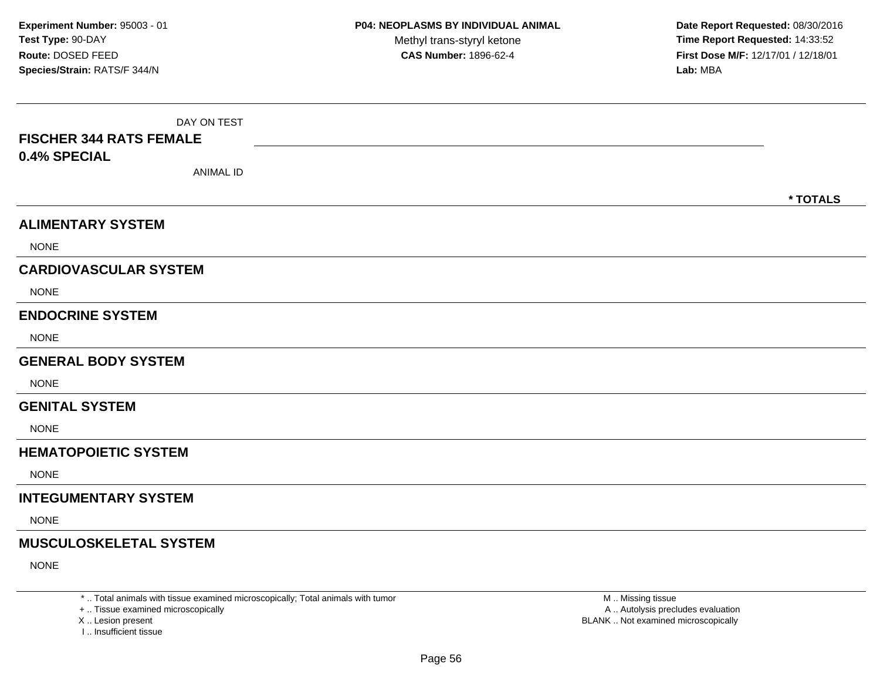| DAY ON TEST<br><b>FISCHER 344 RATS FEMALE</b><br>0.4% SPECIAL<br><b>ANIMAL ID</b> |          |
|-----------------------------------------------------------------------------------|----------|
|                                                                                   | * TOTALS |
| <b>ALIMENTARY SYSTEM</b>                                                          |          |
| <b>NONE</b>                                                                       |          |
| <b>CARDIOVASCULAR SYSTEM</b>                                                      |          |
| <b>NONE</b>                                                                       |          |
| <b>ENDOCRINE SYSTEM</b>                                                           |          |
| <b>NONE</b>                                                                       |          |
| <b>GENERAL BODY SYSTEM</b>                                                        |          |
| <b>NONE</b>                                                                       |          |
| <b>GENITAL SYSTEM</b>                                                             |          |
| <b>NONE</b>                                                                       |          |
| <b>HEMATOPOIETIC SYSTEM</b>                                                       |          |
| <b>NONE</b>                                                                       |          |
| <b>INTEGUMENTARY SYSTEM</b>                                                       |          |
| <b>NONE</b>                                                                       |          |
| <b>MUSCULOSKELETAL SYSTEM</b>                                                     |          |
| <b>NONE</b>                                                                       |          |

\* .. Total animals with tissue examined microscopically; Total animals with tumor

+ .. Tissue examined microscopically

X .. Lesion present

I .. Insufficient tissue